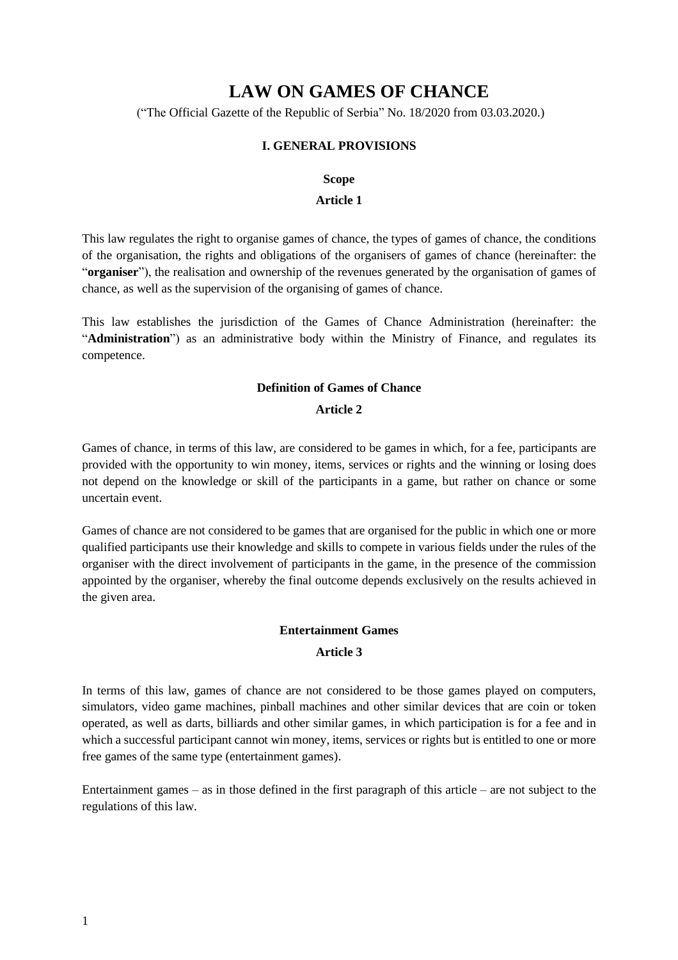# **LAW ON GAMES OF CHANCE**

("The Official Gazette of the Republic of Serbia" No. 18/2020 from 03.03.2020.)

## **I. GENERAL PROVISIONS**

#### **Scope**

#### **Article 1**

This law regulates the right to organise games of chance, the types of games of chance, the conditions of the organisation, the rights and obligations of the organisers of games of chance (hereinafter: the "**organiser**"), the realisation and ownership of the revenues generated by the organisation of games of chance, as well as the supervision of the organising of games of chance.

This law establishes the jurisdiction of the Games of Chance Administration (hereinafter: the "**Administration**") as an administrative body within the Ministry of Finance, and regulates its competence.

#### **Definition of Games of Chance**

#### **Article 2**

Games of chance, in terms of this law, are considered to be games in which, for a fee, participants are provided with the opportunity to win money, items, services or rights and the winning or losing does not depend on the knowledge or skill of the participants in a game, but rather on chance or some uncertain event.

Games of chance are not considered to be games that are organised for the public in which one or more qualified participants use their knowledge and skills to compete in various fields under the rules of the organiser with the direct involvement of participants in the game, in the presence of the commission appointed by the organiser, whereby the final outcome depends exclusively on the results achieved in the given area.

#### **Entertainment Games**

#### **Article 3**

In terms of this law, games of chance are not considered to be those games played on computers, simulators, video game machines, pinball machines and other similar devices that are coin or token operated, as well as darts, billiards and other similar games, in which participation is for a fee and in which a successful participant cannot win money, items, services or rights but is entitled to one or more free games of the same type (entertainment games).

Entertainment games – as in those defined in the first paragraph of this article – are not subject to the regulations of this law.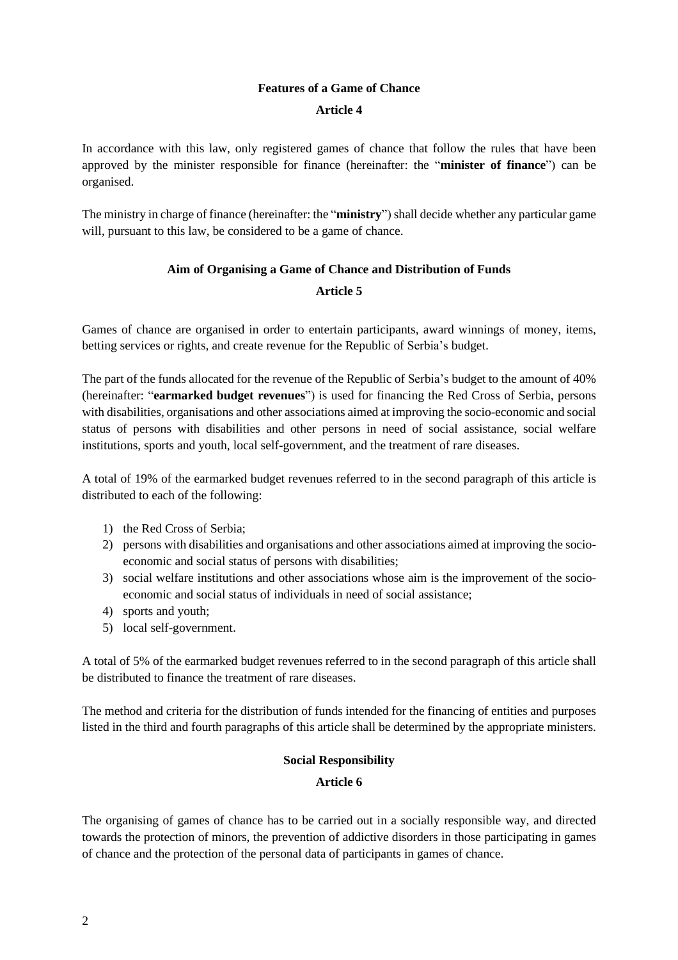# **Features of a Game of Chance**

## **Article 4**

In accordance with this law, only registered games of chance that follow the rules that have been approved by the minister responsible for finance (hereinafter: the "**minister of finance**") can be organised.

The ministry in charge of finance (hereinafter: the "**ministry**") shall decide whether any particular game will, pursuant to this law, be considered to be a game of chance.

# **Aim of Organising a Game of Chance and Distribution of Funds Article 5**

Games of chance are organised in order to entertain participants, award winnings of money, items, betting services or rights, and create revenue for the Republic of Serbia's budget.

The part of the funds allocated for the revenue of the Republic of Serbia's budget to the amount of 40% (hereinafter: "**earmarked budget revenues**") is used for financing the Red Cross of Serbia, persons with disabilities, organisations and other associations aimed at improving the socio-economic and social status of persons with disabilities and other persons in need of social assistance, social welfare institutions, sports and youth, local self-government, and the treatment of rare diseases.

A total of 19% of the earmarked budget revenues referred to in the second paragraph of this article is distributed to each of the following:

- 1) the Red Cross of Serbia;
- 2) persons with disabilities and organisations and other associations aimed at improving the socioeconomic and social status of persons with disabilities;
- 3) social welfare institutions and other associations whose aim is the improvement of the socioeconomic and social status of individuals in need of social assistance;
- 4) sports and youth;
- 5) local self-government.

A total of 5% of the earmarked budget revenues referred to in the second paragraph of this article shall be distributed to finance the treatment of rare diseases.

The method and criteria for the distribution of funds intended for the financing of entities and purposes listed in the third and fourth paragraphs of this article shall be determined by the appropriate ministers.

# **Social Responsibility**

#### **Article 6**

The organising of games of chance has to be carried out in a socially responsible way, and directed towards the protection of minors, the prevention of addictive disorders in those participating in games of chance and the protection of the personal data of participants in games of chance.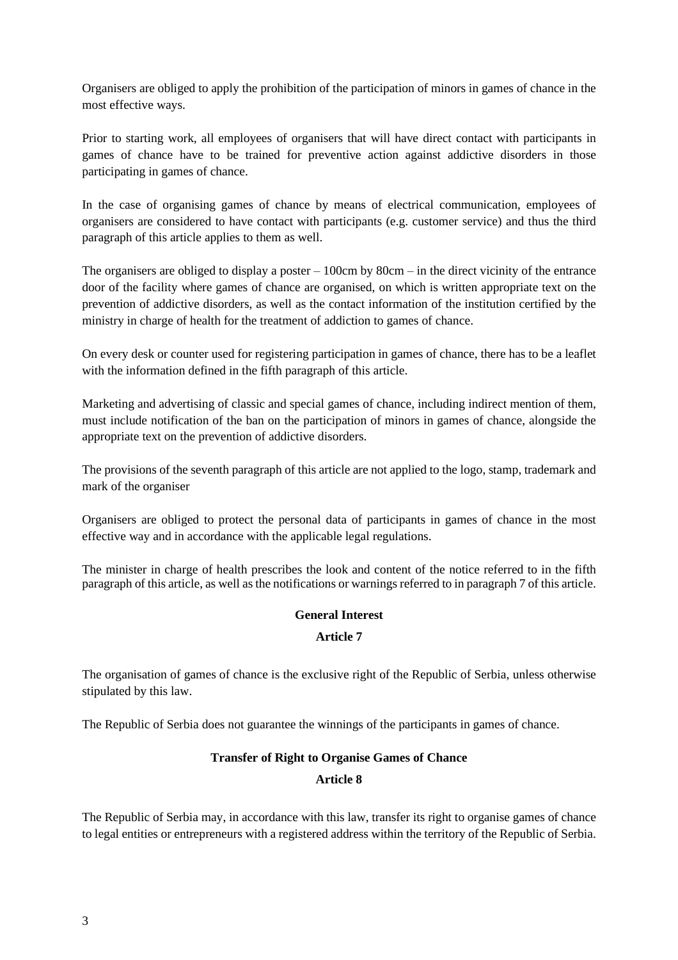Organisers are obliged to apply the prohibition of the participation of minors in games of chance in the most effective ways.

Prior to starting work, all employees of organisers that will have direct contact with participants in games of chance have to be trained for preventive action against addictive disorders in those participating in games of chance.

In the case of organising games of chance by means of electrical communication, employees of organisers are considered to have contact with participants (e.g. customer service) and thus the third paragraph of this article applies to them as well.

The organisers are obliged to display a poster  $-100 \text{cm}$  by  $80 \text{cm} - \text{in}$  the direct vicinity of the entrance door of the facility where games of chance are organised, on which is written appropriate text on the prevention of addictive disorders, as well as the contact information of the institution certified by the ministry in charge of health for the treatment of addiction to games of chance.

On every desk or counter used for registering participation in games of chance, there has to be a leaflet with the information defined in the fifth paragraph of this article.

Marketing and advertising of classic and special games of chance, including indirect mention of them, must include notification of the ban on the participation of minors in games of chance, alongside the appropriate text on the prevention of addictive disorders.

The provisions of the seventh paragraph of this article are not applied to the logo, stamp, trademark and mark of the organiser

Organisers are obliged to protect the personal data of participants in games of chance in the most effective way and in accordance with the applicable legal regulations.

The minister in charge of health prescribes the look and content of the notice referred to in the fifth paragraph of this article, as well as the notifications or warnings referred to in paragraph 7 of this article.

# **General Interest**

## **Article 7**

The organisation of games of chance is the exclusive right of the Republic of Serbia, unless otherwise stipulated by this law.

The Republic of Serbia does not guarantee the winnings of the participants in games of chance.

## **Transfer of Right to Organise Games of Chance**

## **Article 8**

The Republic of Serbia may, in accordance with this law, transfer its right to organise games of chance to legal entities or entrepreneurs with a registered address within the territory of the Republic of Serbia.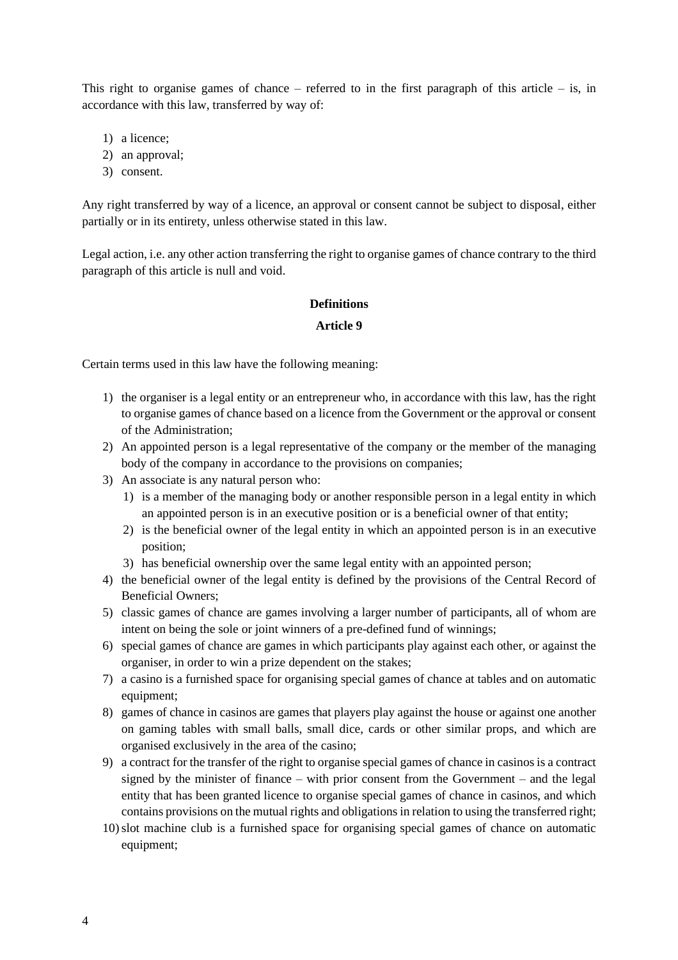This right to organise games of chance – referred to in the first paragraph of this article – is, in accordance with this law, transferred by way of:

- 1) a licence;
- 2) an approval;
- 3) consent.

Any right transferred by way of a licence, an approval or consent cannot be subject to disposal, either partially or in its entirety, unless otherwise stated in this law.

Legal action, i.e. any other action transferring the right to organise games of chance contrary to the third paragraph of this article is null and void.

#### **Definitions**

#### **Article 9**

Certain terms used in this law have the following meaning:

- 1) the organiser is a legal entity or an entrepreneur who, in accordance with this law, has the right to organise games of chance based on a licence from the Government or the approval or consent of the Administration;
- 2) An appointed person is a legal representative of the company or the member of the managing body of the company in accordance to the provisions on companies;
- 3) An associate is any natural person who:
	- 1) is a member of the managing body or another responsible person in a legal entity in which an appointed person is in an executive position or is a beneficial owner of that entity;
	- 2) is the beneficial owner of the legal entity in which an appointed person is in an executive position;
	- 3) has beneficial ownership over the same legal entity with an appointed person;
- 4) the beneficial owner of the legal entity is defined by the provisions of the Central Record of Beneficial Owners;
- 5) classic games of chance are games involving a larger number of participants, all of whom are intent on being the sole or joint winners of a pre-defined fund of winnings;
- 6) special games of chance are games in which participants play against each other, or against the organiser, in order to win a prize dependent on the stakes;
- 7) a casino is a furnished space for organising special games of chance at tables and on automatic equipment;
- 8) games of chance in casinos are games that players play against the house or against one another on gaming tables with small balls, small dice, cards or other similar props, and which are organised exclusively in the area of the casino;
- 9) a contract for the transfer of the right to organise special games of chance in casinosis a contract signed by the minister of finance – with prior consent from the Government – and the legal entity that has been granted licence to organise special games of chance in casinos, and which contains provisions on the mutual rights and obligations in relation to using the transferred right;
- 10)slot machine club is a furnished space for organising special games of chance on automatic equipment;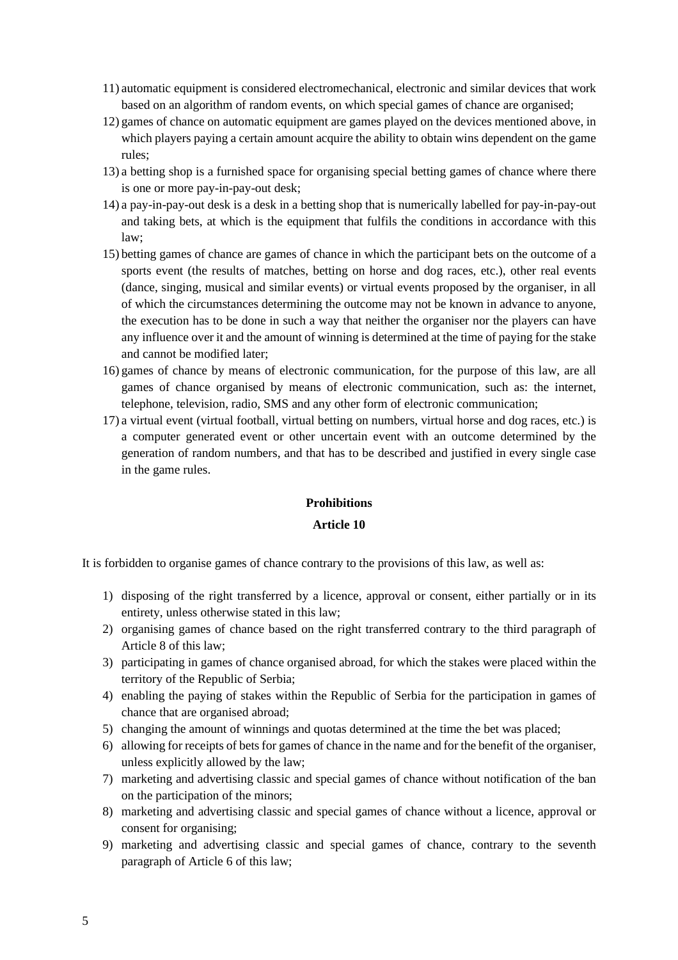- 11) automatic equipment is considered electromechanical, electronic and similar devices that work based on an algorithm of random events, on which special games of chance are organised;
- 12) games of chance on automatic equipment are games played on the devices mentioned above, in which players paying a certain amount acquire the ability to obtain wins dependent on the game rules;
- 13) a betting shop is a furnished space for organising special betting games of chance where there is one or more pay-in-pay-out desk;
- 14) a pay-in-pay-out desk is a desk in a betting shop that is numerically labelled for pay-in-pay-out and taking bets, at which is the equipment that fulfils the conditions in accordance with this law;
- 15) betting games of chance are games of chance in which the participant bets on the outcome of a sports event (the results of matches, betting on horse and dog races, etc.), other real events (dance, singing, musical and similar events) or virtual events proposed by the organiser, in all of which the circumstances determining the outcome may not be known in advance to anyone, the execution has to be done in such a way that neither the organiser nor the players can have any influence over it and the amount of winning is determined at the time of paying for the stake and cannot be modified later;
- 16) games of chance by means of electronic communication, for the purpose of this law, are all games of chance organised by means of electronic communication, such as: the internet, telephone, television, radio, SMS and any other form of electronic communication;
- 17) a virtual event (virtual football, virtual betting on numbers, virtual horse and dog races, etc.) is a computer generated event or other uncertain event with an outcome determined by the generation of random numbers, and that has to be described and justified in every single case in the game rules.

#### **Prohibitions**

#### **Article 10**

It is forbidden to organise games of chance contrary to the provisions of this law, as well as:

- 1) disposing of the right transferred by a licence, approval or consent, either partially or in its entirety, unless otherwise stated in this law;
- 2) organising games of chance based on the right transferred contrary to the third paragraph of Article 8 of this law;
- 3) participating in games of chance organised abroad, for which the stakes were placed within the territory of the Republic of Serbia;
- 4) enabling the paying of stakes within the Republic of Serbia for the participation in games of chance that are organised abroad;
- 5) changing the amount of winnings and quotas determined at the time the bet was placed;
- 6) allowing for receipts of betsfor games of chance in the name and for the benefit of the organiser, unless explicitly allowed by the law;
- 7) marketing and advertising classic and special games of chance without notification of the ban on the participation of the minors;
- 8) marketing and advertising classic and special games of chance without a licence, approval or consent for organising;
- 9) marketing and advertising classic and special games of chance, contrary to the seventh paragraph of Article 6 of this law;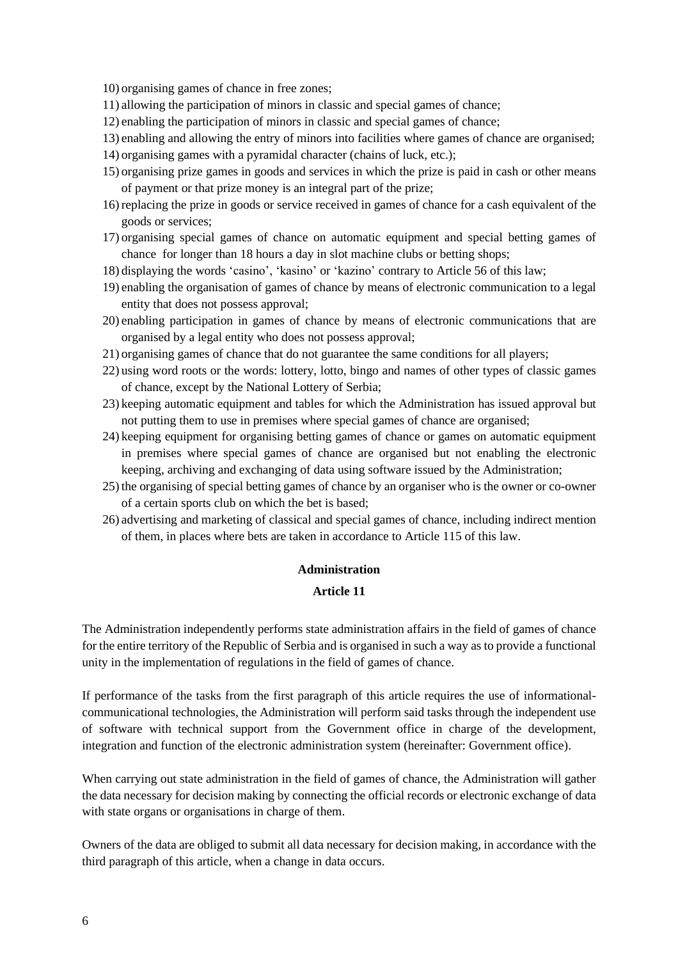10) organising games of chance in free zones;

- 11) allowing the participation of minors in classic and special games of chance;
- 12) enabling the participation of minors in classic and special games of chance;
- 13) enabling and allowing the entry of minors into facilities where games of chance are organised;
- 14) organising games with a pyramidal character (chains of luck, etc.);
- 15) organising prize games in goods and services in which the prize is paid in cash or other means of payment or that prize money is an integral part of the prize;
- 16) replacing the prize in goods or service received in games of chance for a cash equivalent of the goods or services;
- 17) organising special games of chance on automatic equipment and special betting games of chance for longer than 18 hours a day in slot machine clubs or betting shops;
- 18) displaying the words 'casino', 'kasino' or 'kazino' contrary to Article 56 of this law;
- 19) enabling the organisation of games of chance by means of electronic communication to a legal entity that does not possess approval;
- 20) enabling participation in games of chance by means of electronic communications that are organised by a legal entity who does not possess approval;
- 21) organising games of chance that do not guarantee the same conditions for all players;
- 22) using word roots or the words: lottery, lotto, bingo and names of other types of classic games of chance, except by the National Lottery of Serbia;
- 23) keeping automatic equipment and tables for which the Administration has issued approval but not putting them to use in premises where special games of chance are organised;
- 24) keeping equipment for organising betting games of chance or games on automatic equipment in premises where special games of chance are organised but not enabling the electronic keeping, archiving and exchanging of data using software issued by the Administration;
- 25) the organising of special betting games of chance by an organiser who is the owner or co-owner of a certain sports club on which the bet is based;
- 26) advertising and marketing of classical and special games of chance, including indirect mention of them, in places where bets are taken in accordance to Article 115 of this law.

#### **Administration**

#### **Article 11**

The Administration independently performs state administration affairs in the field of games of chance for the entire territory of the Republic of Serbia and is organised in such a way as to provide a functional unity in the implementation of regulations in the field of games of chance.

If performance of the tasks from the first paragraph of this article requires the use of informationalcommunicational technologies, the Administration will perform said tasks through the independent use of software with technical support from the Government office in charge of the development, integration and function of the electronic administration system (hereinafter: Government office).

When carrying out state administration in the field of games of chance, the Administration will gather the data necessary for decision making by connecting the official records or electronic exchange of data with state organs or organisations in charge of them.

Owners of the data are obliged to submit all data necessary for decision making, in accordance with the third paragraph of this article, when a change in data occurs.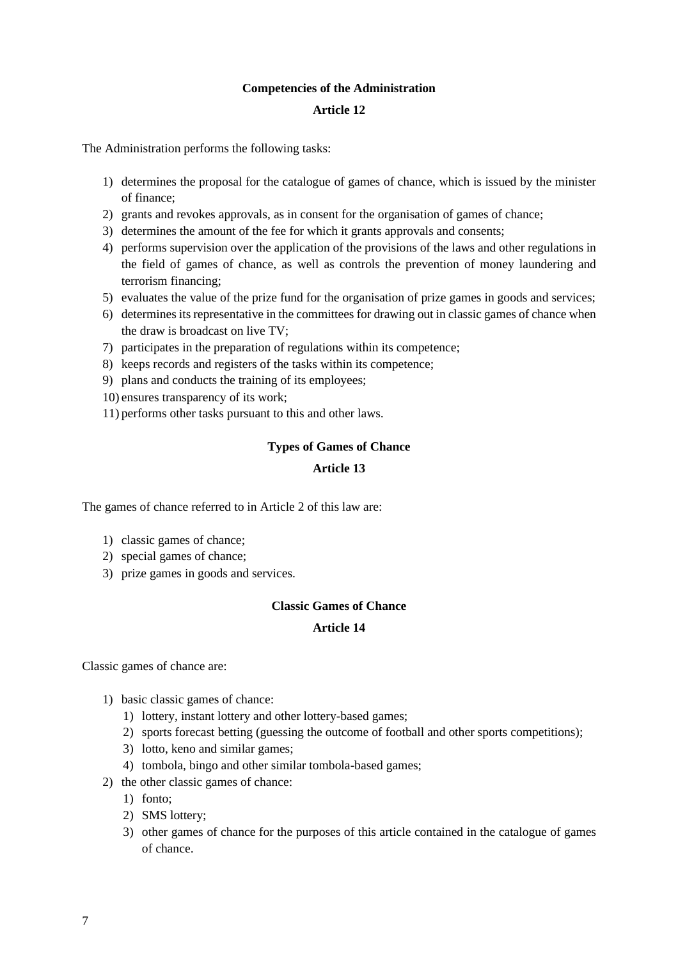#### **Competencies of the Administration**

#### **Article 12**

The Administration performs the following tasks:

- 1) determines the proposal for the catalogue of games of chance, which is issued by the minister of finance;
- 2) grants and revokes approvals, as in consent for the organisation of games of chance;
- 3) determines the amount of the fee for which it grants approvals and consents;
- 4) performs supervision over the application of the provisions of the laws and other regulations in the field of games of chance, as well as controls the prevention of money laundering and terrorism financing;
- 5) evaluates the value of the prize fund for the organisation of prize games in goods and services;
- 6) determines its representative in the committees for drawing out in classic games of chance when the draw is broadcast on live TV;
- 7) participates in the preparation of regulations within its competence;
- 8) keeps records and registers of the tasks within its competence;
- 9) plans and conducts the training of its employees;
- 10) ensures transparency of its work;
- 11) performs other tasks pursuant to this and other laws.

#### **Types of Games of Chance**

#### **Article 13**

The games of chance referred to in Article 2 of this law are:

- 1) classic games of chance;
- 2) special games of chance;
- 3) prize games in goods and services.

#### **Classic Games of Chance**

#### **Article 14**

Classic games of chance are:

- 1) basic classic games of chance:
	- 1) lottery, instant lottery and other lottery-based games;
	- 2) sports forecast betting (guessing the outcome of football and other sports competitions);
	- 3) lotto, keno and similar games;
	- 4) tombola, bingo and other similar tombola-based games;
- 2) the other classic games of chance:
	- 1) fonto;
	- 2) SMS lottery;
	- 3) other games of chance for the purposes of this article contained in the catalogue of games of chance.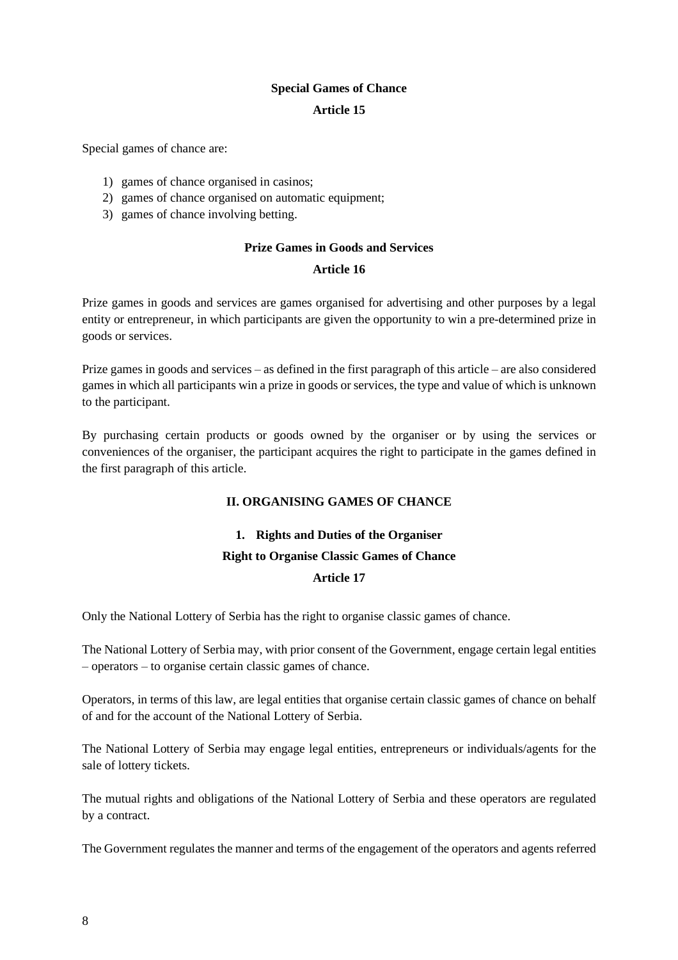#### **Special Games of Chance**

#### **Article 15**

Special games of chance are:

- 1) games of chance organised in casinos;
- 2) games of chance organised on automatic equipment;
- 3) games of chance involving betting.

#### **Prize Games in Goods and Services**

#### **Article 16**

Prize games in goods and services are games organised for advertising and other purposes by a legal entity or entrepreneur, in which participants are given the opportunity to win a pre-determined prize in goods or services.

Prize games in goods and services – as defined in the first paragraph of this article – are also considered games in which all participants win a prize in goods or services, the type and value of which is unknown to the participant.

By purchasing certain products or goods owned by the organiser or by using the services or conveniences of the organiser, the participant acquires the right to participate in the games defined in the first paragraph of this article.

## **II. ORGANISING GAMES OF CHANCE**

# **1. Rights and Duties of the Organiser**

## **Right to Organise Classic Games of Chance**

#### **Article 17**

Only the National Lottery of Serbia has the right to organise classic games of chance.

The National Lottery of Serbia may, with prior consent of the Government, engage certain legal entities – operators – to organise certain classic games of chance.

Operators, in terms of this law, are legal entities that organise certain classic games of chance on behalf of and for the account of the National Lottery of Serbia.

The National Lottery of Serbia may engage legal entities, entrepreneurs or individuals/agents for the sale of lottery tickets.

The mutual rights and obligations of the National Lottery of Serbia and these operators are regulated by a contract.

The Government regulates the manner and terms of the engagement of the operators and agents referred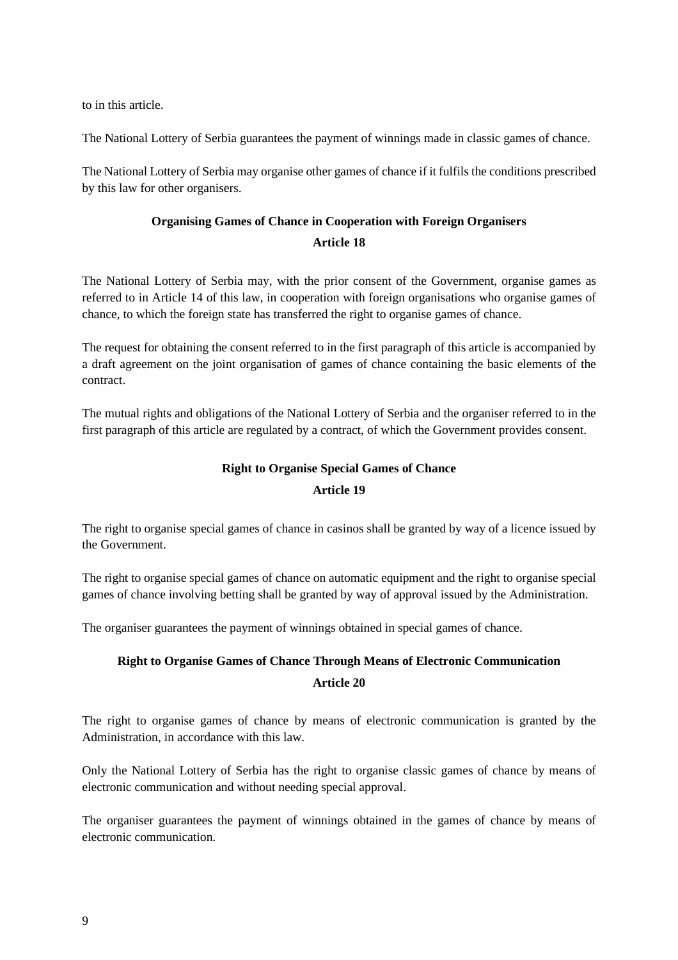to in this article.

The National Lottery of Serbia guarantees the payment of winnings made in classic games of chance.

The National Lottery of Serbia may organise other games of chance if it fulfils the conditions prescribed by this law for other organisers.

# **Organising Games of Chance in Cooperation with Foreign Organisers Article 18**

The National Lottery of Serbia may, with the prior consent of the Government, organise games as referred to in Article 14 of this law, in cooperation with foreign organisations who organise games of chance, to which the foreign state has transferred the right to organise games of chance.

The request for obtaining the consent referred to in the first paragraph of this article is accompanied by a draft agreement on the joint organisation of games of chance containing the basic elements of the contract.

The mutual rights and obligations of the National Lottery of Serbia and the organiser referred to in the first paragraph of this article are regulated by a contract, of which the Government provides consent.

## **Right to Organise Special Games of Chance**

#### **Article 19**

The right to organise special games of chance in casinos shall be granted by way of a licence issued by the Government.

The right to organise special games of chance on automatic equipment and the right to organise special games of chance involving betting shall be granted by way of approval issued by the Administration.

The organiser guarantees the payment of winnings obtained in special games of chance.

# **Right to Organise Games of Chance Through Means of Electronic Communication Article 20**

The right to organise games of chance by means of electronic communication is granted by the Administration, in accordance with this law.

Only the National Lottery of Serbia has the right to organise classic games of chance by means of electronic communication and without needing special approval.

The organiser guarantees the payment of winnings obtained in the games of chance by means of electronic communication.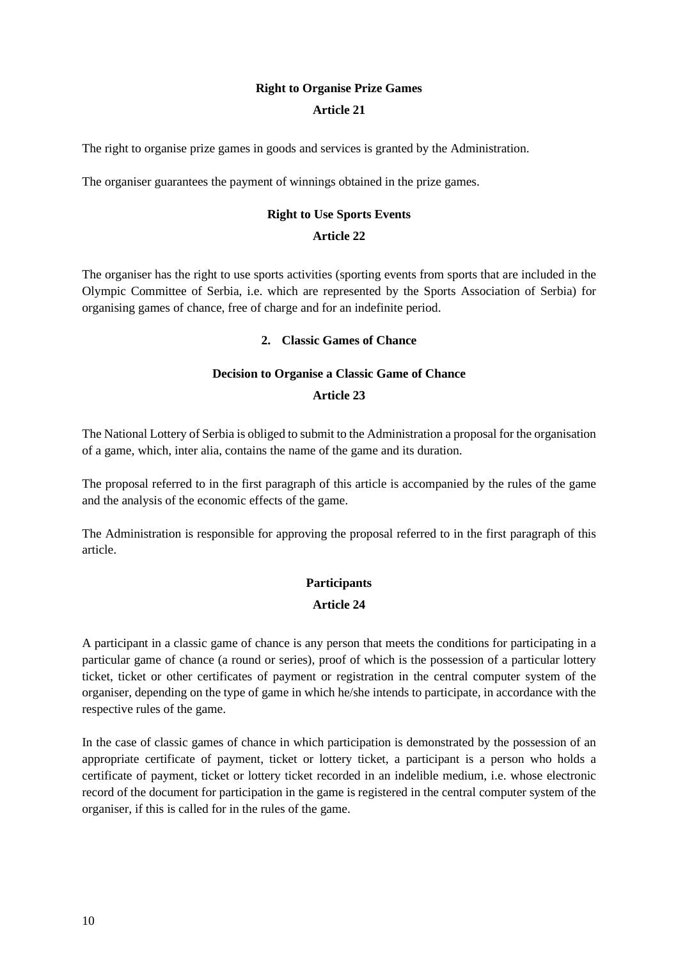# **Right to Organise Prize Games**

#### **Article 21**

The right to organise prize games in goods and services is granted by the Administration.

The organiser guarantees the payment of winnings obtained in the prize games.

# **Right to Use Sports Events**

## **Article 22**

The organiser has the right to use sports activities (sporting events from sports that are included in the Olympic Committee of Serbia, i.e. which are represented by the Sports Association of Serbia) for organising games of chance, free of charge and for an indefinite period.

#### **2. Classic Games of Chance**

#### **Decision to Organise a Classic Game of Chance**

#### **Article 23**

The National Lottery of Serbia is obliged to submit to the Administration a proposal for the organisation of a game, which, inter alia, contains the name of the game and its duration.

The proposal referred to in the first paragraph of this article is accompanied by the rules of the game and the analysis of the economic effects of the game.

The Administration is responsible for approving the proposal referred to in the first paragraph of this article.

# **Participants Article 24**

A participant in a classic game of chance is any person that meets the conditions for participating in a particular game of chance (a round or series), proof of which is the possession of a particular lottery ticket, ticket or other certificates of payment or registration in the central computer system of the organiser, depending on the type of game in which he/she intends to participate, in accordance with the respective rules of the game.

In the case of classic games of chance in which participation is demonstrated by the possession of an appropriate certificate of payment, ticket or lottery ticket, a participant is a person who holds a certificate of payment, ticket or lottery ticket recorded in an indelible medium, i.e. whose electronic record of the document for participation in the game is registered in the central computer system of the organiser, if this is called for in the rules of the game.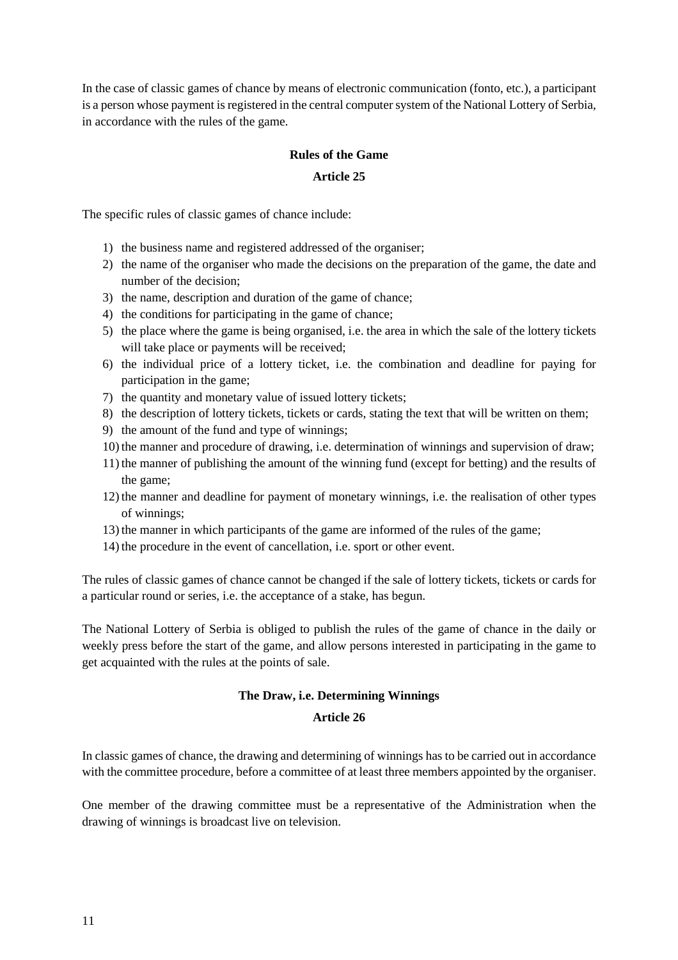In the case of classic games of chance by means of electronic communication (fonto, etc.), a participant is a person whose payment is registered in the central computer system of the National Lottery of Serbia, in accordance with the rules of the game.

## **Rules of the Game**

#### **Article 25**

The specific rules of classic games of chance include:

- 1) the business name and registered addressed of the organiser;
- 2) the name of the organiser who made the decisions on the preparation of the game, the date and number of the decision;
- 3) the name, description and duration of the game of chance;
- 4) the conditions for participating in the game of chance;
- 5) the place where the game is being organised, i.e. the area in which the sale of the lottery tickets will take place or payments will be received;
- 6) the individual price of a lottery ticket, i.e. the combination and deadline for paying for participation in the game;
- 7) the quantity and monetary value of issued lottery tickets;
- 8) the description of lottery tickets, tickets or cards, stating the text that will be written on them;
- 9) the amount of the fund and type of winnings;
- 10) the manner and procedure of drawing, i.e. determination of winnings and supervision of draw;
- 11) the manner of publishing the amount of the winning fund (except for betting) and the results of the game;
- 12) the manner and deadline for payment of monetary winnings, i.e. the realisation of other types of winnings;
- 13) the manner in which participants of the game are informed of the rules of the game;
- 14) the procedure in the event of cancellation, i.e. sport or other event.

The rules of classic games of chance cannot be changed if the sale of lottery tickets, tickets or cards for a particular round or series, i.e. the acceptance of a stake, has begun.

The National Lottery of Serbia is obliged to publish the rules of the game of chance in the daily or weekly press before the start of the game, and allow persons interested in participating in the game to get acquainted with the rules at the points of sale.

#### **The Draw, i.e. Determining Winnings**

#### **Article 26**

In classic games of chance, the drawing and determining of winnings has to be carried out in accordance with the committee procedure, before a committee of at least three members appointed by the organiser.

One member of the drawing committee must be a representative of the Administration when the drawing of winnings is broadcast live on television.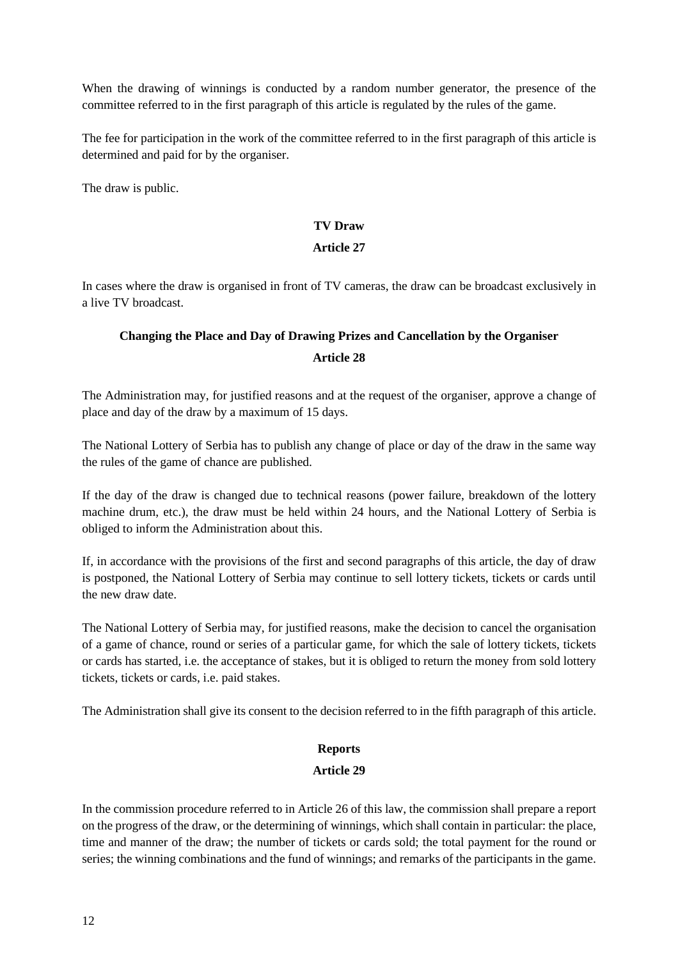When the drawing of winnings is conducted by a random number generator, the presence of the committee referred to in the first paragraph of this article is regulated by the rules of the game.

The fee for participation in the work of the committee referred to in the first paragraph of this article is determined and paid for by the organiser.

The draw is public.

#### **TV Draw**

#### **Article 27**

In cases where the draw is organised in front of TV cameras, the draw can be broadcast exclusively in a live TV broadcast.

# **Changing the Place and Day of Drawing Prizes and Cancellation by the Organiser Article 28**

The Administration may, for justified reasons and at the request of the organiser, approve a change of place and day of the draw by a maximum of 15 days.

The National Lottery of Serbia has to publish any change of place or day of the draw in the same way the rules of the game of chance are published.

If the day of the draw is changed due to technical reasons (power failure, breakdown of the lottery machine drum, etc.), the draw must be held within 24 hours, and the National Lottery of Serbia is obliged to inform the Administration about this.

If, in accordance with the provisions of the first and second paragraphs of this article, the day of draw is postponed, the National Lottery of Serbia may continue to sell lottery tickets, tickets or cards until the new draw date.

The National Lottery of Serbia may, for justified reasons, make the decision to cancel the organisation of a game of chance, round or series of a particular game, for which the sale of lottery tickets, tickets or cards has started, i.e. the acceptance of stakes, but it is obliged to return the money from sold lottery tickets, tickets or cards, i.e. paid stakes.

The Administration shall give its consent to the decision referred to in the fifth paragraph of this article.

## **Reports**

## **Article 29**

In the commission procedure referred to in Article 26 of this law, the commission shall prepare a report on the progress of the draw, or the determining of winnings, which shall contain in particular: the place, time and manner of the draw; the number of tickets or cards sold; the total payment for the round or series; the winning combinations and the fund of winnings; and remarks of the participants in the game.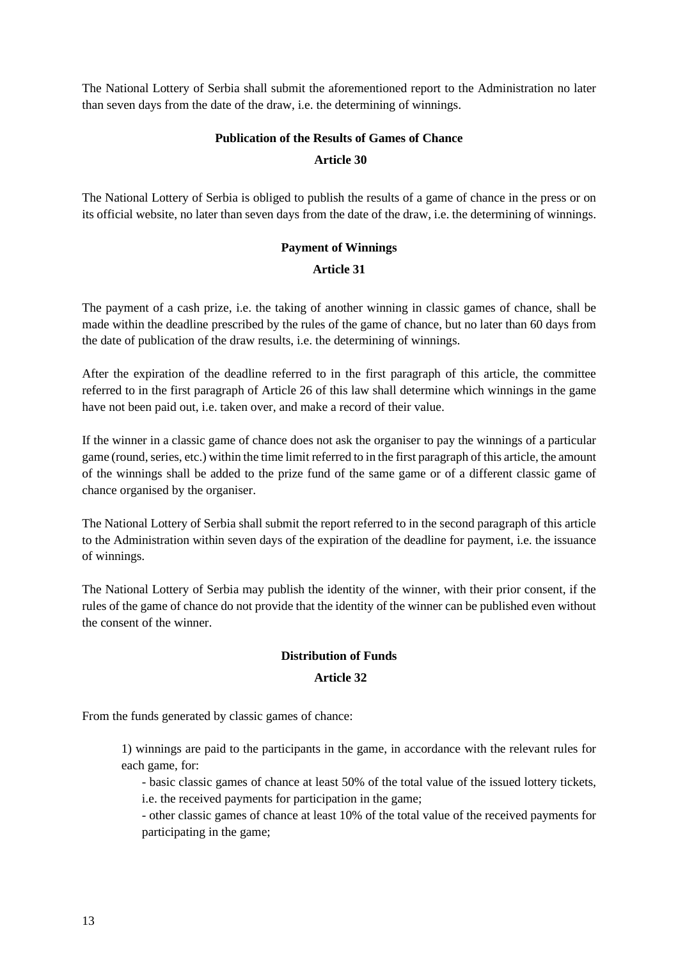The National Lottery of Serbia shall submit the aforementioned report to the Administration no later than seven days from the date of the draw, i.e. the determining of winnings.

# **Publication of the Results of Games of Chance Article 30**

The National Lottery of Serbia is obliged to publish the results of a game of chance in the press or on its official website, no later than seven days from the date of the draw, i.e. the determining of winnings.

# **Payment of Winnings**

## **Article 31**

The payment of a cash prize, i.e. the taking of another winning in classic games of chance, shall be made within the deadline prescribed by the rules of the game of chance, but no later than 60 days from the date of publication of the draw results, i.e. the determining of winnings.

After the expiration of the deadline referred to in the first paragraph of this article, the committee referred to in the first paragraph of Article 26 of this law shall determine which winnings in the game have not been paid out, i.e. taken over, and make a record of their value.

If the winner in a classic game of chance does not ask the organiser to pay the winnings of a particular game (round, series, etc.) within the time limit referred to in the first paragraph of this article, the amount of the winnings shall be added to the prize fund of the same game or of a different classic game of chance organised by the organiser.

The National Lottery of Serbia shall submit the report referred to in the second paragraph of this article to the Administration within seven days of the expiration of the deadline for payment, i.e. the issuance of winnings.

The National Lottery of Serbia may publish the identity of the winner, with their prior consent, if the rules of the game of chance do not provide that the identity of the winner can be published even without the consent of the winner.

## **Distribution of Funds**

## **Article 32**

From the funds generated by classic games of chance:

1) winnings are paid to the participants in the game, in accordance with the relevant rules for each game, for:

- basic classic games of chance at least 50% of the total value of the issued lottery tickets, i.e. the received payments for participation in the game;

- other classic games of chance at least 10% of the total value of the received payments for participating in the game;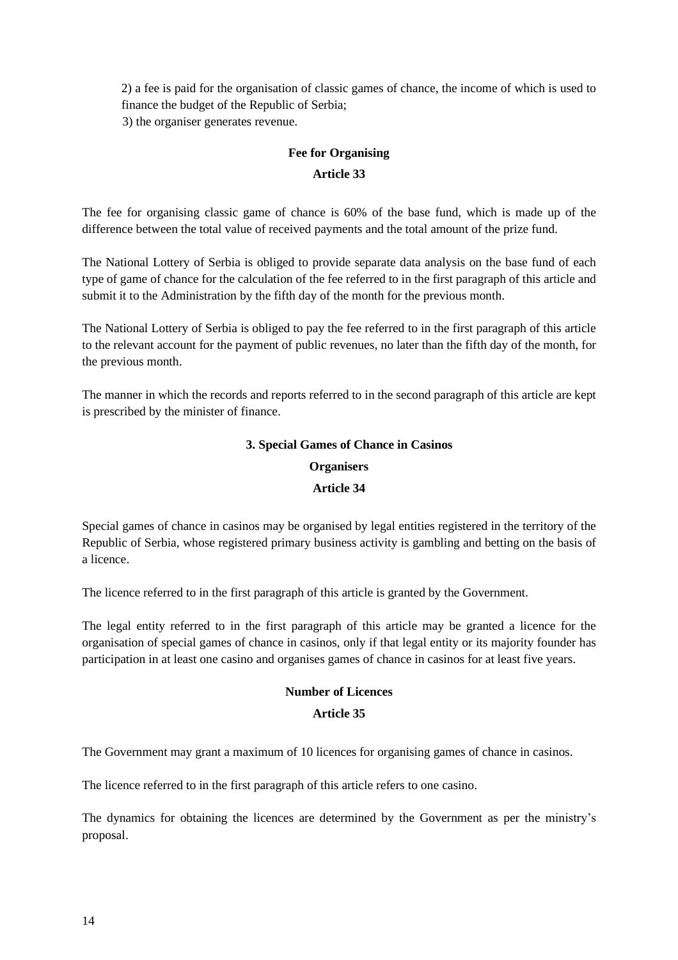2) a fee is paid for the organisation of classic games of chance, the income of which is used to finance the budget of the Republic of Serbia; 3) the organiser generates revenue.

# **Fee for Organising**

## **Article 33**

The fee for organising classic game of chance is 60% of the base fund, which is made up of the difference between the total value of received payments and the total amount of the prize fund.

The National Lottery of Serbia is obliged to provide separate data analysis on the base fund of each type of game of chance for the calculation of the fee referred to in the first paragraph of this article and submit it to the Administration by the fifth day of the month for the previous month.

The National Lottery of Serbia is obliged to pay the fee referred to in the first paragraph of this article to the relevant account for the payment of public revenues, no later than the fifth day of the month, for the previous month.

The manner in which the records and reports referred to in the second paragraph of this article are kept is prescribed by the minister of finance.

#### **3. Special Games of Chance in Casinos**

#### **Organisers**

#### **Article 34**

Special games of chance in casinos may be organised by legal entities registered in the territory of the Republic of Serbia, whose registered primary business activity is gambling and betting on the basis of a licence.

The licence referred to in the first paragraph of this article is granted by the Government.

The legal entity referred to in the first paragraph of this article may be granted a licence for the organisation of special games of chance in casinos, only if that legal entity or its majority founder has participation in at least one casino and organises games of chance in casinos for at least five years.

#### **Number of Licences**

#### **Article 35**

The Government may grant a maximum of 10 licences for organising games of chance in casinos.

The licence referred to in the first paragraph of this article refers to one casino.

The dynamics for obtaining the licences are determined by the Government as per the ministry's proposal.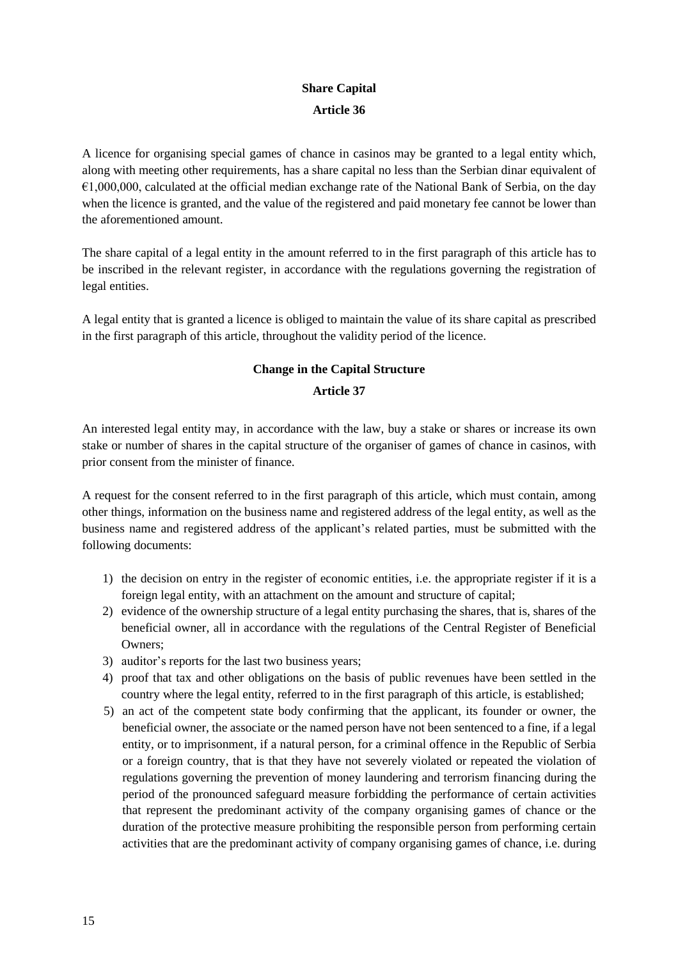# **Share Capital Article 36**

A licence for organising special games of chance in casinos may be granted to a legal entity which, along with meeting other requirements, has a share capital no less than the Serbian dinar equivalent of  $\epsilon$ 1,000,000, calculated at the official median exchange rate of the National Bank of Serbia, on the day when the licence is granted, and the value of the registered and paid monetary fee cannot be lower than the aforementioned amount.

The share capital of a legal entity in the amount referred to in the first paragraph of this article has to be inscribed in the relevant register, in accordance with the regulations governing the registration of legal entities.

A legal entity that is granted a licence is obliged to maintain the value of its share capital as prescribed in the first paragraph of this article, throughout the validity period of the licence.

# **Change in the Capital Structure**

#### **Article 37**

An interested legal entity may, in accordance with the law, buy a stake or shares or increase its own stake or number of shares in the capital structure of the organiser of games of chance in casinos, with prior consent from the minister of finance.

A request for the consent referred to in the first paragraph of this article, which must contain, among other things, information on the business name and registered address of the legal entity, as well as the business name and registered address of the applicant's related parties, must be submitted with the following documents:

- 1) the decision on entry in the register of economic entities, i.e. the appropriate register if it is a foreign legal entity, with an attachment on the amount and structure of capital;
- 2) evidence of the ownership structure of a legal entity purchasing the shares, that is, shares of the beneficial owner, all in accordance with the regulations of the Central Register of Beneficial Owners;
- 3) auditor's reports for the last two business years;
- 4) proof that tax and other obligations on the basis of public revenues have been settled in the country where the legal entity, referred to in the first paragraph of this article, is established;
- 5) an act of the competent state body confirming that the applicant, its founder or owner, the beneficial owner, the associate or the named person have not been sentenced to a fine, if a legal entity, or to imprisonment, if a natural person, for a criminal offence in the Republic of Serbia or a foreign country, that is that they have not severely violated or repeated the violation of regulations governing the prevention of money laundering and terrorism financing during the period of the pronounced safeguard measure forbidding the performance of certain activities that represent the predominant activity of the company organising games of chance or the duration of the protective measure prohibiting the responsible person from performing certain activities that are the predominant activity of company organising games of chance, i.e. during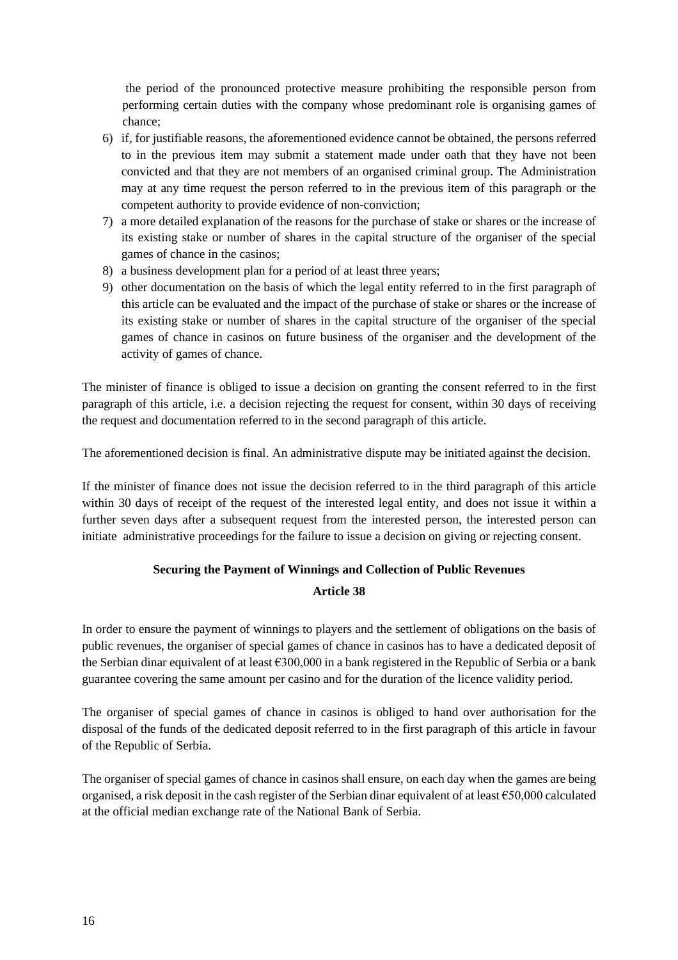the period of the pronounced protective measure prohibiting the responsible person from performing certain duties with the company whose predominant role is organising games of chance;

- 6) if, for justifiable reasons, the aforementioned evidence cannot be obtained, the persons referred to in the previous item may submit a statement made under oath that they have not been convicted and that they are not members of an organised criminal group. The Administration may at any time request the person referred to in the previous item of this paragraph or the competent authority to provide evidence of non-conviction;
- 7) a more detailed explanation of the reasons for the purchase of stake or shares or the increase of its existing stake or number of shares in the capital structure of the organiser of the special games of chance in the casinos;
- 8) a business development plan for a period of at least three years;
- 9) other documentation on the basis of which the legal entity referred to in the first paragraph of this article can be evaluated and the impact of the purchase of stake or shares or the increase of its existing stake or number of shares in the capital structure of the organiser of the special games of chance in casinos on future business of the organiser and the development of the activity of games of chance.

The minister of finance is obliged to issue a decision on granting the consent referred to in the first paragraph of this article, i.e. a decision rejecting the request for consent, within 30 days of receiving the request and documentation referred to in the second paragraph of this article.

The aforementioned decision is final. An administrative dispute may be initiated against the decision.

If the minister of finance does not issue the decision referred to in the third paragraph of this article within 30 days of receipt of the request of the interested legal entity, and does not issue it within a further seven days after a subsequent request from the interested person, the interested person can initiate administrative proceedings for the failure to issue a decision on giving or rejecting consent.

# **Securing the Payment of Winnings and Collection of Public Revenues**

## **Article 38**

In order to ensure the payment of winnings to players and the settlement of obligations on the basis of public revenues, the organiser of special games of chance in casinos has to have a dedicated deposit of the Serbian dinar equivalent of at least  $\epsilon$ 300,000 in a bank registered in the Republic of Serbia or a bank guarantee covering the same amount per casino and for the duration of the licence validity period.

The organiser of special games of chance in casinos is obliged to hand over authorisation for the disposal of the funds of the dedicated deposit referred to in the first paragraph of this article in favour of the Republic of Serbia.

The organiser of special games of chance in casinos shall ensure, on each day when the games are being organised, a risk deposit in the cash register of the Serbian dinar equivalent of at least €50,000 calculated at the official median exchange rate of the National Bank of Serbia.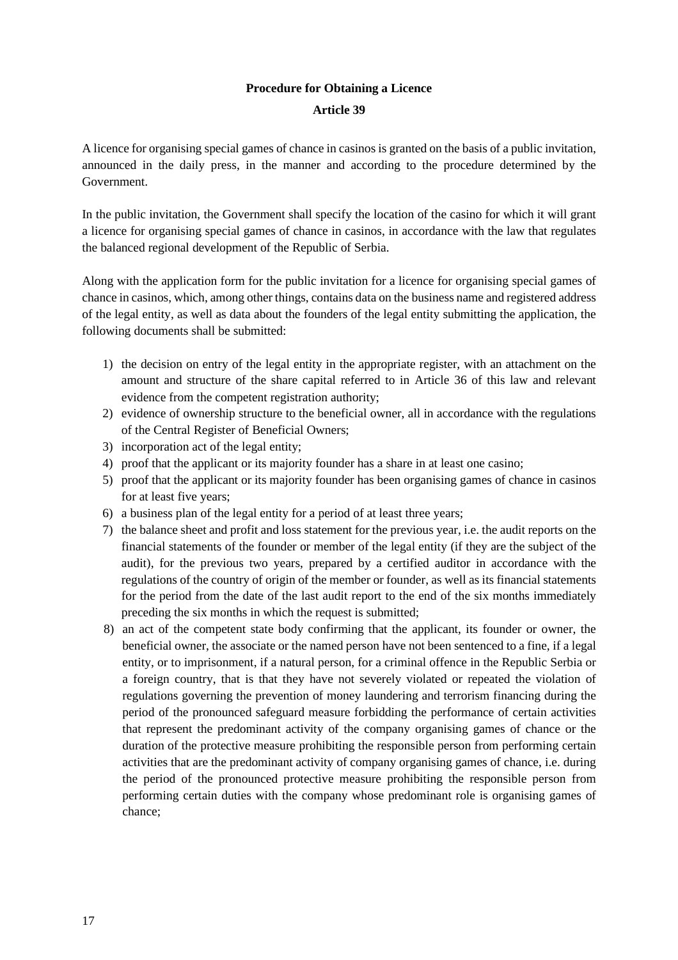## **Procedure for Obtaining a Licence**

#### **Article 39**

A licence for organising special games of chance in casinos is granted on the basis of a public invitation, announced in the daily press, in the manner and according to the procedure determined by the Government.

In the public invitation, the Government shall specify the location of the casino for which it will grant a licence for organising special games of chance in casinos, in accordance with the law that regulates the balanced regional development of the Republic of Serbia.

Along with the application form for the public invitation for a licence for organising special games of chance in casinos, which, among other things, contains data on the business name and registered address of the legal entity, as well as data about the founders of the legal entity submitting the application, the following documents shall be submitted:

- 1) the decision on entry of the legal entity in the appropriate register, with an attachment on the amount and structure of the share capital referred to in Article 36 of this law and relevant evidence from the competent registration authority;
- 2) evidence of ownership structure to the beneficial owner, all in accordance with the regulations of the Central Register of Beneficial Owners;
- 3) incorporation act of the legal entity;
- 4) proof that the applicant or its majority founder has a share in at least one casino;
- 5) proof that the applicant or its majority founder has been organising games of chance in casinos for at least five years;
- 6) a business plan of the legal entity for a period of at least three years;
- 7) the balance sheet and profit and loss statement for the previous year, i.e. the audit reports on the financial statements of the founder or member of the legal entity (if they are the subject of the audit), for the previous two years, prepared by a certified auditor in accordance with the regulations of the country of origin of the member or founder, as well as its financial statements for the period from the date of the last audit report to the end of the six months immediately preceding the six months in which the request is submitted;
- 8) an act of the competent state body confirming that the applicant, its founder or owner, the beneficial owner, the associate or the named person have not been sentenced to a fine, if a legal entity, or to imprisonment, if a natural person, for a criminal offence in the Republic Serbia or a foreign country, that is that they have not severely violated or repeated the violation of regulations governing the prevention of money laundering and terrorism financing during the period of the pronounced safeguard measure forbidding the performance of certain activities that represent the predominant activity of the company organising games of chance or the duration of the protective measure prohibiting the responsible person from performing certain activities that are the predominant activity of company organising games of chance, i.e. during the period of the pronounced protective measure prohibiting the responsible person from performing certain duties with the company whose predominant role is organising games of chance;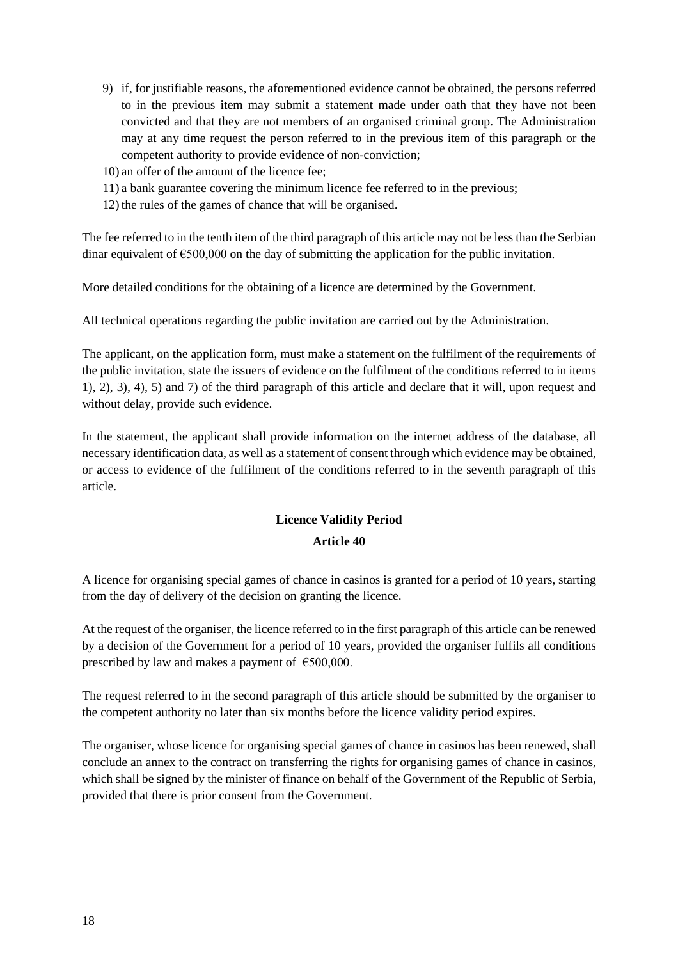- 9) if, for justifiable reasons, the aforementioned evidence cannot be obtained, the persons referred to in the previous item may submit a statement made under oath that they have not been convicted and that they are not members of an organised criminal group. The Administration may at any time request the person referred to in the previous item of this paragraph or the competent authority to provide evidence of non-conviction;
- 10) an offer of the amount of the licence fee;
- 11) a bank guarantee covering the minimum licence fee referred to in the previous;
- 12) the rules of the games of chance that will be organised.

The fee referred to in the tenth item of the third paragraph of this article may not be less than the Serbian dinar equivalent of  $\epsilon$ 500,000 on the day of submitting the application for the public invitation.

More detailed conditions for the obtaining of a licence are determined by the Government.

All technical operations regarding the public invitation are carried out by the Administration.

The applicant, on the application form, must make a statement on the fulfilment of the requirements of the public invitation, state the issuers of evidence on the fulfilment of the conditions referred to in items 1), 2), 3), 4), 5) and 7) of the third paragraph of this article and declare that it will, upon request and without delay, provide such evidence.

In the statement, the applicant shall provide information on the internet address of the database, all necessary identification data, as well as a statement of consent through which evidence may be obtained, or access to evidence of the fulfilment of the conditions referred to in the seventh paragraph of this article.

# **Licence Validity Period Article 40**

A licence for organising special games of chance in casinos is granted for a period of 10 years, starting from the day of delivery of the decision on granting the licence.

At the request of the organiser, the licence referred to in the first paragraph of this article can be renewed by a decision of the Government for a period of 10 years, provided the organiser fulfils all conditions prescribed by law and makes a payment of  $\epsilon$ 500,000.

The request referred to in the second paragraph of this article should be submitted by the organiser to the competent authority no later than six months before the licence validity period expires.

The organiser, whose licence for organising special games of chance in casinos has been renewed, shall conclude an annex to the contract on transferring the rights for organising games of chance in casinos, which shall be signed by the minister of finance on behalf of the Government of the Republic of Serbia, provided that there is prior consent from the Government.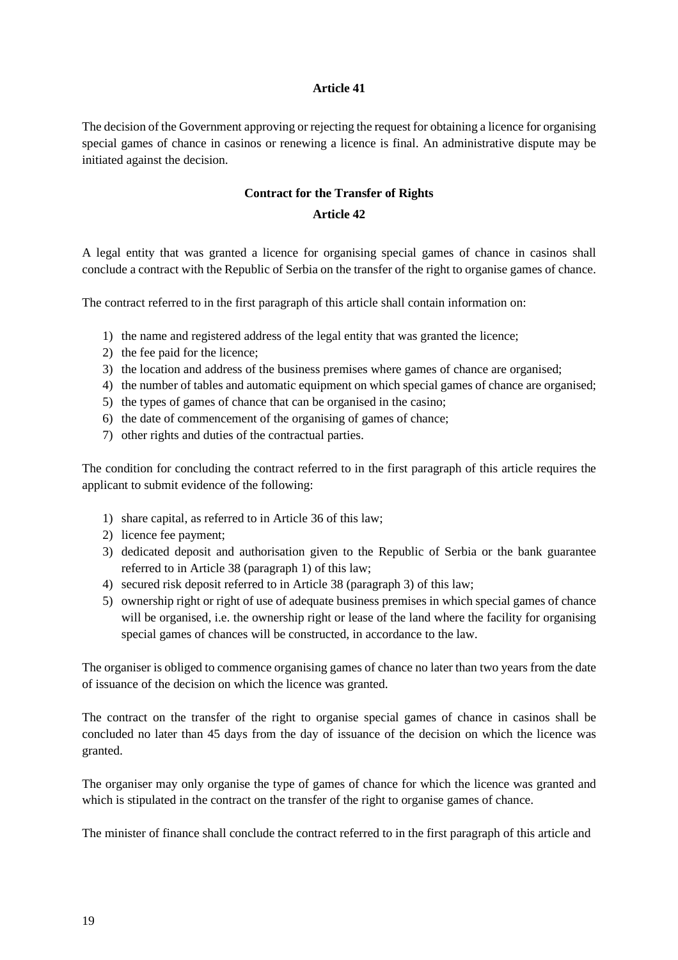#### **Article 41**

The decision of the Government approving or rejecting the request for obtaining a licence for organising special games of chance in casinos or renewing a licence is final. An administrative dispute may be initiated against the decision.

## **Contract for the Transfer of Rights**

#### **Article 42**

A legal entity that was granted a licence for organising special games of chance in casinos shall conclude a contract with the Republic of Serbia on the transfer of the right to organise games of chance.

The contract referred to in the first paragraph of this article shall contain information on:

- 1) the name and registered address of the legal entity that was granted the licence;
- 2) the fee paid for the licence;
- 3) the location and address of the business premises where games of chance are organised;
- 4) the number of tables and automatic equipment on which special games of chance are organised;
- 5) the types of games of chance that can be organised in the casino;
- 6) the date of commencement of the organising of games of chance;
- 7) other rights and duties of the contractual parties.

The condition for concluding the contract referred to in the first paragraph of this article requires the applicant to submit evidence of the following:

- 1) share capital, as referred to in Article 36 of this law;
- 2) licence fee payment;
- 3) dedicated deposit and authorisation given to the Republic of Serbia or the bank guarantee referred to in Article 38 (paragraph 1) of this law;
- 4) secured risk deposit referred to in Article 38 (paragraph 3) of this law;
- 5) ownership right or right of use of adequate business premises in which special games of chance will be organised, i.e. the ownership right or lease of the land where the facility for organising special games of chances will be constructed, in accordance to the law.

The organiser is obliged to commence organising games of chance no later than two years from the date of issuance of the decision on which the licence was granted.

The contract on the transfer of the right to organise special games of chance in casinos shall be concluded no later than 45 days from the day of issuance of the decision on which the licence was granted.

The organiser may only organise the type of games of chance for which the licence was granted and which is stipulated in the contract on the transfer of the right to organise games of chance.

The minister of finance shall conclude the contract referred to in the first paragraph of this article and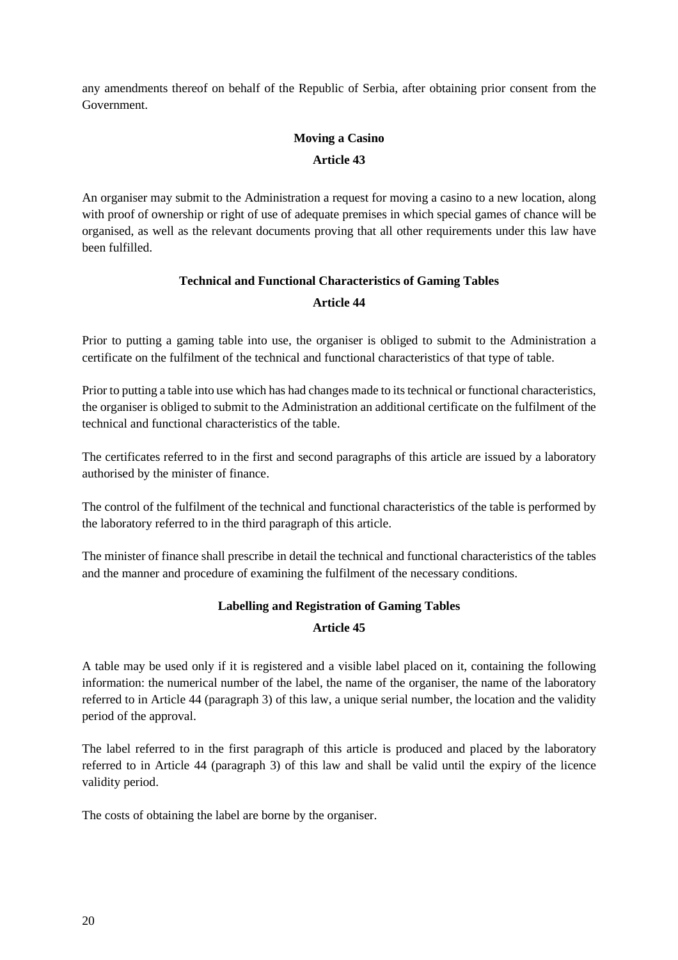any amendments thereof on behalf of the Republic of Serbia, after obtaining prior consent from the Government.

# **Moving a Casino Article 43**

An organiser may submit to the Administration a request for moving a casino to a new location, along with proof of ownership or right of use of adequate premises in which special games of chance will be organised, as well as the relevant documents proving that all other requirements under this law have been fulfilled.

# **Technical and Functional Characteristics of Gaming Tables Article 44**

Prior to putting a gaming table into use, the organiser is obliged to submit to the Administration a certificate on the fulfilment of the technical and functional characteristics of that type of table.

Prior to putting a table into use which has had changes made to its technical or functional characteristics, the organiser is obliged to submit to the Administration an additional certificate on the fulfilment of the technical and functional characteristics of the table.

The certificates referred to in the first and second paragraphs of this article are issued by a laboratory authorised by the minister of finance.

The control of the fulfilment of the technical and functional characteristics of the table is performed by the laboratory referred to in the third paragraph of this article.

The minister of finance shall prescribe in detail the technical and functional characteristics of the tables and the manner and procedure of examining the fulfilment of the necessary conditions.

# **Labelling and Registration of Gaming Tables Article 45**

A table may be used only if it is registered and a visible label placed on it, containing the following information: the numerical number of the label, the name of the organiser, the name of the laboratory referred to in Article 44 (paragraph 3) of this law, a unique serial number, the location and the validity period of the approval.

The label referred to in the first paragraph of this article is produced and placed by the laboratory referred to in Article 44 (paragraph 3) of this law and shall be valid until the expiry of the licence validity period.

The costs of obtaining the label are borne by the organiser.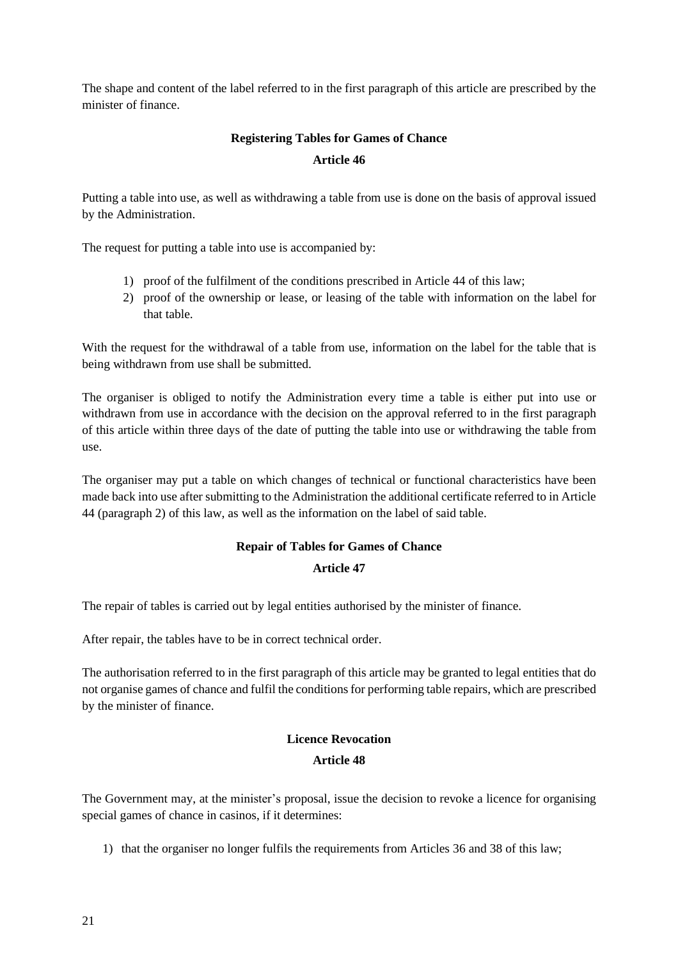The shape and content of the label referred to in the first paragraph of this article are prescribed by the minister of finance.

# **Registering Tables for Games of Chance Article 46**

Putting a table into use, as well as withdrawing a table from use is done on the basis of approval issued by the Administration.

The request for putting a table into use is accompanied by:

- 1) proof of the fulfilment of the conditions prescribed in Article 44 of this law;
- 2) proof of the ownership or lease, or leasing of the table with information on the label for that table.

With the request for the withdrawal of a table from use, information on the label for the table that is being withdrawn from use shall be submitted.

The organiser is obliged to notify the Administration every time a table is either put into use or withdrawn from use in accordance with the decision on the approval referred to in the first paragraph of this article within three days of the date of putting the table into use or withdrawing the table from use.

The organiser may put a table on which changes of technical or functional characteristics have been made back into use after submitting to the Administration the additional certificate referred to in Article 44 (paragraph 2) of this law, as well as the information on the label of said table.

# **Repair of Tables for Games of Chance**

## **Article 47**

The repair of tables is carried out by legal entities authorised by the minister of finance.

After repair, the tables have to be in correct technical order.

The authorisation referred to in the first paragraph of this article may be granted to legal entities that do not organise games of chance and fulfil the conditionsfor performing table repairs, which are prescribed by the minister of finance.

# **Licence Revocation**

#### **Article 48**

The Government may, at the minister's proposal, issue the decision to revoke a licence for organising special games of chance in casinos, if it determines:

1) that the organiser no longer fulfils the requirements from Articles 36 and 38 of this law;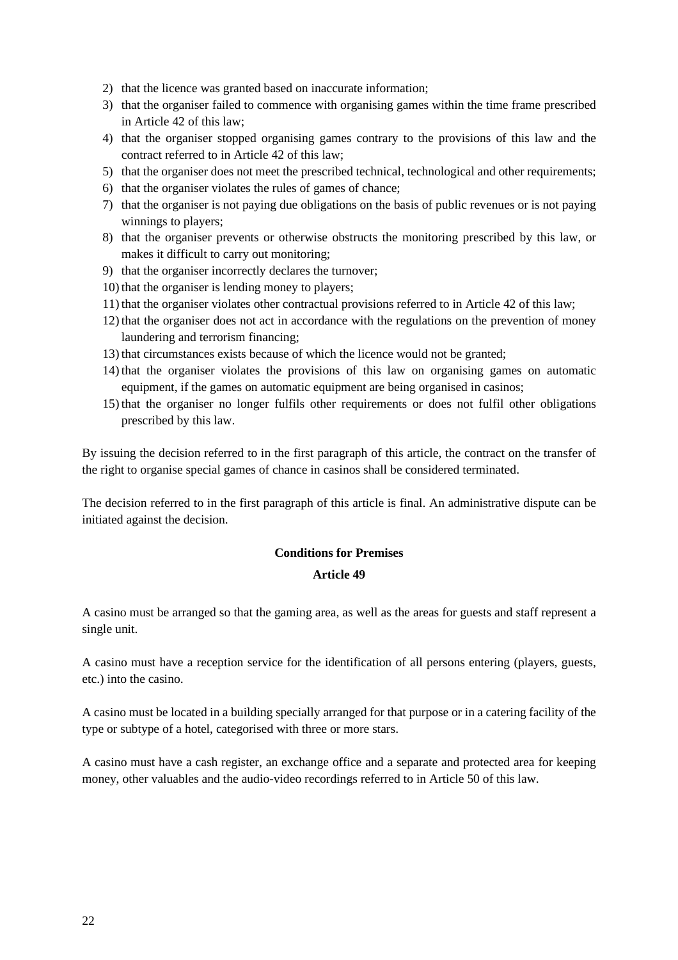- 2) that the licence was granted based on inaccurate information;
- 3) that the organiser failed to commence with organising games within the time frame prescribed in Article 42 of this law;
- 4) that the organiser stopped organising games contrary to the provisions of this law and the contract referred to in Article 42 of this law;
- 5) that the organiser does not meet the prescribed technical, technological and other requirements;
- 6) that the organiser violates the rules of games of chance;
- 7) that the organiser is not paying due obligations on the basis of public revenues or is not paying winnings to players;
- 8) that the organiser prevents or otherwise obstructs the monitoring prescribed by this law, or makes it difficult to carry out monitoring;
- 9) that the organiser incorrectly declares the turnover;
- 10) that the organiser is lending money to players;
- 11) that the organiser violates other contractual provisions referred to in Article 42 of this law;
- 12) that the organiser does not act in accordance with the regulations on the prevention of money laundering and terrorism financing;
- 13) that circumstances exists because of which the licence would not be granted;
- 14) that the organiser violates the provisions of this law on organising games on automatic equipment, if the games on automatic equipment are being organised in casinos;
- 15) that the organiser no longer fulfils other requirements or does not fulfil other obligations prescribed by this law.

By issuing the decision referred to in the first paragraph of this article, the contract on the transfer of the right to organise special games of chance in casinos shall be considered terminated.

The decision referred to in the first paragraph of this article is final. An administrative dispute can be initiated against the decision.

#### **Conditions for Premises**

#### **Article 49**

A casino must be arranged so that the gaming area, as well as the areas for guests and staff represent a single unit.

A casino must have a reception service for the identification of all persons entering (players, guests, etc.) into the casino.

A casino must be located in a building specially arranged for that purpose or in a catering facility of the type or subtype of a hotel, categorised with three or more stars.

A casino must have a cash register, an exchange office and a separate and protected area for keeping money, other valuables and the audio-video recordings referred to in Article 50 of this law.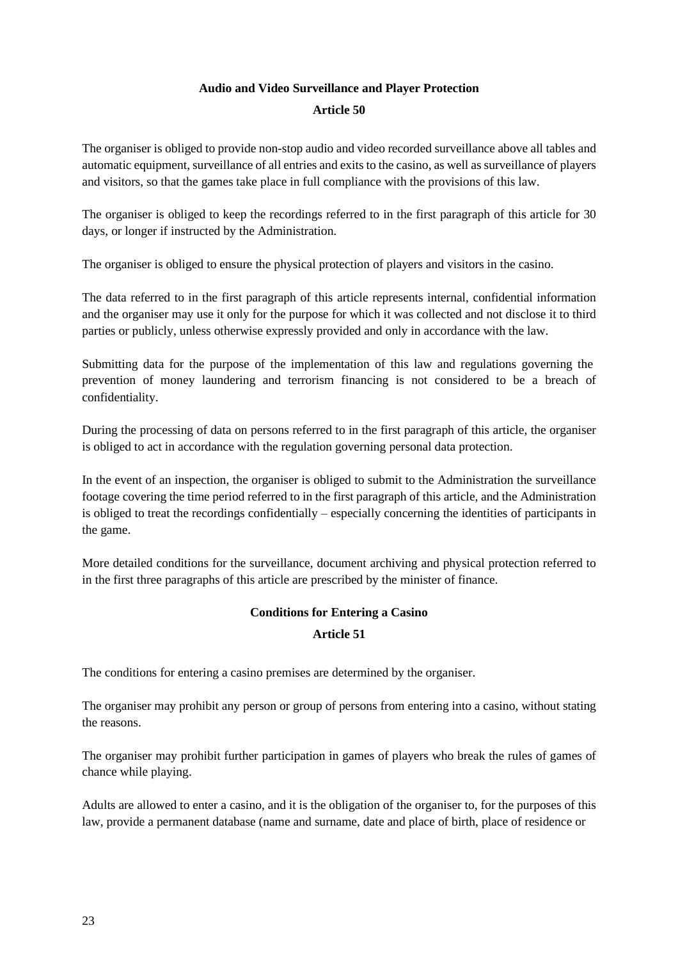# **Audio and Video Surveillance and Player Protection**

#### **Article 50**

The organiser is obliged to provide non-stop audio and video recorded surveillance above all tables and automatic equipment, surveillance of all entries and exits to the casino, as well as surveillance of players and visitors, so that the games take place in full compliance with the provisions of this law.

The organiser is obliged to keep the recordings referred to in the first paragraph of this article for 30 days, or longer if instructed by the Administration.

The organiser is obliged to ensure the physical protection of players and visitors in the casino.

The data referred to in the first paragraph of this article represents internal, confidential information and the organiser may use it only for the purpose for which it was collected and not disclose it to third parties or publicly, unless otherwise expressly provided and only in accordance with the law.

Submitting data for the purpose of the implementation of this law and regulations governing the prevention of money laundering and terrorism financing is not considered to be a breach of confidentiality.

During the processing of data on persons referred to in the first paragraph of this article, the organiser is obliged to act in accordance with the regulation governing personal data protection.

In the event of an inspection, the organiser is obliged to submit to the Administration the surveillance footage covering the time period referred to in the first paragraph of this article, and the Administration is obliged to treat the recordings confidentially – especially concerning the identities of participants in the game.

More detailed conditions for the surveillance, document archiving and physical protection referred to in the first three paragraphs of this article are prescribed by the minister of finance.

# **Conditions for Entering a Casino Article 51**

The conditions for entering a casino premises are determined by the organiser.

The organiser may prohibit any person or group of persons from entering into a casino, without stating the reasons.

The organiser may prohibit further participation in games of players who break the rules of games of chance while playing.

Adults are allowed to enter a casino, and it is the obligation of the organiser to, for the purposes of this law, provide a permanent database (name and surname, date and place of birth, place of residence or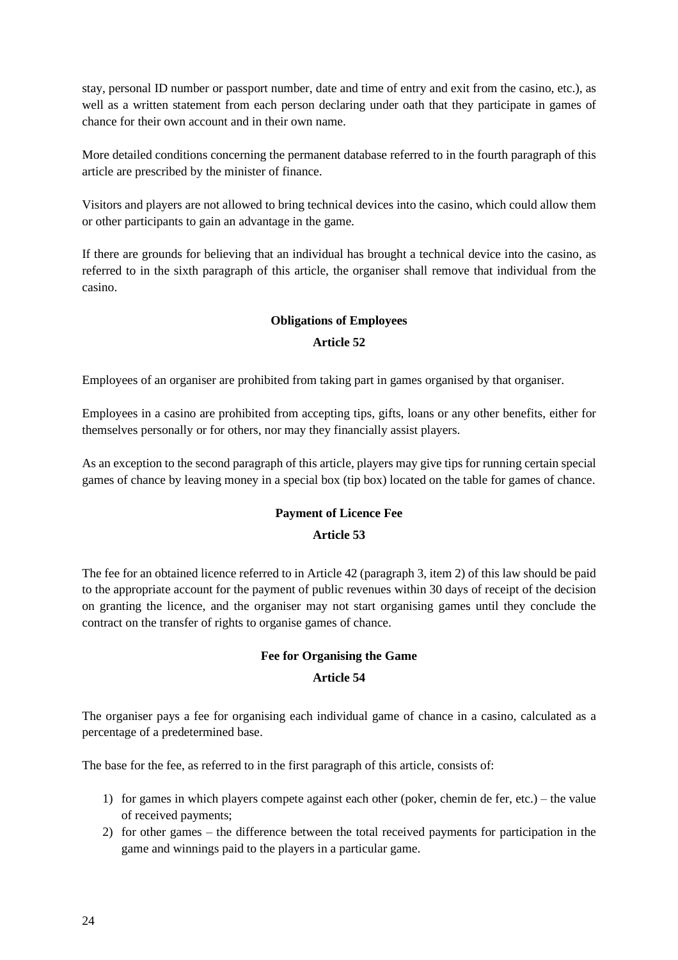stay, personal ID number or passport number, date and time of entry and exit from the casino, etc.), as well as a written statement from each person declaring under oath that they participate in games of chance for their own account and in their own name.

More detailed conditions concerning the permanent database referred to in the fourth paragraph of this article are prescribed by the minister of finance.

Visitors and players are not allowed to bring technical devices into the casino, which could allow them or other participants to gain an advantage in the game.

If there are grounds for believing that an individual has brought a technical device into the casino, as referred to in the sixth paragraph of this article, the organiser shall remove that individual from the casino.

# **Obligations of Employees Article 52**

Employees of an organiser are prohibited from taking part in games organised by that organiser.

Employees in a casino are prohibited from accepting tips, gifts, loans or any other benefits, either for themselves personally or for others, nor may they financially assist players.

As an exception to the second paragraph of this article, players may give tips for running certain special games of chance by leaving money in a special box (tip box) located on the table for games of chance.

## **Payment of Licence Fee**

## **Article 53**

The fee for an obtained licence referred to in Article 42 (paragraph 3, item 2) of this law should be paid to the appropriate account for the payment of public revenues within 30 days of receipt of the decision on granting the licence, and the organiser may not start organising games until they conclude the contract on the transfer of rights to organise games of chance.

# **Fee for Organising the Game**

#### **Article 54**

The organiser pays a fee for organising each individual game of chance in a casino, calculated as a percentage of a predetermined base.

The base for the fee, as referred to in the first paragraph of this article, consists of:

- 1) for games in which players compete against each other (poker, chemin de fer, etc.) the value of received payments;
- 2) for other games the difference between the total received payments for participation in the game and winnings paid to the players in a particular game.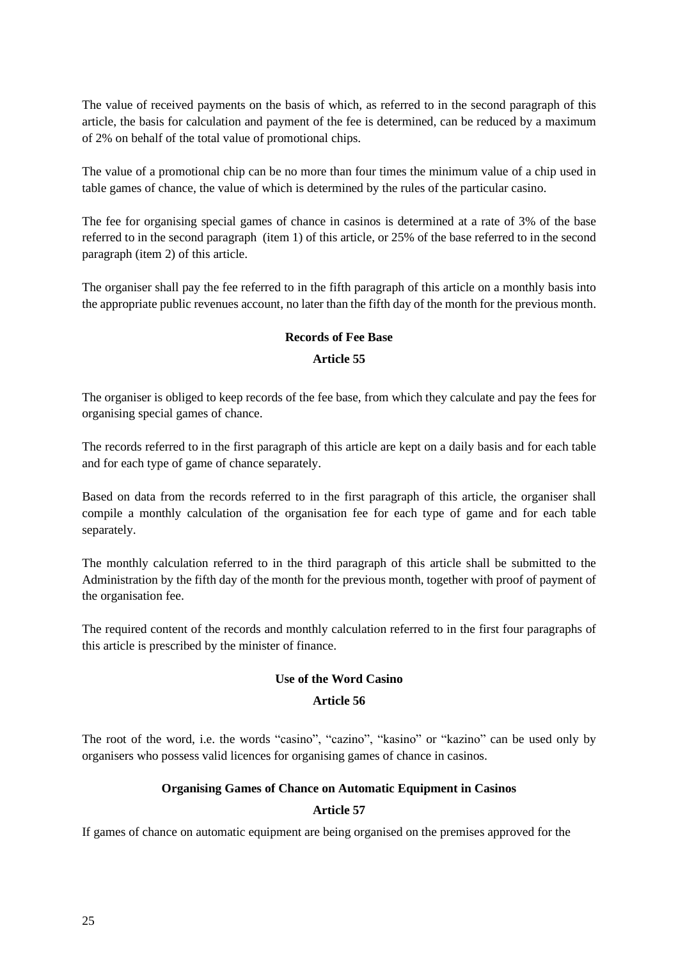The value of received payments on the basis of which, as referred to in the second paragraph of this article, the basis for calculation and payment of the fee is determined, can be reduced by a maximum of 2% on behalf of the total value of promotional chips.

The value of a promotional chip can be no more than four times the minimum value of a chip used in table games of chance, the value of which is determined by the rules of the particular casino.

The fee for organising special games of chance in casinos is determined at a rate of 3% of the base referred to in the second paragraph (item 1) of this article, or 25% of the base referred to in the second paragraph (item 2) of this article.

The organiser shall pay the fee referred to in the fifth paragraph of this article on a monthly basis into the appropriate public revenues account, no later than the fifth day of the month for the previous month.

#### **Records of Fee Base**

#### **Article 55**

The organiser is obliged to keep records of the fee base, from which they calculate and pay the fees for organising special games of chance.

The records referred to in the first paragraph of this article are kept on a daily basis and for each table and for each type of game of chance separately.

Based on data from the records referred to in the first paragraph of this article, the organiser shall compile a monthly calculation of the organisation fee for each type of game and for each table separately.

The monthly calculation referred to in the third paragraph of this article shall be submitted to the Administration by the fifth day of the month for the previous month, together with proof of payment of the organisation fee.

The required content of the records and monthly calculation referred to in the first four paragraphs of this article is prescribed by the minister of finance.

## **Use of the Word Casino**

#### **Article 56**

The root of the word, i.e. the words "casino", "cazino", "kasino" or "kazino" can be used only by organisers who possess valid licences for organising games of chance in casinos.

## **Organising Games of Chance on Automatic Equipment in Casinos**

## **Article 57**

If games of chance on automatic equipment are being organised on the premises approved for the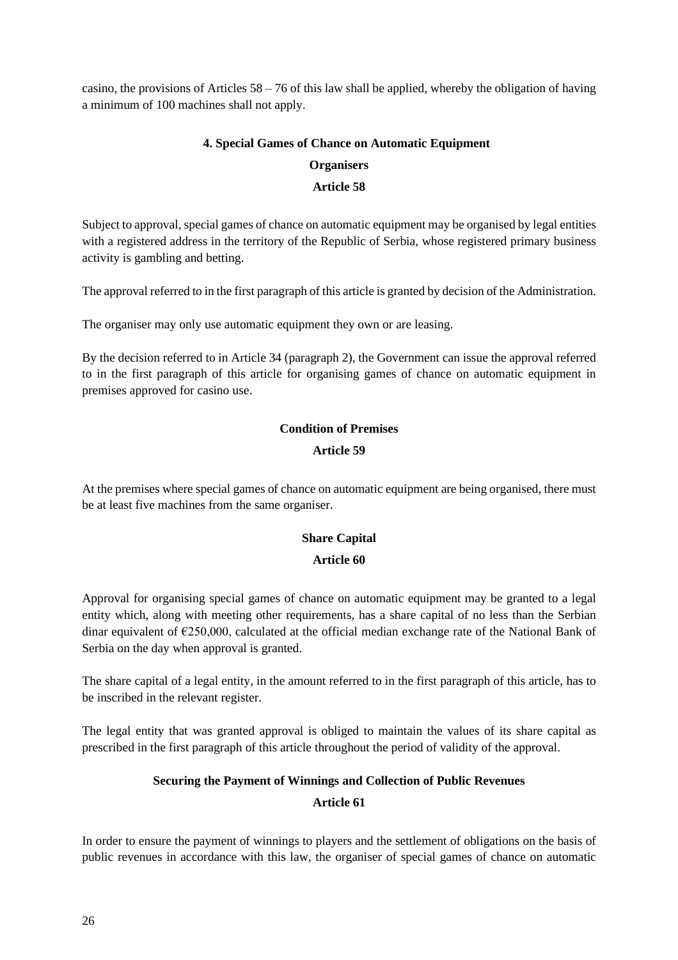casino, the provisions of Articles 58 – 76 of this law shall be applied, whereby the obligation of having a minimum of 100 machines shall not apply.

## **4. Special Games of Chance on Automatic Equipment**

# **Organisers**

# **Article 58**

Subject to approval, special games of chance on automatic equipment may be organised by legal entities with a registered address in the territory of the Republic of Serbia, whose registered primary business activity is gambling and betting.

The approval referred to in the first paragraph of this article is granted by decision of the Administration.

The organiser may only use automatic equipment they own or are leasing.

By the decision referred to in Article 34 (paragraph 2), the Government can issue the approval referred to in the first paragraph of this article for organising games of chance on automatic equipment in premises approved for casino use.

# **Condition of Premises**

## **Article 59**

At the premises where special games of chance on automatic equipment are being organised, there must be at least five machines from the same organiser.

# **Share Capital**

## **Article 60**

Approval for organising special games of chance on automatic equipment may be granted to a legal entity which, along with meeting other requirements, has a share capital of no less than the Serbian dinar equivalent of  $\epsilon$ 250,000, calculated at the official median exchange rate of the National Bank of Serbia on the day when approval is granted.

The share capital of a legal entity, in the amount referred to in the first paragraph of this article, has to be inscribed in the relevant register.

The legal entity that was granted approval is obliged to maintain the values of its share capital as prescribed in the first paragraph of this article throughout the period of validity of the approval.

## **Securing the Payment of Winnings and Collection of Public Revenues**

# **Article 61**

In order to ensure the payment of winnings to players and the settlement of obligations on the basis of public revenues in accordance with this law, the organiser of special games of chance on automatic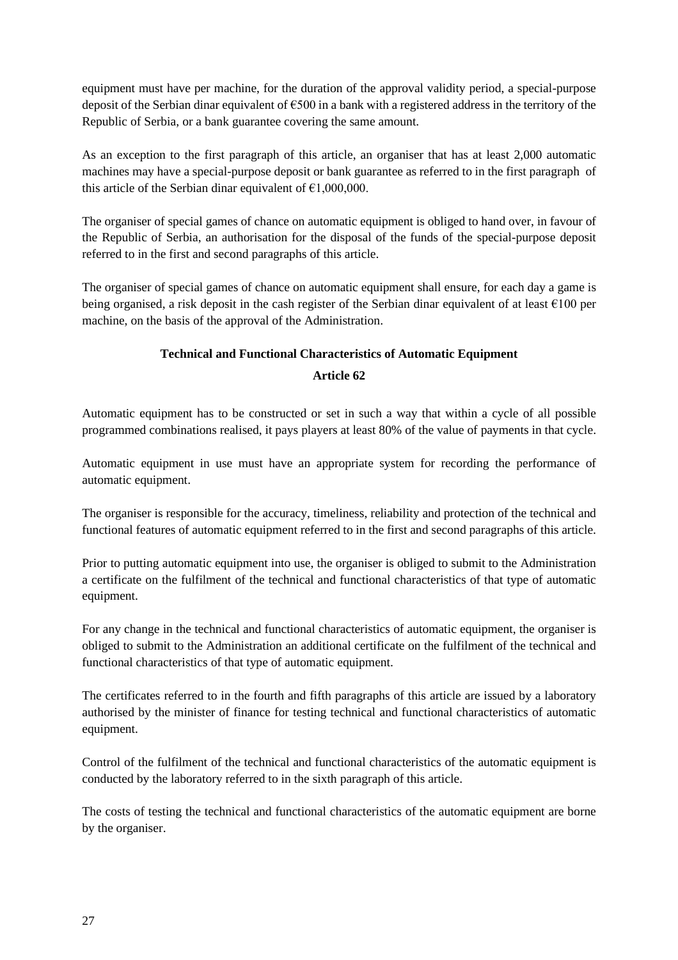equipment must have per machine, for the duration of the approval validity period, a special-purpose deposit of the Serbian dinar equivalent of €500 in a bank with a registered address in the territory of the Republic of Serbia, or a bank guarantee covering the same amount.

As an exception to the first paragraph of this article, an organiser that has at least 2,000 automatic machines may have a special-purpose deposit or bank guarantee as referred to in the first paragraph of this article of the Serbian dinar equivalent of  $\epsilon$ 1,000,000.

The organiser of special games of chance on automatic equipment is obliged to hand over, in favour of the Republic of Serbia, an authorisation for the disposal of the funds of the special-purpose deposit referred to in the first and second paragraphs of this article.

The organiser of special games of chance on automatic equipment shall ensure, for each day a game is being organised, a risk deposit in the cash register of the Serbian dinar equivalent of at least €100 per machine, on the basis of the approval of the Administration.

# **Technical and Functional Characteristics of Automatic Equipment Article 62**

Automatic equipment has to be constructed or set in such a way that within a cycle of all possible programmed combinations realised, it pays players at least 80% of the value of payments in that cycle.

Automatic equipment in use must have an appropriate system for recording the performance of automatic equipment.

The organiser is responsible for the accuracy, timeliness, reliability and protection of the technical and functional features of automatic equipment referred to in the first and second paragraphs of this article.

Prior to putting automatic equipment into use, the organiser is obliged to submit to the Administration a certificate on the fulfilment of the technical and functional characteristics of that type of automatic equipment.

For any change in the technical and functional characteristics of automatic equipment, the organiser is obliged to submit to the Administration an additional certificate on the fulfilment of the technical and functional characteristics of that type of automatic equipment.

The certificates referred to in the fourth and fifth paragraphs of this article are issued by a laboratory authorised by the minister of finance for testing technical and functional characteristics of automatic equipment.

Control of the fulfilment of the technical and functional characteristics of the automatic equipment is conducted by the laboratory referred to in the sixth paragraph of this article.

The costs of testing the technical and functional characteristics of the automatic equipment are borne by the organiser.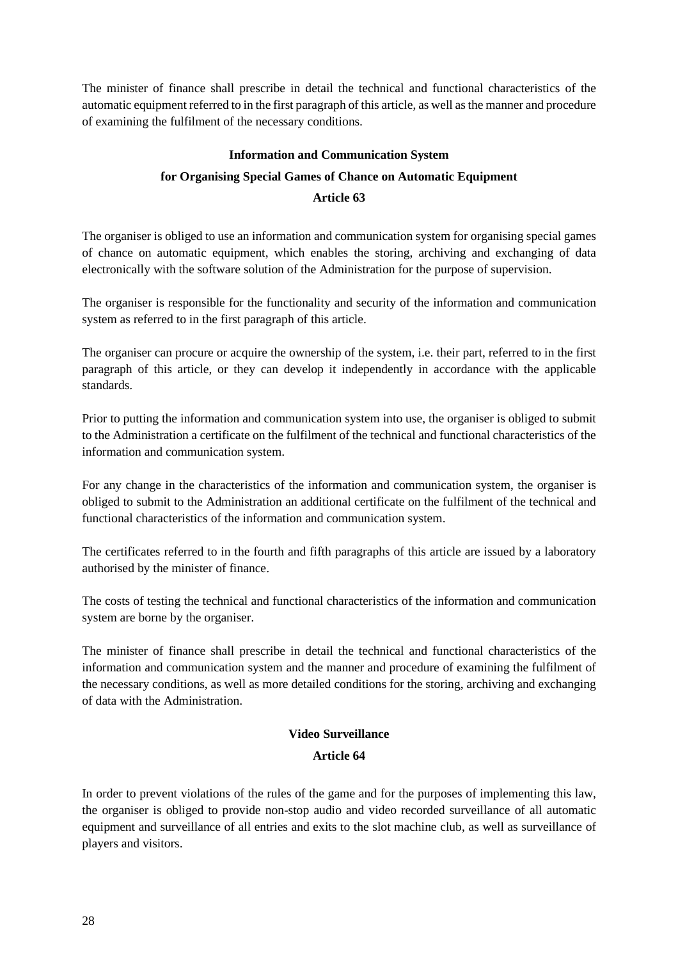The minister of finance shall prescribe in detail the technical and functional characteristics of the automatic equipment referred to in the first paragraph of this article, as well asthe manner and procedure of examining the fulfilment of the necessary conditions.

# **Information and Communication System for Organising Special Games of Chance on Automatic Equipment Article 63**

The organiser is obliged to use an information and communication system for organising special games of chance on automatic equipment, which enables the storing, archiving and exchanging of data electronically with the software solution of the Administration for the purpose of supervision.

The organiser is responsible for the functionality and security of the information and communication system as referred to in the first paragraph of this article.

The organiser can procure or acquire the ownership of the system, i.e. their part, referred to in the first paragraph of this article, or they can develop it independently in accordance with the applicable standards.

Prior to putting the information and communication system into use, the organiser is obliged to submit to the Administration a certificate on the fulfilment of the technical and functional characteristics of the information and communication system.

For any change in the characteristics of the information and communication system, the organiser is obliged to submit to the Administration an additional certificate on the fulfilment of the technical and functional characteristics of the information and communication system.

The certificates referred to in the fourth and fifth paragraphs of this article are issued by a laboratory authorised by the minister of finance.

The costs of testing the technical and functional characteristics of the information and communication system are borne by the organiser.

The minister of finance shall prescribe in detail the technical and functional characteristics of the information and communication system and the manner and procedure of examining the fulfilment of the necessary conditions, as well as more detailed conditions for the storing, archiving and exchanging of data with the Administration.

# **Video Surveillance**

## **Article 64**

In order to prevent violations of the rules of the game and for the purposes of implementing this law, the organiser is obliged to provide non-stop audio and video recorded surveillance of all automatic equipment and surveillance of all entries and exits to the slot machine club, as well as surveillance of players and visitors.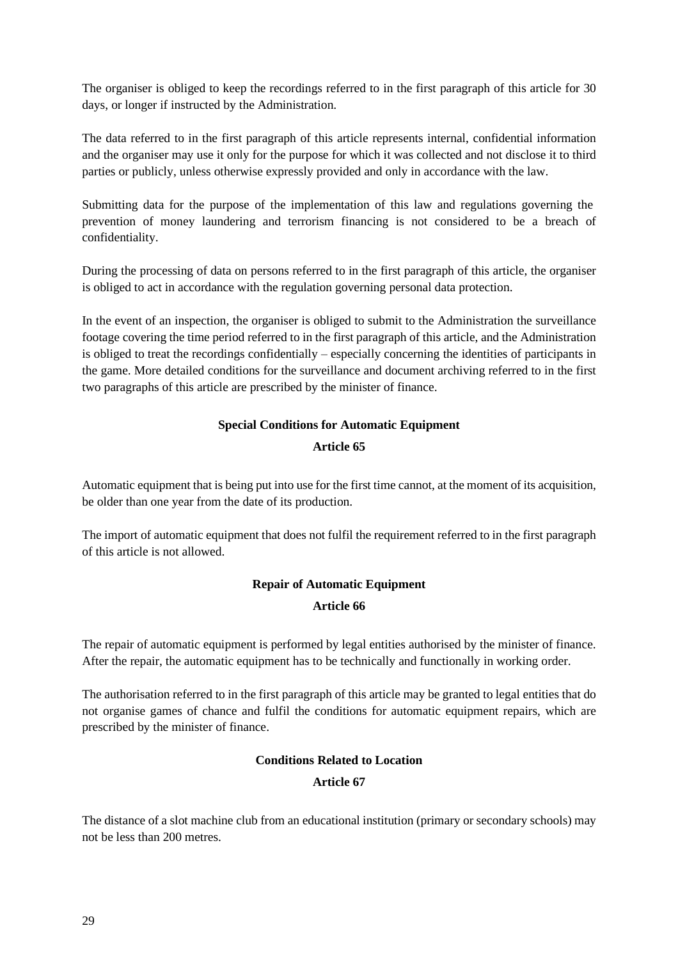The organiser is obliged to keep the recordings referred to in the first paragraph of this article for 30 days, or longer if instructed by the Administration.

The data referred to in the first paragraph of this article represents internal, confidential information and the organiser may use it only for the purpose for which it was collected and not disclose it to third parties or publicly, unless otherwise expressly provided and only in accordance with the law.

Submitting data for the purpose of the implementation of this law and regulations governing the prevention of money laundering and terrorism financing is not considered to be a breach of confidentiality.

During the processing of data on persons referred to in the first paragraph of this article, the organiser is obliged to act in accordance with the regulation governing personal data protection.

In the event of an inspection, the organiser is obliged to submit to the Administration the surveillance footage covering the time period referred to in the first paragraph of this article, and the Administration is obliged to treat the recordings confidentially – especially concerning the identities of participants in the game. More detailed conditions for the surveillance and document archiving referred to in the first two paragraphs of this article are prescribed by the minister of finance.

# **Special Conditions for Automatic Equipment**

## **Article 65**

Automatic equipment that is being put into use for the first time cannot, at the moment of its acquisition, be older than one year from the date of its production.

The import of automatic equipment that does not fulfil the requirement referred to in the first paragraph of this article is not allowed.

# **Repair of Automatic Equipment Article 66**

The repair of automatic equipment is performed by legal entities authorised by the minister of finance. After the repair, the automatic equipment has to be technically and functionally in working order.

The authorisation referred to in the first paragraph of this article may be granted to legal entities that do not organise games of chance and fulfil the conditions for automatic equipment repairs, which are prescribed by the minister of finance.

# **Conditions Related to Location**

**Article 67**

The distance of a slot machine club from an educational institution (primary or secondary schools) may not be less than 200 metres.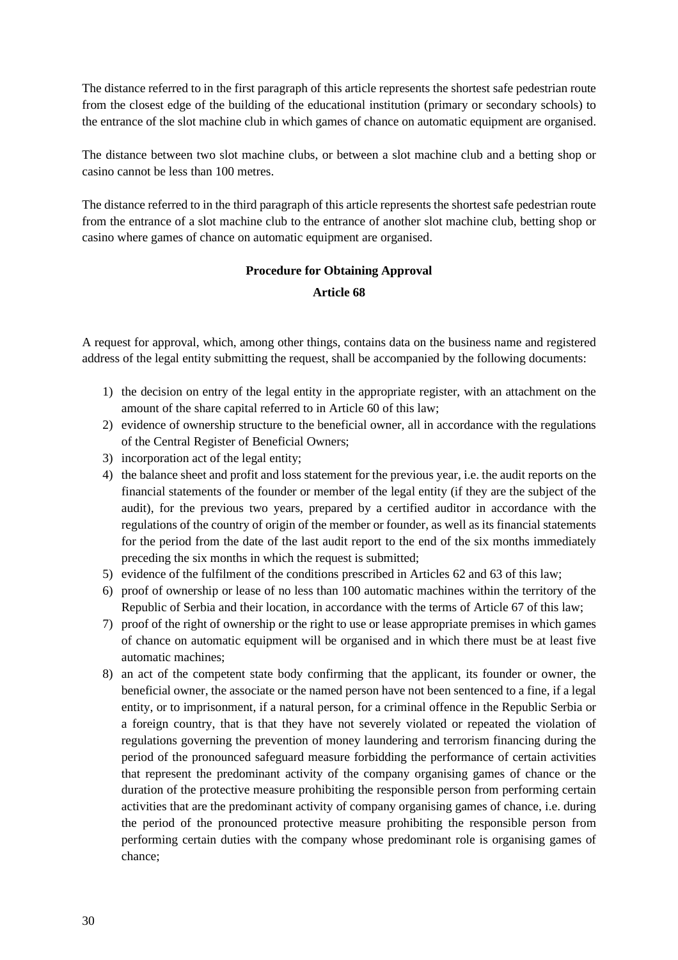The distance referred to in the first paragraph of this article represents the shortest safe pedestrian route from the closest edge of the building of the educational institution (primary or secondary schools) to the entrance of the slot machine club in which games of chance on automatic equipment are organised.

The distance between two slot machine clubs, or between a slot machine club and a betting shop or casino cannot be less than 100 metres.

The distance referred to in the third paragraph of this article represents the shortest safe pedestrian route from the entrance of a slot machine club to the entrance of another slot machine club, betting shop or casino where games of chance on automatic equipment are organised.

## **Procedure for Obtaining Approval**

#### **Article 68**

A request for approval, which, among other things, contains data on the business name and registered address of the legal entity submitting the request, shall be accompanied by the following documents:

- 1) the decision on entry of the legal entity in the appropriate register, with an attachment on the amount of the share capital referred to in Article 60 of this law;
- 2) evidence of ownership structure to the beneficial owner, all in accordance with the regulations of the Central Register of Beneficial Owners;
- 3) incorporation act of the legal entity;
- 4) the balance sheet and profit and loss statement for the previous year, i.e. the audit reports on the financial statements of the founder or member of the legal entity (if they are the subject of the audit), for the previous two years, prepared by a certified auditor in accordance with the regulations of the country of origin of the member or founder, as well as its financial statements for the period from the date of the last audit report to the end of the six months immediately preceding the six months in which the request is submitted;
- 5) evidence of the fulfilment of the conditions prescribed in Articles 62 and 63 of this law;
- 6) proof of ownership or lease of no less than 100 automatic machines within the territory of the Republic of Serbia and their location, in accordance with the terms of Article 67 of this law;
- 7) proof of the right of ownership or the right to use or lease appropriate premises in which games of chance on automatic equipment will be organised and in which there must be at least five automatic machines;
- 8) an act of the competent state body confirming that the applicant, its founder or owner, the beneficial owner, the associate or the named person have not been sentenced to a fine, if a legal entity, or to imprisonment, if a natural person, for a criminal offence in the Republic Serbia or a foreign country, that is that they have not severely violated or repeated the violation of regulations governing the prevention of money laundering and terrorism financing during the period of the pronounced safeguard measure forbidding the performance of certain activities that represent the predominant activity of the company organising games of chance or the duration of the protective measure prohibiting the responsible person from performing certain activities that are the predominant activity of company organising games of chance, i.e. during the period of the pronounced protective measure prohibiting the responsible person from performing certain duties with the company whose predominant role is organising games of chance;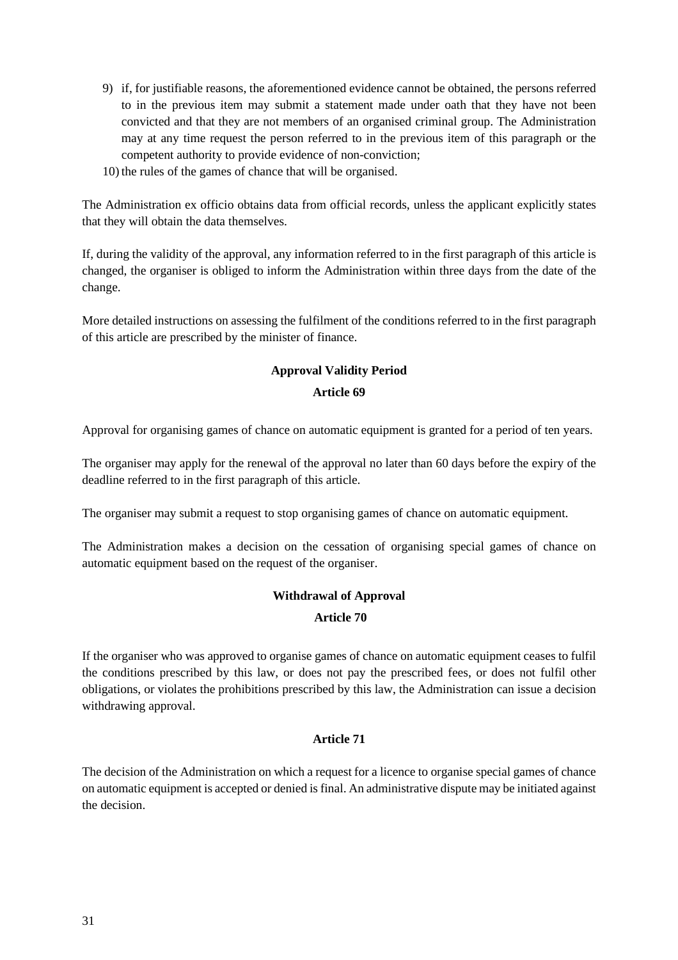- 9) if, for justifiable reasons, the aforementioned evidence cannot be obtained, the persons referred to in the previous item may submit a statement made under oath that they have not been convicted and that they are not members of an organised criminal group. The Administration may at any time request the person referred to in the previous item of this paragraph or the competent authority to provide evidence of non-conviction;
- 10) the rules of the games of chance that will be organised.

The Administration ex officio obtains data from official records, unless the applicant explicitly states that they will obtain the data themselves.

If, during the validity of the approval, any information referred to in the first paragraph of this article is changed, the organiser is obliged to inform the Administration within three days from the date of the change.

More detailed instructions on assessing the fulfilment of the conditions referred to in the first paragraph of this article are prescribed by the minister of finance.

## **Approval Validity Period**

#### **Article 69**

Approval for organising games of chance on automatic equipment is granted for a period of ten years.

The organiser may apply for the renewal of the approval no later than 60 days before the expiry of the deadline referred to in the first paragraph of this article.

The organiser may submit a request to stop organising games of chance on automatic equipment.

The Administration makes a decision on the cessation of organising special games of chance on automatic equipment based on the request of the organiser.

## **Withdrawal of Approval**

#### **Article 70**

If the organiser who was approved to organise games of chance on automatic equipment ceases to fulfil the conditions prescribed by this law, or does not pay the prescribed fees, or does not fulfil other obligations, or violates the prohibitions prescribed by this law, the Administration can issue a decision withdrawing approval.

#### **Article 71**

The decision of the Administration on which a request for a licence to organise special games of chance on automatic equipment is accepted or denied isfinal. An administrative dispute may be initiated against the decision.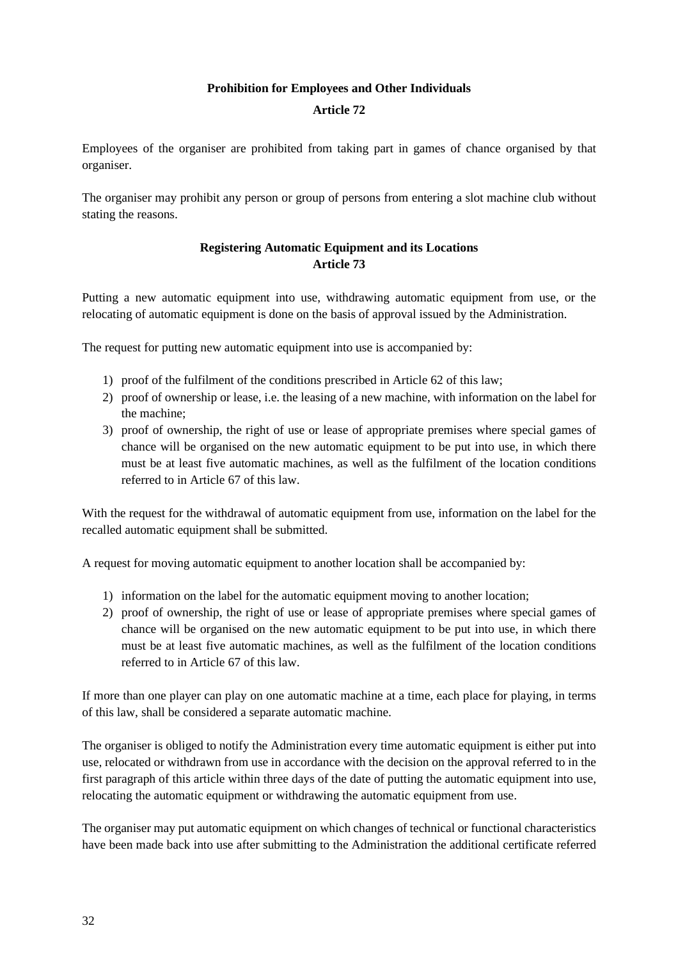## **Prohibition for Employees and Other Individuals**

#### **Article 72**

Employees of the organiser are prohibited from taking part in games of chance organised by that organiser.

The organiser may prohibit any person or group of persons from entering a slot machine club without stating the reasons.

## **Registering Automatic Equipment and its Locations Article 73**

Putting a new automatic equipment into use, withdrawing automatic equipment from use, or the relocating of automatic equipment is done on the basis of approval issued by the Administration.

The request for putting new automatic equipment into use is accompanied by:

- 1) proof of the fulfilment of the conditions prescribed in Article 62 of this law;
- 2) proof of ownership or lease, i.e. the leasing of a new machine, with information on the label for the machine;
- 3) proof of ownership, the right of use or lease of appropriate premises where special games of chance will be organised on the new automatic equipment to be put into use, in which there must be at least five automatic machines, as well as the fulfilment of the location conditions referred to in Article 67 of this law.

With the request for the withdrawal of automatic equipment from use, information on the label for the recalled automatic equipment shall be submitted.

A request for moving automatic equipment to another location shall be accompanied by:

- 1) information on the label for the automatic equipment moving to another location;
- 2) proof of ownership, the right of use or lease of appropriate premises where special games of chance will be organised on the new automatic equipment to be put into use, in which there must be at least five automatic machines, as well as the fulfilment of the location conditions referred to in Article 67 of this law.

If more than one player can play on one automatic machine at a time, each place for playing, in terms of this law, shall be considered a separate automatic machine.

The organiser is obliged to notify the Administration every time automatic equipment is either put into use, relocated or withdrawn from use in accordance with the decision on the approval referred to in the first paragraph of this article within three days of the date of putting the automatic equipment into use, relocating the automatic equipment or withdrawing the automatic equipment from use.

The organiser may put automatic equipment on which changes of technical or functional characteristics have been made back into use after submitting to the Administration the additional certificate referred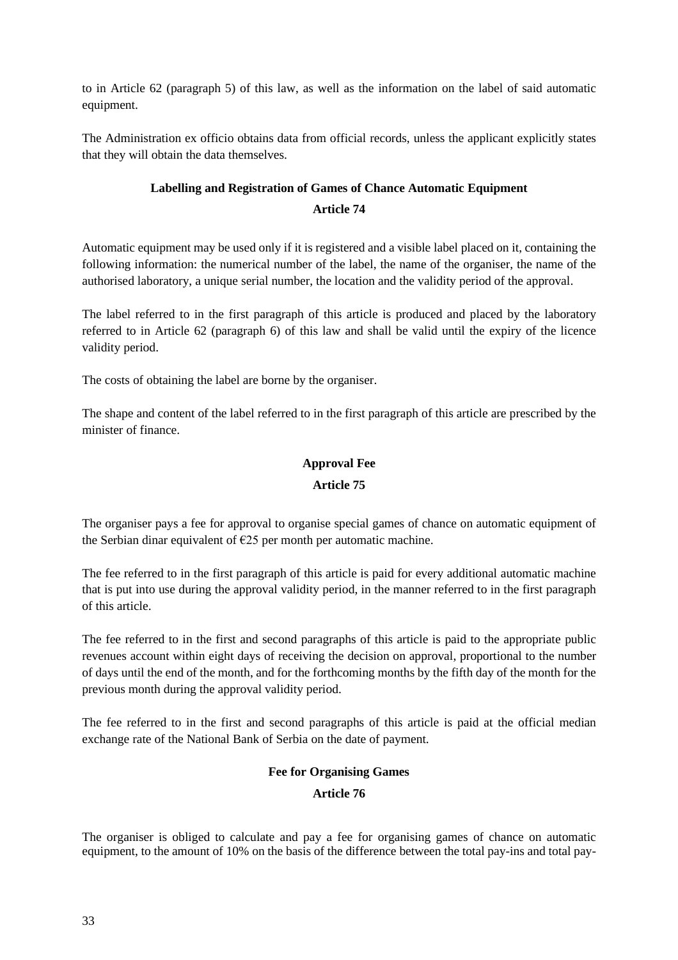to in Article 62 (paragraph 5) of this law, as well as the information on the label of said automatic equipment.

The Administration ex officio obtains data from official records, unless the applicant explicitly states that they will obtain the data themselves.

# **Labelling and Registration of Games of Chance Automatic Equipment Article 74**

Automatic equipment may be used only if it is registered and a visible label placed on it, containing the following information: the numerical number of the label, the name of the organiser, the name of the authorised laboratory, a unique serial number, the location and the validity period of the approval.

The label referred to in the first paragraph of this article is produced and placed by the laboratory referred to in Article 62 (paragraph 6) of this law and shall be valid until the expiry of the licence validity period.

The costs of obtaining the label are borne by the organiser.

The shape and content of the label referred to in the first paragraph of this article are prescribed by the minister of finance.

# **Approval Fee**

## **Article 75**

The organiser pays a fee for approval to organise special games of chance on automatic equipment of the Serbian dinar equivalent of  $E25$  per month per automatic machine.

The fee referred to in the first paragraph of this article is paid for every additional automatic machine that is put into use during the approval validity period, in the manner referred to in the first paragraph of this article.

The fee referred to in the first and second paragraphs of this article is paid to the appropriate public revenues account within eight days of receiving the decision on approval, proportional to the number of days until the end of the month, and for the forthcoming months by the fifth day of the month for the previous month during the approval validity period.

The fee referred to in the first and second paragraphs of this article is paid at the official median exchange rate of the National Bank of Serbia on the date of payment.

## **Fee for Organising Games**

## **Article 76**

The organiser is obliged to calculate and pay a fee for organising games of chance on automatic equipment, to the amount of 10% on the basis of the difference between the total pay-ins and total pay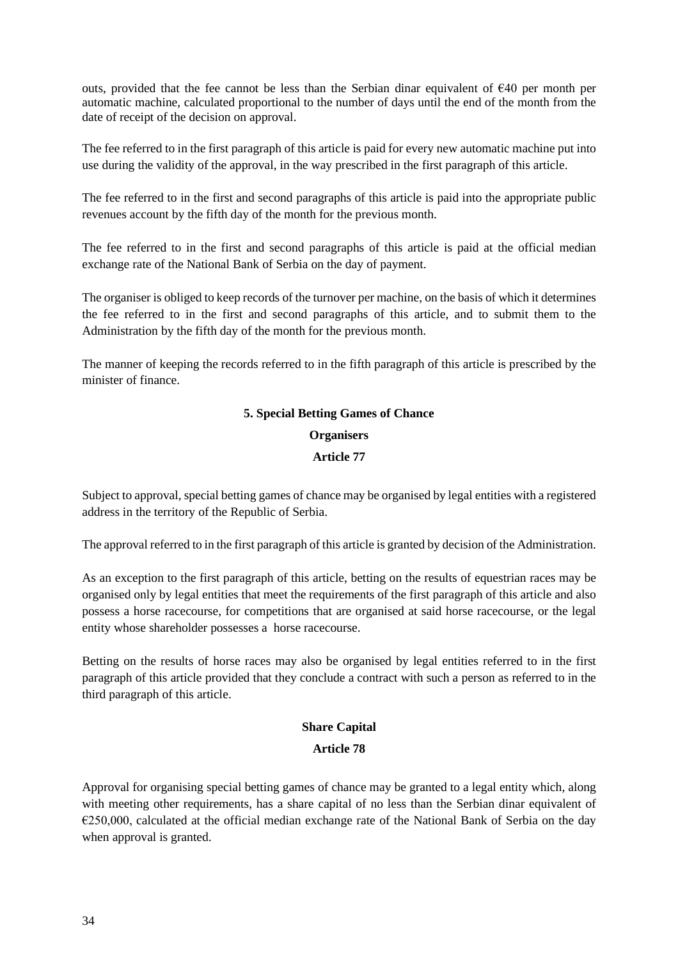outs, provided that the fee cannot be less than the Serbian dinar equivalent of  $\epsilon$ 40 per month per automatic machine, calculated proportional to the number of days until the end of the month from the date of receipt of the decision on approval.

The fee referred to in the first paragraph of this article is paid for every new automatic machine put into use during the validity of the approval, in the way prescribed in the first paragraph of this article.

The fee referred to in the first and second paragraphs of this article is paid into the appropriate public revenues account by the fifth day of the month for the previous month.

The fee referred to in the first and second paragraphs of this article is paid at the official median exchange rate of the National Bank of Serbia on the day of payment.

The organiser is obliged to keep records of the turnover per machine, on the basis of which it determines the fee referred to in the first and second paragraphs of this article, and to submit them to the Administration by the fifth day of the month for the previous month.

The manner of keeping the records referred to in the fifth paragraph of this article is prescribed by the minister of finance.

# **5. Special Betting Games of Chance Organisers**

## **Article 77**

Subject to approval, special betting games of chance may be organised by legal entities with a registered address in the territory of the Republic of Serbia.

The approval referred to in the first paragraph of this article is granted by decision of the Administration.

As an exception to the first paragraph of this article, betting on the results of equestrian races may be organised only by legal entities that meet the requirements of the first paragraph of this article and also possess a horse racecourse, for competitions that are organised at said horse racecourse, or the legal entity whose shareholder possesses a horse racecourse.

Betting on the results of horse races may also be organised by legal entities referred to in the first paragraph of this article provided that they conclude a contract with such a person as referred to in the third paragraph of this article.

# **Share Capital**

# **Article 78**

Approval for organising special betting games of chance may be granted to a legal entity which, along with meeting other requirements, has a share capital of no less than the Serbian dinar equivalent of €250,000, calculated at the official median exchange rate of the National Bank of Serbia on the day when approval is granted.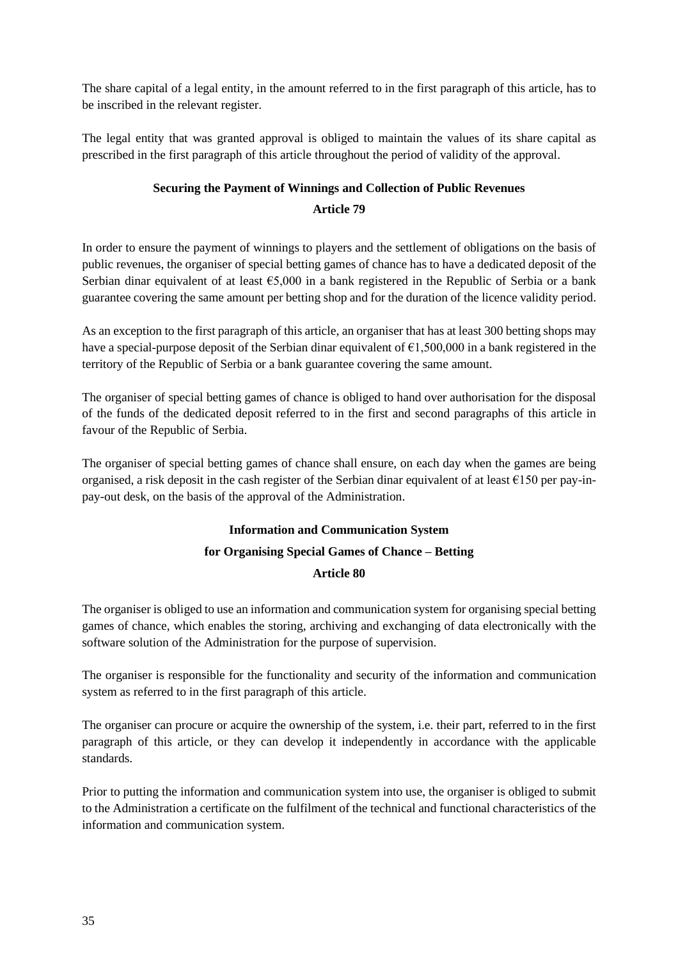The share capital of a legal entity, in the amount referred to in the first paragraph of this article, has to be inscribed in the relevant register.

The legal entity that was granted approval is obliged to maintain the values of its share capital as prescribed in the first paragraph of this article throughout the period of validity of the approval.

# **Securing the Payment of Winnings and Collection of Public Revenues Article 79**

In order to ensure the payment of winnings to players and the settlement of obligations on the basis of public revenues, the organiser of special betting games of chance has to have a dedicated deposit of the Serbian dinar equivalent of at least €5,000 in a bank registered in the Republic of Serbia or a bank guarantee covering the same amount per betting shop and for the duration of the licence validity period.

As an exception to the first paragraph of this article, an organiser that has at least 300 betting shops may have a special-purpose deposit of the Serbian dinar equivalent of €1,500,000 in a bank registered in the territory of the Republic of Serbia or a bank guarantee covering the same amount.

The organiser of special betting games of chance is obliged to hand over authorisation for the disposal of the funds of the dedicated deposit referred to in the first and second paragraphs of this article in favour of the Republic of Serbia.

The organiser of special betting games of chance shall ensure, on each day when the games are being organised, a risk deposit in the cash register of the Serbian dinar equivalent of at least  $\epsilon$ 150 per pay-inpay-out desk, on the basis of the approval of the Administration.

# **Information and Communication System for Organising Special Games of Chance – Betting Article 80**

The organiser is obliged to use an information and communication system for organising special betting games of chance, which enables the storing, archiving and exchanging of data electronically with the software solution of the Administration for the purpose of supervision.

The organiser is responsible for the functionality and security of the information and communication system as referred to in the first paragraph of this article.

The organiser can procure or acquire the ownership of the system, i.e. their part, referred to in the first paragraph of this article, or they can develop it independently in accordance with the applicable standards.

Prior to putting the information and communication system into use, the organiser is obliged to submit to the Administration a certificate on the fulfilment of the technical and functional characteristics of the information and communication system.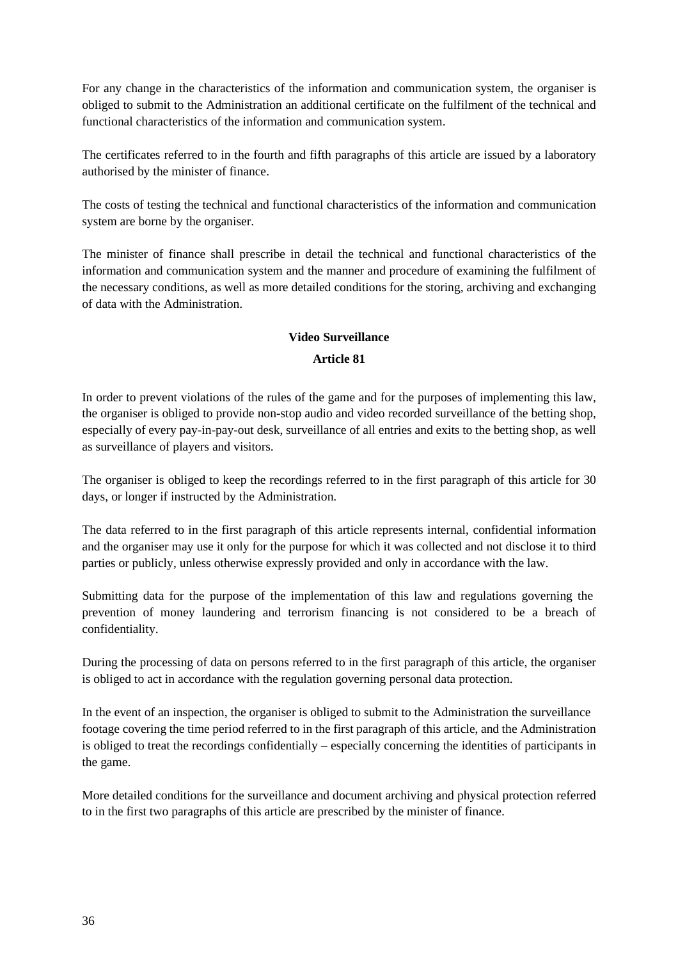For any change in the characteristics of the information and communication system, the organiser is obliged to submit to the Administration an additional certificate on the fulfilment of the technical and functional characteristics of the information and communication system.

The certificates referred to in the fourth and fifth paragraphs of this article are issued by a laboratory authorised by the minister of finance.

The costs of testing the technical and functional characteristics of the information and communication system are borne by the organiser.

The minister of finance shall prescribe in detail the technical and functional characteristics of the information and communication system and the manner and procedure of examining the fulfilment of the necessary conditions, as well as more detailed conditions for the storing, archiving and exchanging of data with the Administration.

# **Video Surveillance**

# **Article 81**

In order to prevent violations of the rules of the game and for the purposes of implementing this law, the organiser is obliged to provide non-stop audio and video recorded surveillance of the betting shop, especially of every pay-in-pay-out desk, surveillance of all entries and exits to the betting shop, as well as surveillance of players and visitors.

The organiser is obliged to keep the recordings referred to in the first paragraph of this article for 30 days, or longer if instructed by the Administration.

The data referred to in the first paragraph of this article represents internal, confidential information and the organiser may use it only for the purpose for which it was collected and not disclose it to third parties or publicly, unless otherwise expressly provided and only in accordance with the law.

Submitting data for the purpose of the implementation of this law and regulations governing the prevention of money laundering and terrorism financing is not considered to be a breach of confidentiality.

During the processing of data on persons referred to in the first paragraph of this article, the organiser is obliged to act in accordance with the regulation governing personal data protection.

In the event of an inspection, the organiser is obliged to submit to the Administration the surveillance footage covering the time period referred to in the first paragraph of this article, and the Administration is obliged to treat the recordings confidentially – especially concerning the identities of participants in the game.

More detailed conditions for the surveillance and document archiving and physical protection referred to in the first two paragraphs of this article are prescribed by the minister of finance.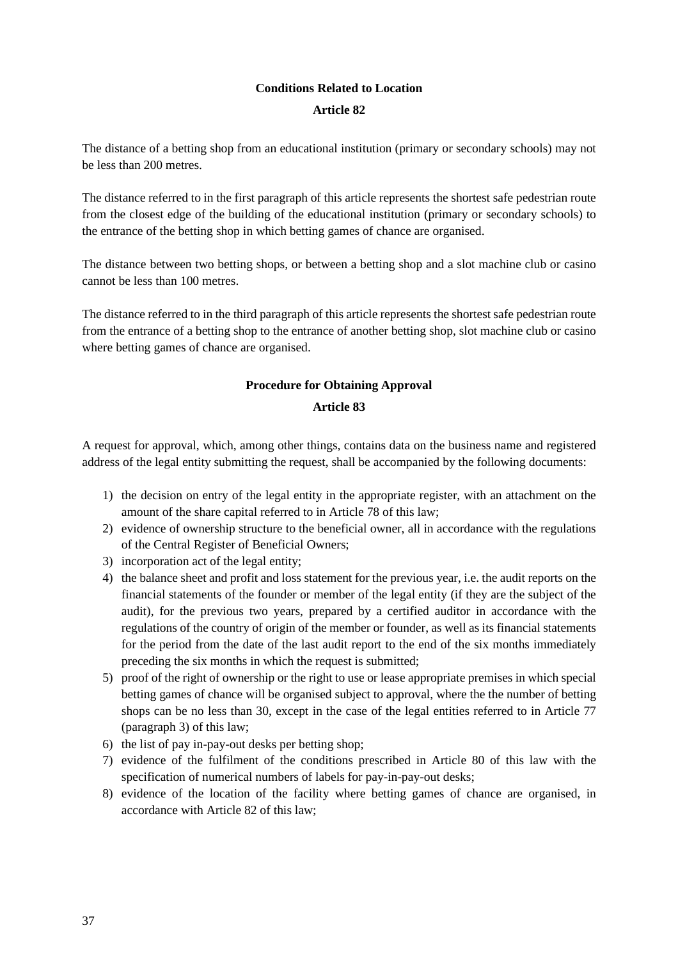# **Conditions Related to Location**

## **Article 82**

The distance of a betting shop from an educational institution (primary or secondary schools) may not be less than 200 metres.

The distance referred to in the first paragraph of this article represents the shortest safe pedestrian route from the closest edge of the building of the educational institution (primary or secondary schools) to the entrance of the betting shop in which betting games of chance are organised.

The distance between two betting shops, or between a betting shop and a slot machine club or casino cannot be less than 100 metres.

The distance referred to in the third paragraph of this article represents the shortest safe pedestrian route from the entrance of a betting shop to the entrance of another betting shop, slot machine club or casino where betting games of chance are organised.

# **Procedure for Obtaining Approval**

## **Article 83**

A request for approval, which, among other things, contains data on the business name and registered address of the legal entity submitting the request, shall be accompanied by the following documents:

- 1) the decision on entry of the legal entity in the appropriate register, with an attachment on the amount of the share capital referred to in Article 78 of this law;
- 2) evidence of ownership structure to the beneficial owner, all in accordance with the regulations of the Central Register of Beneficial Owners;
- 3) incorporation act of the legal entity;
- 4) the balance sheet and profit and loss statement for the previous year, i.e. the audit reports on the financial statements of the founder or member of the legal entity (if they are the subject of the audit), for the previous two years, prepared by a certified auditor in accordance with the regulations of the country of origin of the member or founder, as well as its financial statements for the period from the date of the last audit report to the end of the six months immediately preceding the six months in which the request is submitted;
- 5) proof of the right of ownership or the right to use or lease appropriate premises in which special betting games of chance will be organised subject to approval, where the the number of betting shops can be no less than 30, except in the case of the legal entities referred to in Article 77 (paragraph 3) of this law;
- 6) the list of pay in-pay-out desks per betting shop;
- 7) evidence of the fulfilment of the conditions prescribed in Article 80 of this law with the specification of numerical numbers of labels for pay-in-pay-out desks;
- 8) evidence of the location of the facility where betting games of chance are organised, in accordance with Article 82 of this law;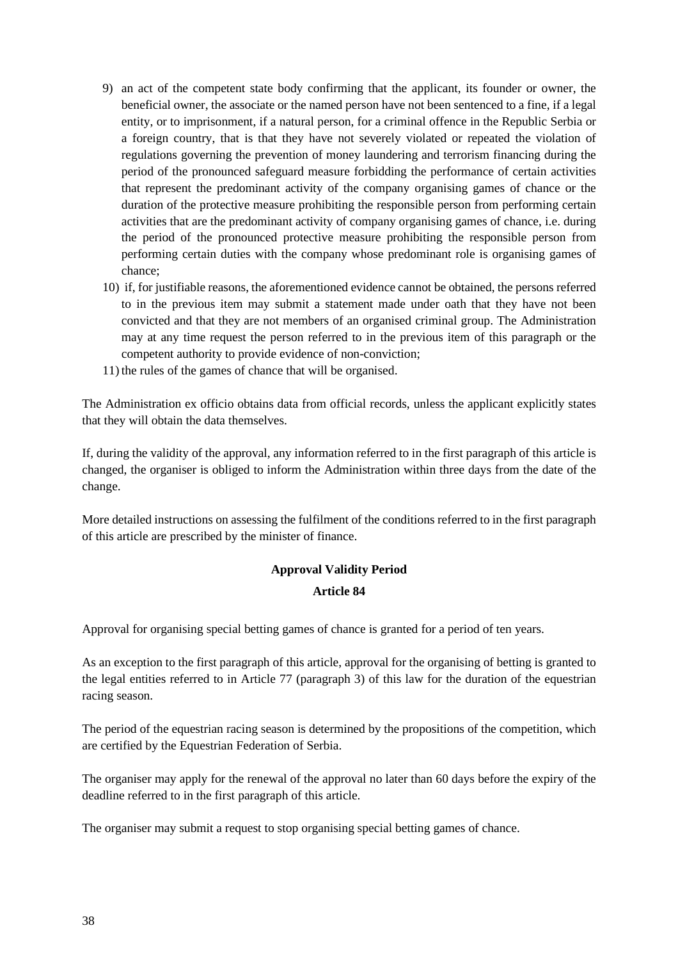- 9) an act of the competent state body confirming that the applicant, its founder or owner, the beneficial owner, the associate or the named person have not been sentenced to a fine, if a legal entity, or to imprisonment, if a natural person, for a criminal offence in the Republic Serbia or a foreign country, that is that they have not severely violated or repeated the violation of regulations governing the prevention of money laundering and terrorism financing during the period of the pronounced safeguard measure forbidding the performance of certain activities that represent the predominant activity of the company organising games of chance or the duration of the protective measure prohibiting the responsible person from performing certain activities that are the predominant activity of company organising games of chance, i.e. during the period of the pronounced protective measure prohibiting the responsible person from performing certain duties with the company whose predominant role is organising games of chance;
- 10) if, for justifiable reasons, the aforementioned evidence cannot be obtained, the persons referred to in the previous item may submit a statement made under oath that they have not been convicted and that they are not members of an organised criminal group. The Administration may at any time request the person referred to in the previous item of this paragraph or the competent authority to provide evidence of non-conviction;
- 11) the rules of the games of chance that will be organised.

The Administration ex officio obtains data from official records, unless the applicant explicitly states that they will obtain the data themselves.

If, during the validity of the approval, any information referred to in the first paragraph of this article is changed, the organiser is obliged to inform the Administration within three days from the date of the change.

More detailed instructions on assessing the fulfilment of the conditions referred to in the first paragraph of this article are prescribed by the minister of finance.

# **Approval Validity Period Article 84**

Approval for organising special betting games of chance is granted for a period of ten years.

As an exception to the first paragraph of this article, approval for the organising of betting is granted to the legal entities referred to in Article 77 (paragraph 3) of this law for the duration of the equestrian racing season.

The period of the equestrian racing season is determined by the propositions of the competition, which are certified by the Equestrian Federation of Serbia.

The organiser may apply for the renewal of the approval no later than 60 days before the expiry of the deadline referred to in the first paragraph of this article.

The organiser may submit a request to stop organising special betting games of chance.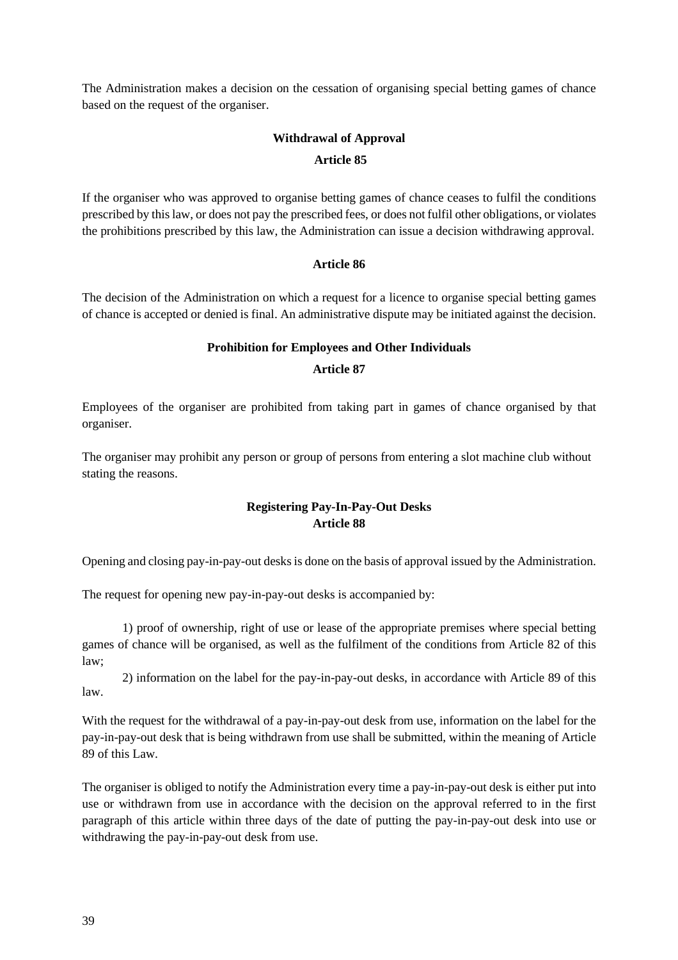The Administration makes a decision on the cessation of organising special betting games of chance based on the request of the organiser.

# **Withdrawal of Approval Article 85**

If the organiser who was approved to organise betting games of chance ceases to fulfil the conditions prescribed by thislaw, or does not pay the prescribed fees, or does not fulfil other obligations, or violates the prohibitions prescribed by this law, the Administration can issue a decision withdrawing approval.

#### **Article 86**

The decision of the Administration on which a request for a licence to organise special betting games of chance is accepted or denied is final. An administrative dispute may be initiated against the decision.

## **Prohibition for Employees and Other Individuals**

#### **Article 87**

Employees of the organiser are prohibited from taking part in games of chance organised by that organiser.

The organiser may prohibit any person or group of persons from entering a slot machine club without stating the reasons.

## **Registering Pay-In-Pay-Out Desks Article 88**

Opening and closing pay-in-pay-out desksis done on the basis of approval issued by the Administration.

The request for opening new pay-in-pay-out desks is accompanied by:

1) proof of ownership, right of use or lease of the appropriate premises where special betting games of chance will be organised, as well as the fulfilment of the conditions from Article 82 of this law;

2) information on the label for the pay-in-pay-out desks, in accordance with Article 89 of this law.

With the request for the withdrawal of a pay-in-pay-out desk from use, information on the label for the pay-in-pay-out desk that is being withdrawn from use shall be submitted, within the meaning of Article 89 of this Law.

The organiser is obliged to notify the Administration every time a pay-in-pay-out desk is either put into use or withdrawn from use in accordance with the decision on the approval referred to in the first paragraph of this article within three days of the date of putting the pay-in-pay-out desk into use or withdrawing the pay-in-pay-out desk from use.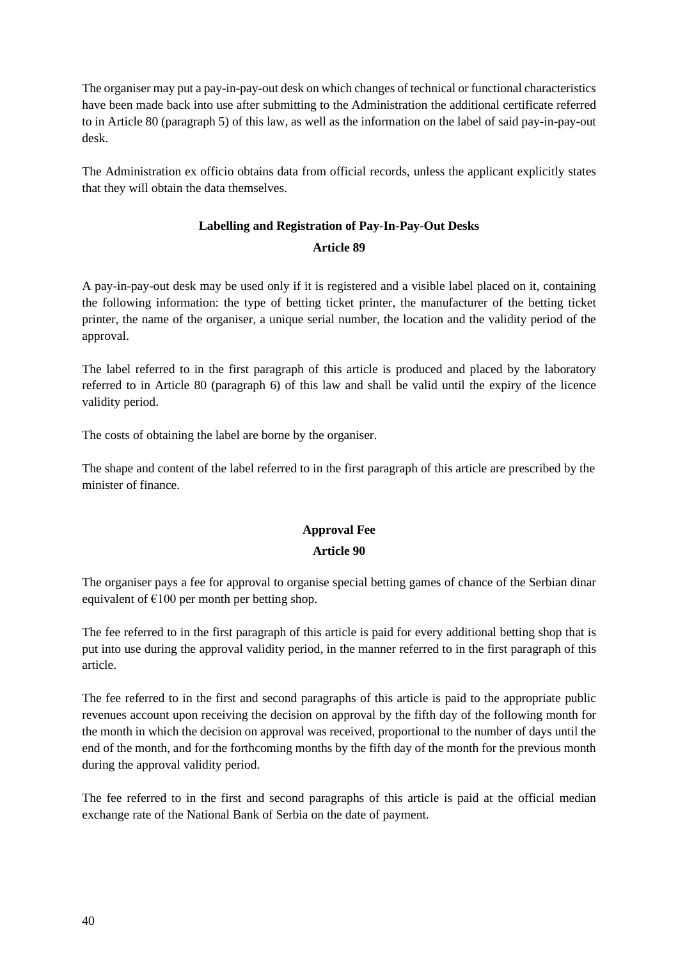The organiser may put a pay-in-pay-out desk on which changes of technical or functional characteristics have been made back into use after submitting to the Administration the additional certificate referred to in Article 80 (paragraph 5) of this law, as well as the information on the label of said pay-in-pay-out desk.

The Administration ex officio obtains data from official records, unless the applicant explicitly states that they will obtain the data themselves.

# **Labelling and Registration of Pay-In-Pay-Out Desks**

#### **Article 89**

A pay-in-pay-out desk may be used only if it is registered and a visible label placed on it, containing the following information: the type of betting ticket printer, the manufacturer of the betting ticket printer, the name of the organiser, a unique serial number, the location and the validity period of the approval.

The label referred to in the first paragraph of this article is produced and placed by the laboratory referred to in Article 80 (paragraph 6) of this law and shall be valid until the expiry of the licence validity period.

The costs of obtaining the label are borne by the organiser.

The shape and content of the label referred to in the first paragraph of this article are prescribed by the minister of finance.

## **Approval Fee**

#### **Article 90**

The organiser pays a fee for approval to organise special betting games of chance of the Serbian dinar equivalent of  $\epsilon$ 100 per month per betting shop.

The fee referred to in the first paragraph of this article is paid for every additional betting shop that is put into use during the approval validity period, in the manner referred to in the first paragraph of this article.

The fee referred to in the first and second paragraphs of this article is paid to the appropriate public revenues account upon receiving the decision on approval by the fifth day of the following month for the month in which the decision on approval was received, proportional to the number of days until the end of the month, and for the forthcoming months by the fifth day of the month for the previous month during the approval validity period.

The fee referred to in the first and second paragraphs of this article is paid at the official median exchange rate of the National Bank of Serbia on the date of payment.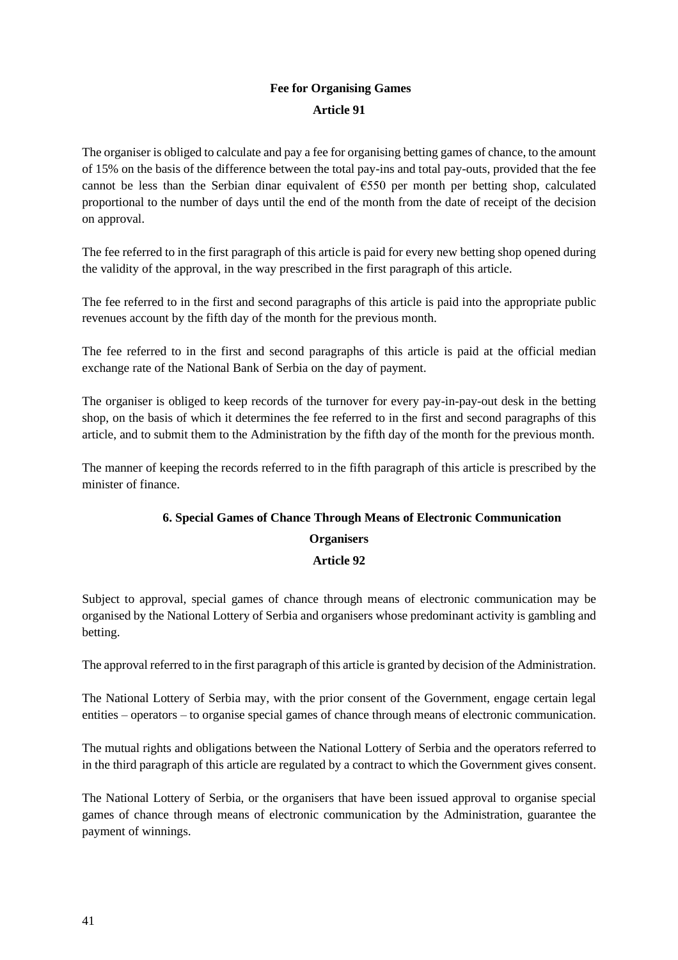# **Fee for Organising Games Article 91**

The organiser is obliged to calculate and pay a fee for organising betting games of chance, to the amount of 15% on the basis of the difference between the total pay-ins and total pay-outs, provided that the fee cannot be less than the Serbian dinar equivalent of €550 per month per betting shop, calculated proportional to the number of days until the end of the month from the date of receipt of the decision on approval.

The fee referred to in the first paragraph of this article is paid for every new betting shop opened during the validity of the approval, in the way prescribed in the first paragraph of this article.

The fee referred to in the first and second paragraphs of this article is paid into the appropriate public revenues account by the fifth day of the month for the previous month.

The fee referred to in the first and second paragraphs of this article is paid at the official median exchange rate of the National Bank of Serbia on the day of payment.

The organiser is obliged to keep records of the turnover for every pay-in-pay-out desk in the betting shop, on the basis of which it determines the fee referred to in the first and second paragraphs of this article, and to submit them to the Administration by the fifth day of the month for the previous month.

The manner of keeping the records referred to in the fifth paragraph of this article is prescribed by the minister of finance.

# **6. Special Games of Chance Through Means of Electronic Communication Organisers**

## **Article 92**

Subject to approval, special games of chance through means of electronic communication may be organised by the National Lottery of Serbia and organisers whose predominant activity is gambling and betting.

The approval referred to in the first paragraph of this article is granted by decision of the Administration.

The National Lottery of Serbia may, with the prior consent of the Government, engage certain legal entities – operators – to organise special games of chance through means of electronic communication.

The mutual rights and obligations between the National Lottery of Serbia and the operators referred to in the third paragraph of this article are regulated by a contract to which the Government gives consent.

The National Lottery of Serbia, or the organisers that have been issued approval to organise special games of chance through means of electronic communication by the Administration, guarantee the payment of winnings.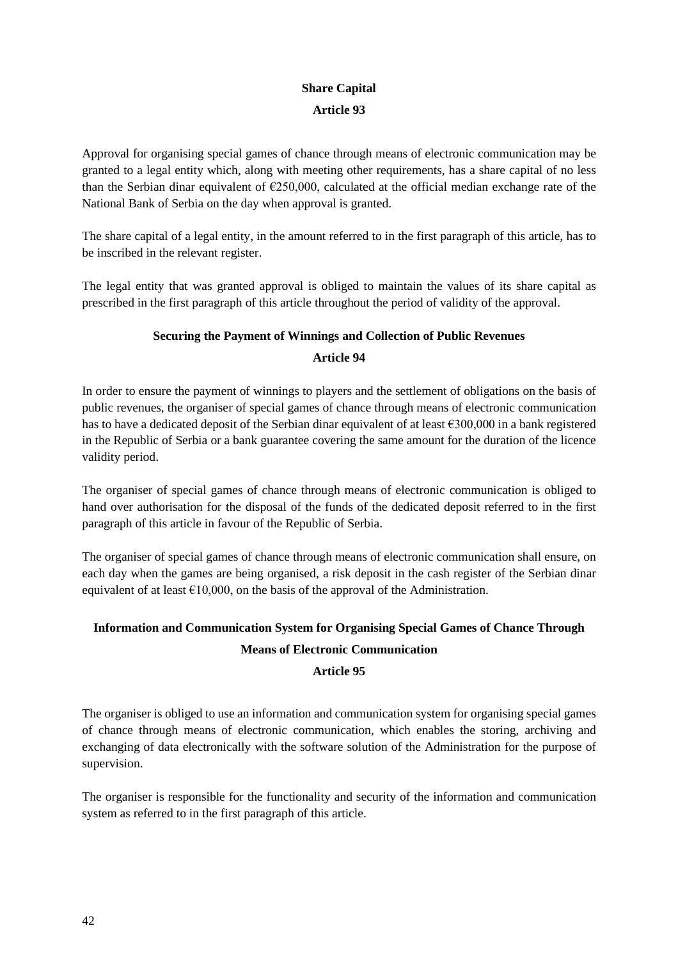# **Share Capital Article 93**

Approval for organising special games of chance through means of electronic communication may be granted to a legal entity which, along with meeting other requirements, has a share capital of no less than the Serbian dinar equivalent of  $E$ 250,000, calculated at the official median exchange rate of the National Bank of Serbia on the day when approval is granted.

The share capital of a legal entity, in the amount referred to in the first paragraph of this article, has to be inscribed in the relevant register.

The legal entity that was granted approval is obliged to maintain the values of its share capital as prescribed in the first paragraph of this article throughout the period of validity of the approval.

## **Securing the Payment of Winnings and Collection of Public Revenues**

#### **Article 94**

In order to ensure the payment of winnings to players and the settlement of obligations on the basis of public revenues, the organiser of special games of chance through means of electronic communication has to have a dedicated deposit of the Serbian dinar equivalent of at least €300,000 in a bank registered in the Republic of Serbia or a bank guarantee covering the same amount for the duration of the licence validity period.

The organiser of special games of chance through means of electronic communication is obliged to hand over authorisation for the disposal of the funds of the dedicated deposit referred to in the first paragraph of this article in favour of the Republic of Serbia.

The organiser of special games of chance through means of electronic communication shall ensure, on each day when the games are being organised, a risk deposit in the cash register of the Serbian dinar equivalent of at least  $\epsilon$ 10,000, on the basis of the approval of the Administration.

# **Information and Communication System for Organising Special Games of Chance Through Means of Electronic Communication**

# **Article 95**

The organiser is obliged to use an information and communication system for organising special games of chance through means of electronic communication, which enables the storing, archiving and exchanging of data electronically with the software solution of the Administration for the purpose of supervision.

The organiser is responsible for the functionality and security of the information and communication system as referred to in the first paragraph of this article.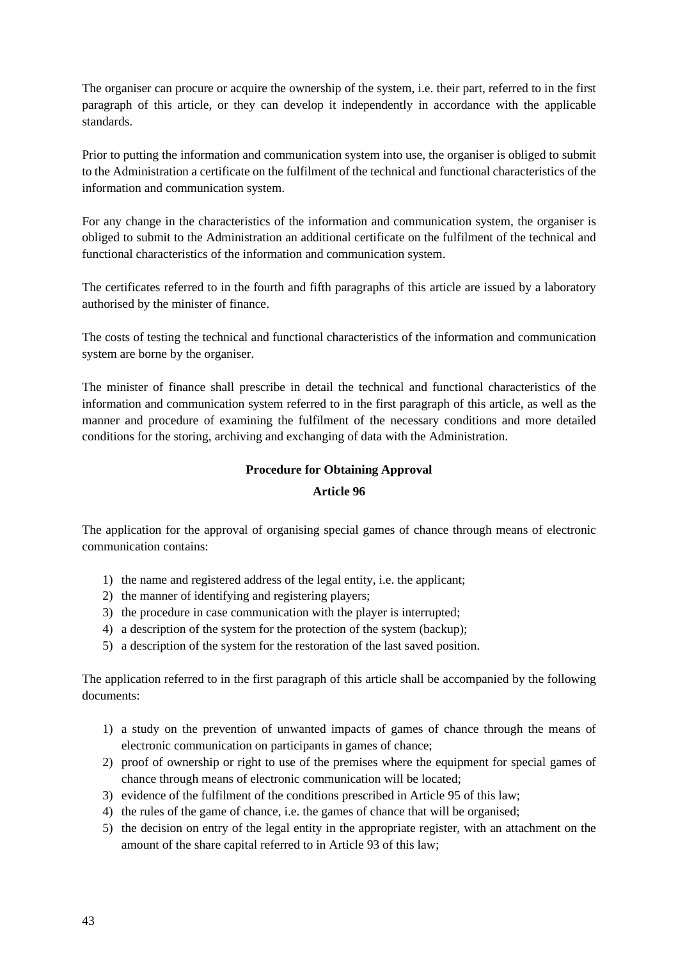The organiser can procure or acquire the ownership of the system, i.e. their part, referred to in the first paragraph of this article, or they can develop it independently in accordance with the applicable standards.

Prior to putting the information and communication system into use, the organiser is obliged to submit to the Administration a certificate on the fulfilment of the technical and functional characteristics of the information and communication system.

For any change in the characteristics of the information and communication system, the organiser is obliged to submit to the Administration an additional certificate on the fulfilment of the technical and functional characteristics of the information and communication system.

The certificates referred to in the fourth and fifth paragraphs of this article are issued by a laboratory authorised by the minister of finance.

The costs of testing the technical and functional characteristics of the information and communication system are borne by the organiser.

The minister of finance shall prescribe in detail the technical and functional characteristics of the information and communication system referred to in the first paragraph of this article, as well as the manner and procedure of examining the fulfilment of the necessary conditions and more detailed conditions for the storing, archiving and exchanging of data with the Administration.

## **Procedure for Obtaining Approval**

## **Article 96**

The application for the approval of organising special games of chance through means of electronic communication contains:

- 1) the name and registered address of the legal entity, i.e. the applicant;
- 2) the manner of identifying and registering players;
- 3) the procedure in case communication with the player is interrupted;
- 4) a description of the system for the protection of the system (backup);
- 5) a description of the system for the restoration of the last saved position.

The application referred to in the first paragraph of this article shall be accompanied by the following documents:

- 1) a study on the prevention of unwanted impacts of games of chance through the means of electronic communication on participants in games of chance;
- 2) proof of ownership or right to use of the premises where the equipment for special games of chance through means of electronic communication will be located;
- 3) evidence of the fulfilment of the conditions prescribed in Article 95 of this law;
- 4) the rules of the game of chance, i.e. the games of chance that will be organised;
- 5) the decision on entry of the legal entity in the appropriate register, with an attachment on the amount of the share capital referred to in Article 93 of this law;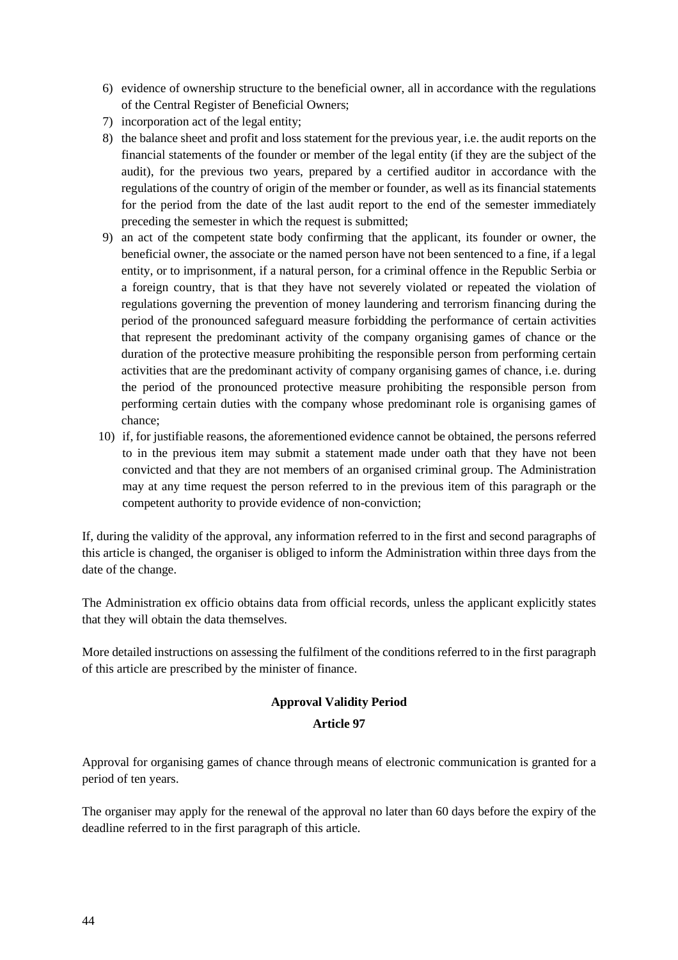- 6) evidence of ownership structure to the beneficial owner, all in accordance with the regulations of the Central Register of Beneficial Owners;
- 7) incorporation act of the legal entity;
- 8) the balance sheet and profit and loss statement for the previous year, i.e. the audit reports on the financial statements of the founder or member of the legal entity (if they are the subject of the audit), for the previous two years, prepared by a certified auditor in accordance with the regulations of the country of origin of the member or founder, as well as its financial statements for the period from the date of the last audit report to the end of the semester immediately preceding the semester in which the request is submitted;
- 9) an act of the competent state body confirming that the applicant, its founder or owner, the beneficial owner, the associate or the named person have not been sentenced to a fine, if a legal entity, or to imprisonment, if a natural person, for a criminal offence in the Republic Serbia or a foreign country, that is that they have not severely violated or repeated the violation of regulations governing the prevention of money laundering and terrorism financing during the period of the pronounced safeguard measure forbidding the performance of certain activities that represent the predominant activity of the company organising games of chance or the duration of the protective measure prohibiting the responsible person from performing certain activities that are the predominant activity of company organising games of chance, i.e. during the period of the pronounced protective measure prohibiting the responsible person from performing certain duties with the company whose predominant role is organising games of chance;
- 10) if, for justifiable reasons, the aforementioned evidence cannot be obtained, the persons referred to in the previous item may submit a statement made under oath that they have not been convicted and that they are not members of an organised criminal group. The Administration may at any time request the person referred to in the previous item of this paragraph or the competent authority to provide evidence of non-conviction;

If, during the validity of the approval, any information referred to in the first and second paragraphs of this article is changed, the organiser is obliged to inform the Administration within three days from the date of the change.

The Administration ex officio obtains data from official records, unless the applicant explicitly states that they will obtain the data themselves.

More detailed instructions on assessing the fulfilment of the conditions referred to in the first paragraph of this article are prescribed by the minister of finance.

# **Approval Validity Period**

## **Article 97**

Approval for organising games of chance through means of electronic communication is granted for a period of ten years.

The organiser may apply for the renewal of the approval no later than 60 days before the expiry of the deadline referred to in the first paragraph of this article.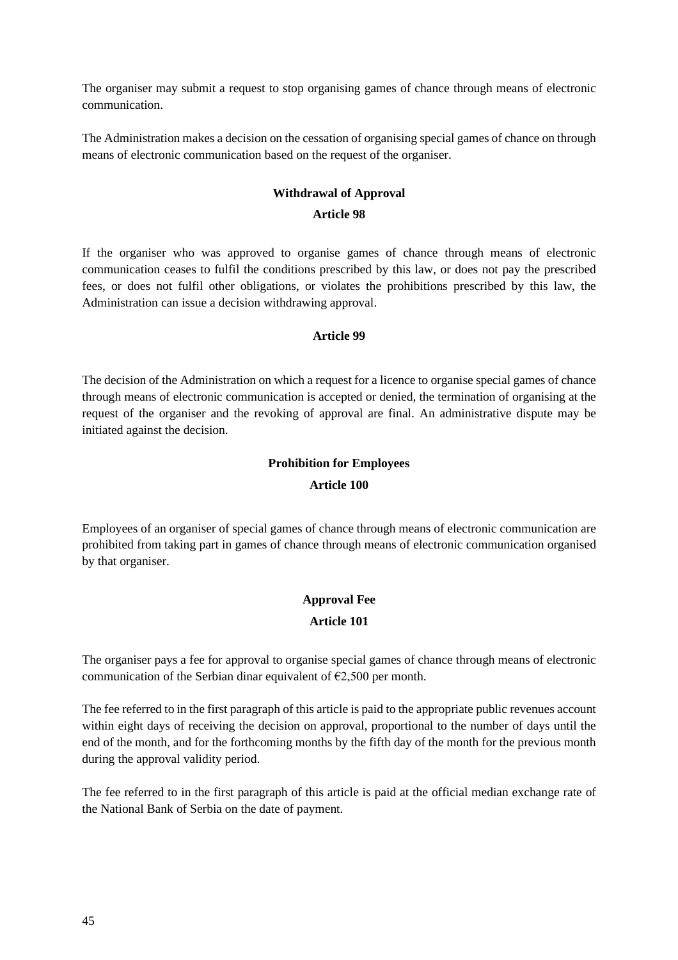The organiser may submit a request to stop organising games of chance through means of electronic communication.

The Administration makes a decision on the cessation of organising special games of chance on through means of electronic communication based on the request of the organiser.

# **Withdrawal of Approval**

#### **Article 98**

If the organiser who was approved to organise games of chance through means of electronic communication ceases to fulfil the conditions prescribed by this law, or does not pay the prescribed fees, or does not fulfil other obligations, or violates the prohibitions prescribed by this law, the Administration can issue a decision withdrawing approval.

## **Article 99**

The decision of the Administration on which a request for a licence to organise special games of chance through means of electronic communication is accepted or denied, the termination of organising at the request of the organiser and the revoking of approval are final. An administrative dispute may be initiated against the decision.

# **Prohibition for Employees**

## **Article 100**

Employees of an organiser of special games of chance through means of electronic communication are prohibited from taking part in games of chance through means of electronic communication organised by that organiser.

# **Approval Fee Article 101**

The organiser pays a fee for approval to organise special games of chance through means of electronic communication of the Serbian dinar equivalent of  $\epsilon$ 2,500 per month.

The fee referred to in the first paragraph of this article is paid to the appropriate public revenues account within eight days of receiving the decision on approval, proportional to the number of days until the end of the month, and for the forthcoming months by the fifth day of the month for the previous month during the approval validity period.

The fee referred to in the first paragraph of this article is paid at the official median exchange rate of the National Bank of Serbia on the date of payment.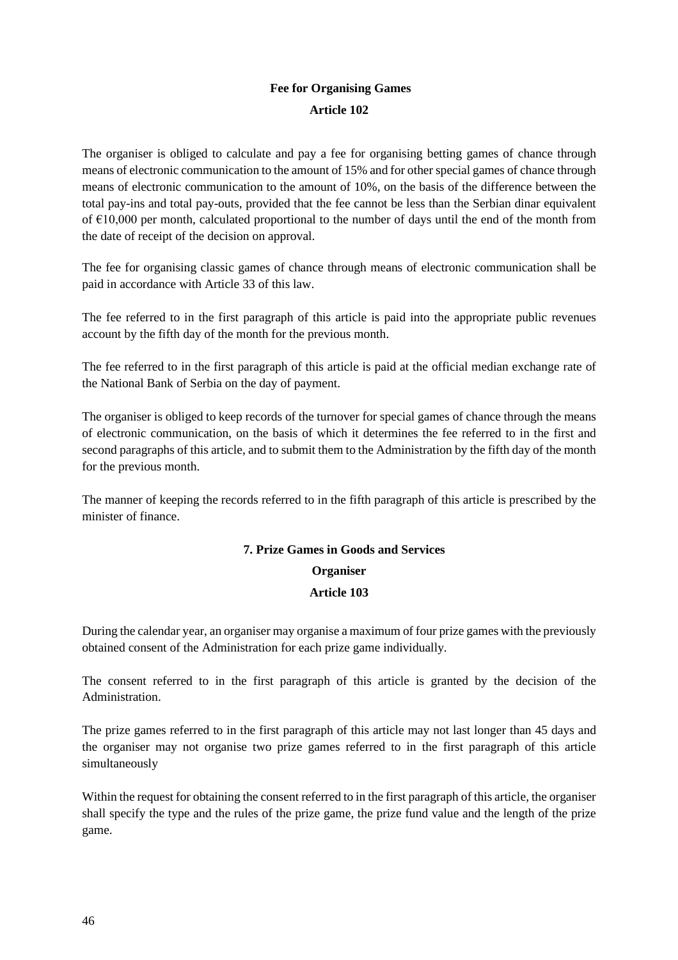# **Fee for Organising Games Article 102**

The organiser is obliged to calculate and pay a fee for organising betting games of chance through means of electronic communication to the amount of 15% and for other special games of chance through means of electronic communication to the amount of 10%, on the basis of the difference between the total pay-ins and total pay-outs, provided that the fee cannot be less than the Serbian dinar equivalent of  $\epsilon$ 10,000 per month, calculated proportional to the number of days until the end of the month from the date of receipt of the decision on approval.

The fee for organising classic games of chance through means of electronic communication shall be paid in accordance with Article 33 of this law.

The fee referred to in the first paragraph of this article is paid into the appropriate public revenues account by the fifth day of the month for the previous month.

The fee referred to in the first paragraph of this article is paid at the official median exchange rate of the National Bank of Serbia on the day of payment.

The organiser is obliged to keep records of the turnover for special games of chance through the means of electronic communication, on the basis of which it determines the fee referred to in the first and second paragraphs of this article, and to submit them to the Administration by the fifth day of the month for the previous month.

The manner of keeping the records referred to in the fifth paragraph of this article is prescribed by the minister of finance.

# **7. Prize Games in Goods and Services**

# **Organiser**

# **Article 103**

During the calendar year, an organiser may organise a maximum of four prize games with the previously obtained consent of the Administration for each prize game individually.

The consent referred to in the first paragraph of this article is granted by the decision of the Administration.

The prize games referred to in the first paragraph of this article may not last longer than 45 days and the organiser may not organise two prize games referred to in the first paragraph of this article simultaneously

Within the request for obtaining the consent referred to in the first paragraph of this article, the organiser shall specify the type and the rules of the prize game, the prize fund value and the length of the prize game.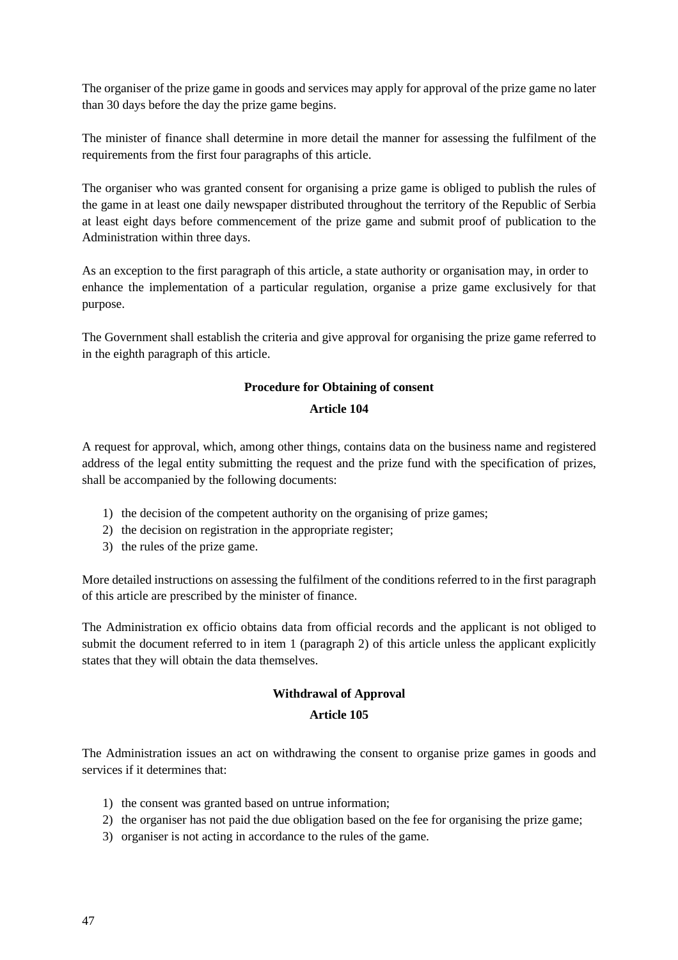The organiser of the prize game in goods and services may apply for approval of the prize game no later than 30 days before the day the prize game begins.

The minister of finance shall determine in more detail the manner for assessing the fulfilment of the requirements from the first four paragraphs of this article.

The organiser who was granted consent for organising a prize game is obliged to publish the rules of the game in at least one daily newspaper distributed throughout the territory of the Republic of Serbia at least eight days before commencement of the prize game and submit proof of publication to the Administration within three days.

As an exception to the first paragraph of this article, a state authority or organisation may, in order to enhance the implementation of a particular regulation, organise a prize game exclusively for that purpose.

The Government shall establish the criteria and give approval for organising the prize game referred to in the eighth paragraph of this article.

#### **Procedure for Obtaining of consent**

#### **Article 104**

A request for approval, which, among other things, contains data on the business name and registered address of the legal entity submitting the request and the prize fund with the specification of prizes, shall be accompanied by the following documents:

- 1) the decision of the competent authority on the organising of prize games;
- 2) the decision on registration in the appropriate register;
- 3) the rules of the prize game.

More detailed instructions on assessing the fulfilment of the conditions referred to in the first paragraph of this article are prescribed by the minister of finance.

The Administration ex officio obtains data from official records and the applicant is not obliged to submit the document referred to in item 1 (paragraph 2) of this article unless the applicant explicitly states that they will obtain the data themselves.

## **Withdrawal of Approval**

#### **Article 105**

The Administration issues an act on withdrawing the consent to organise prize games in goods and services if it determines that:

- 1) the consent was granted based on untrue information;
- 2) the organiser has not paid the due obligation based on the fee for organising the prize game;
- 3) organiser is not acting in accordance to the rules of the game.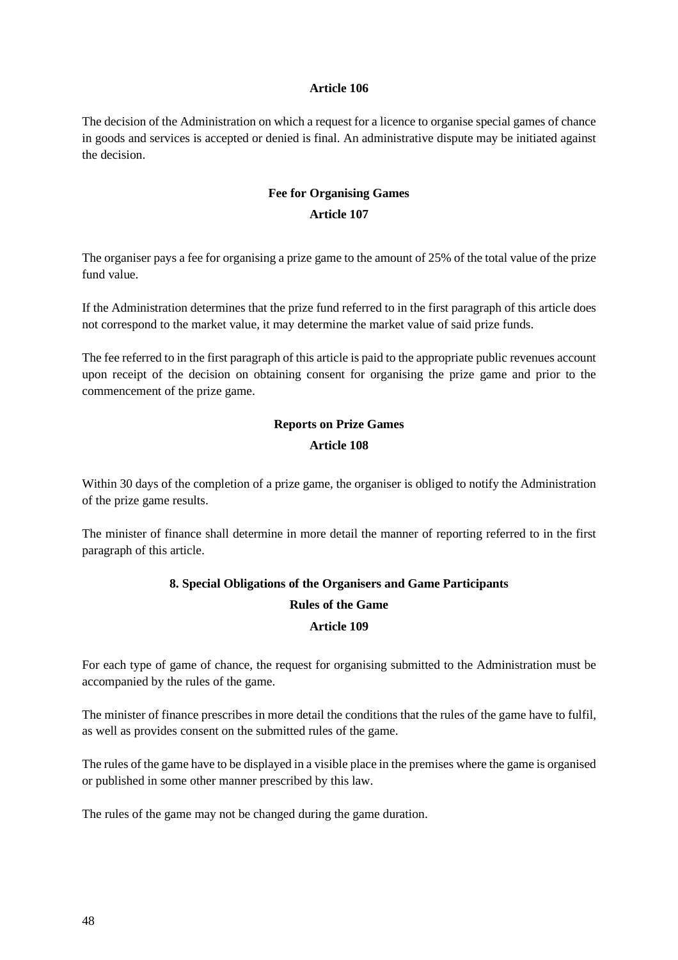#### **Article 106**

The decision of the Administration on which a request for a licence to organise special games of chance in goods and services is accepted or denied is final. An administrative dispute may be initiated against the decision.

# **Fee for Organising Games Article 107**

The organiser pays a fee for organising a prize game to the amount of 25% of the total value of the prize fund value.

If the Administration determines that the prize fund referred to in the first paragraph of this article does not correspond to the market value, it may determine the market value of said prize funds.

The fee referred to in the first paragraph of this article is paid to the appropriate public revenues account upon receipt of the decision on obtaining consent for organising the prize game and prior to the commencement of the prize game.

# **Reports on Prize Games Article 108**

Within 30 days of the completion of a prize game, the organiser is obliged to notify the Administration of the prize game results.

The minister of finance shall determine in more detail the manner of reporting referred to in the first paragraph of this article.

# **8. Special Obligations of the Organisers and Game Participants**

## **Rules of the Game**

## **Article 109**

For each type of game of chance, the request for organising submitted to the Administration must be accompanied by the rules of the game.

The minister of finance prescribes in more detail the conditions that the rules of the game have to fulfil, as well as provides consent on the submitted rules of the game.

The rules of the game have to be displayed in a visible place in the premises where the game is organised or published in some other manner prescribed by this law.

The rules of the game may not be changed during the game duration.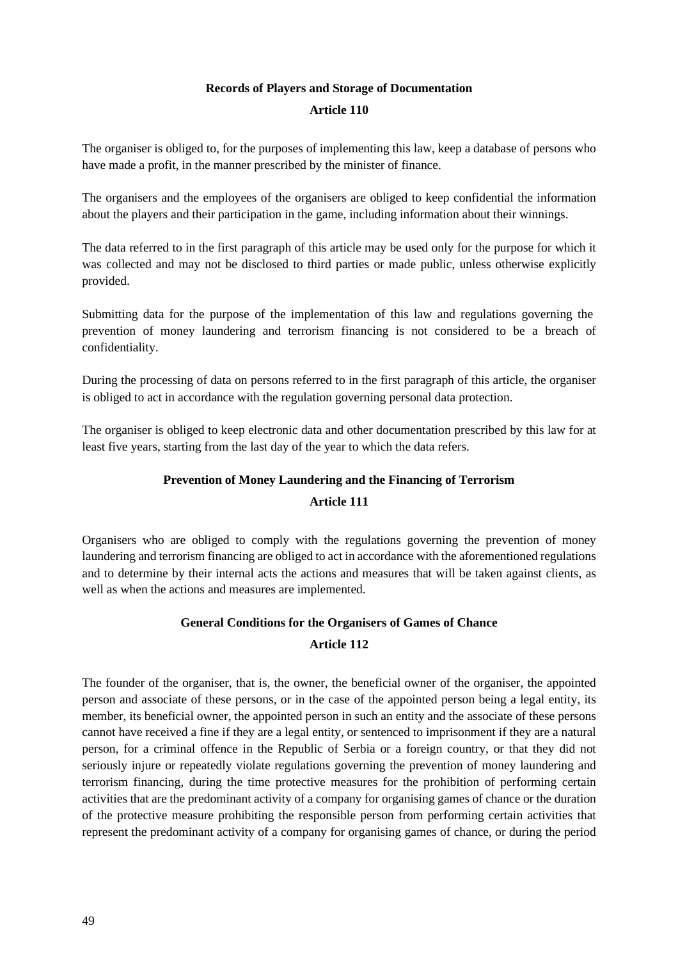# **Records of Players and Storage of Documentation**

#### **Article 110**

The organiser is obliged to, for the purposes of implementing this law, keep a database of persons who have made a profit, in the manner prescribed by the minister of finance.

The organisers and the employees of the organisers are obliged to keep confidential the information about the players and their participation in the game, including information about their winnings.

The data referred to in the first paragraph of this article may be used only for the purpose for which it was collected and may not be disclosed to third parties or made public, unless otherwise explicitly provided.

Submitting data for the purpose of the implementation of this law and regulations governing the prevention of money laundering and terrorism financing is not considered to be a breach of confidentiality.

During the processing of data on persons referred to in the first paragraph of this article, the organiser is obliged to act in accordance with the regulation governing personal data protection.

The organiser is obliged to keep electronic data and other documentation prescribed by this law for at least five years, starting from the last day of the year to which the data refers.

# **Prevention of Money Laundering and the Financing of Terrorism**

## **Article 111**

Organisers who are obliged to comply with the regulations governing the prevention of money laundering and terrorism financing are obliged to act in accordance with the aforementioned regulations and to determine by their internal acts the actions and measures that will be taken against clients, as well as when the actions and measures are implemented.

# **General Conditions for the Organisers of Games of Chance**

# **Article 112**

The founder of the organiser, that is, the owner, the beneficial owner of the organiser, the appointed person and associate of these persons, or in the case of the appointed person being a legal entity, its member, its beneficial owner, the appointed person in such an entity and the associate of these persons cannot have received a fine if they are a legal entity, or sentenced to imprisonment if they are a natural person, for a criminal offence in the Republic of Serbia or a foreign country, or that they did not seriously injure or repeatedly violate regulations governing the prevention of money laundering and terrorism financing, during the time protective measures for the prohibition of performing certain activities that are the predominant activity of a company for organising games of chance or the duration of the protective measure prohibiting the responsible person from performing certain activities that represent the predominant activity of a company for organising games of chance, or during the period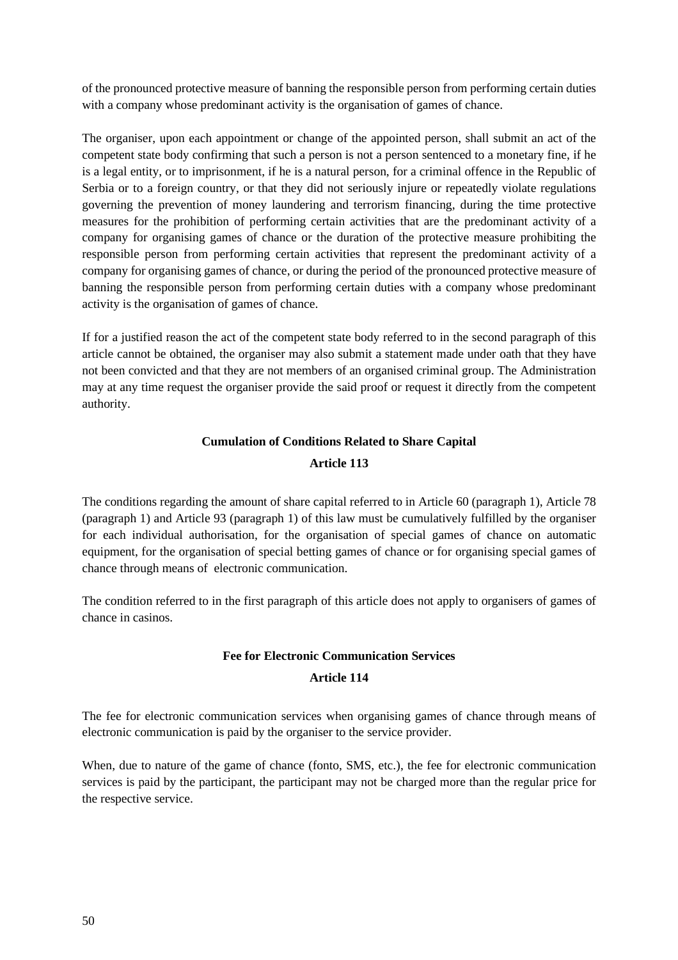of the pronounced protective measure of banning the responsible person from performing certain duties with a company whose predominant activity is the organisation of games of chance.

The organiser, upon each appointment or change of the appointed person, shall submit an act of the competent state body confirming that such a person is not a person sentenced to a monetary fine, if he is a legal entity, or to imprisonment, if he is a natural person, for a criminal offence in the Republic of Serbia or to a foreign country, or that they did not seriously injure or repeatedly violate regulations governing the prevention of money laundering and terrorism financing, during the time protective measures for the prohibition of performing certain activities that are the predominant activity of a company for organising games of chance or the duration of the protective measure prohibiting the responsible person from performing certain activities that represent the predominant activity of a company for organising games of chance, or during the period of the pronounced protective measure of banning the responsible person from performing certain duties with a company whose predominant activity is the organisation of games of chance.

If for a justified reason the act of the competent state body referred to in the second paragraph of this article cannot be obtained, the organiser may also submit a statement made under oath that they have not been convicted and that they are not members of an organised criminal group. The Administration may at any time request the organiser provide the said proof or request it directly from the competent authority.

# **Cumulation of Conditions Related to Share Capital Article 113**

The conditions regarding the amount of share capital referred to in Article 60 (paragraph 1), Article 78 (paragraph 1) and Article 93 (paragraph 1) of this law must be cumulatively fulfilled by the organiser for each individual authorisation, for the organisation of special games of chance on automatic equipment, for the organisation of special betting games of chance or for organising special games of chance through means of electronic communication.

The condition referred to in the first paragraph of this article does not apply to organisers of games of chance in casinos.

# **Fee for Electronic Communication Services**

## **Article 114**

The fee for electronic communication services when organising games of chance through means of electronic communication is paid by the organiser to the service provider.

When, due to nature of the game of chance (fonto, SMS, etc.), the fee for electronic communication services is paid by the participant, the participant may not be charged more than the regular price for the respective service.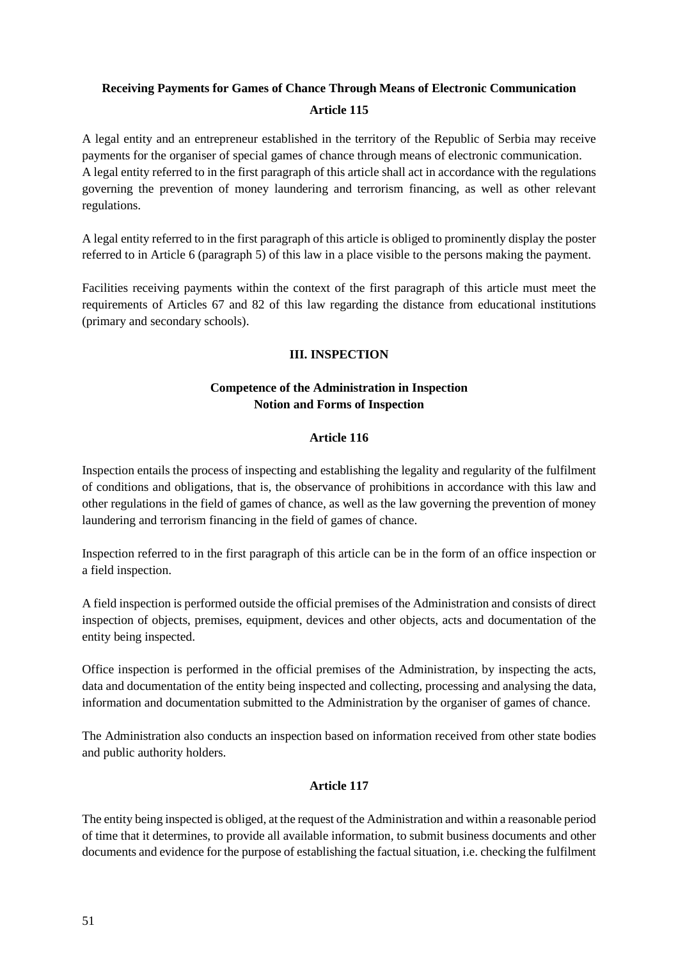# **Receiving Payments for Games of Chance Through Means of Electronic Communication Article 115**

A legal entity and an entrepreneur established in the territory of the Republic of Serbia may receive payments for the organiser of special games of chance through means of electronic communication. A legal entity referred to in the first paragraph of this article shall act in accordance with the regulations governing the prevention of money laundering and terrorism financing, as well as other relevant regulations.

A legal entity referred to in the first paragraph of this article is obliged to prominently display the poster referred to in Article 6 (paragraph 5) of this law in a place visible to the persons making the payment.

Facilities receiving payments within the context of the first paragraph of this article must meet the requirements of Articles 67 and 82 of this law regarding the distance from educational institutions (primary and secondary schools).

## **III. INSPECTION**

## **Competence of the Administration in Inspection Notion and Forms of Inspection**

## **Article 116**

Inspection entails the process of inspecting and establishing the legality and regularity of the fulfilment of conditions and obligations, that is, the observance of prohibitions in accordance with this law and other regulations in the field of games of chance, as well as the law governing the prevention of money laundering and terrorism financing in the field of games of chance.

Inspection referred to in the first paragraph of this article can be in the form of an office inspection or a field inspection.

A field inspection is performed outside the official premises of the Administration and consists of direct inspection of objects, premises, equipment, devices and other objects, acts and documentation of the entity being inspected.

Office inspection is performed in the official premises of the Administration, by inspecting the acts, data and documentation of the entity being inspected and collecting, processing and analysing the data, information and documentation submitted to the Administration by the organiser of games of chance.

The Administration also conducts an inspection based on information received from other state bodies and public authority holders.

## **Article 117**

The entity being inspected is obliged, at the request of the Administration and within a reasonable period of time that it determines, to provide all available information, to submit business documents and other documents and evidence for the purpose of establishing the factual situation, i.e. checking the fulfilment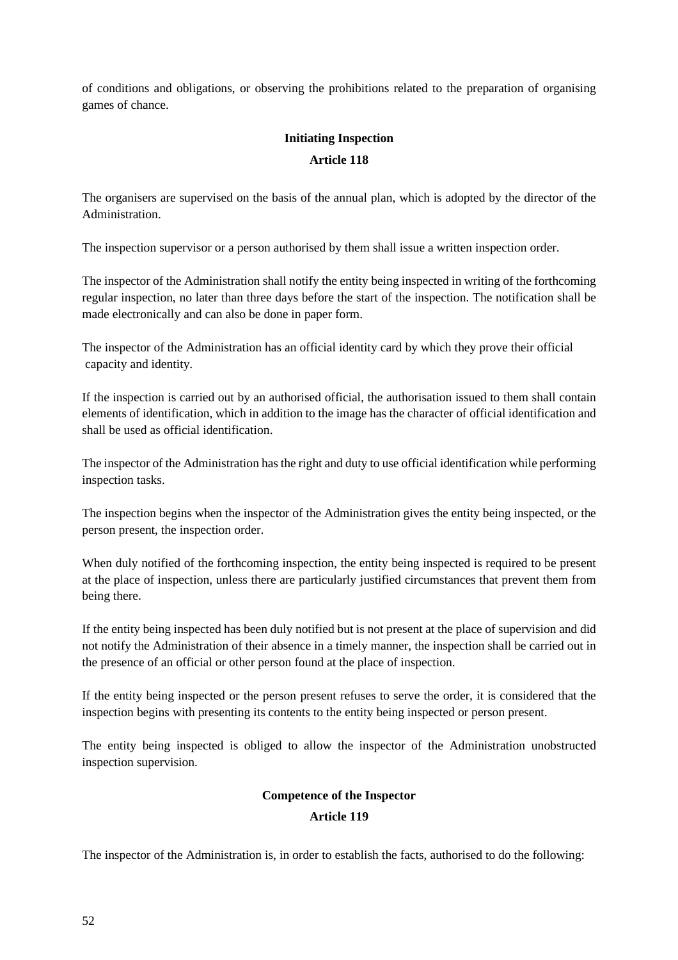of conditions and obligations, or observing the prohibitions related to the preparation of organising games of chance.

# **Initiating Inspection Article 118**

The organisers are supervised on the basis of the annual plan, which is adopted by the director of the Administration.

The inspection supervisor or a person authorised by them shall issue a written inspection order.

The inspector of the Administration shall notify the entity being inspected in writing of the forthcoming regular inspection, no later than three days before the start of the inspection. The notification shall be made electronically and can also be done in paper form.

The inspector of the Administration has an official identity card by which they prove their official capacity and identity.

If the inspection is carried out by an authorised official, the authorisation issued to them shall contain elements of identification, which in addition to the image has the character of official identification and shall be used as official identification.

The inspector of the Administration has the right and duty to use official identification while performing inspection tasks.

The inspection begins when the inspector of the Administration gives the entity being inspected, or the person present, the inspection order.

When duly notified of the forthcoming inspection, the entity being inspected is required to be present at the place of inspection, unless there are particularly justified circumstances that prevent them from being there.

If the entity being inspected has been duly notified but is not present at the place of supervision and did not notify the Administration of their absence in a timely manner, the inspection shall be carried out in the presence of an official or other person found at the place of inspection.

If the entity being inspected or the person present refuses to serve the order, it is considered that the inspection begins with presenting its contents to the entity being inspected or person present.

The entity being inspected is obliged to allow the inspector of the Administration unobstructed inspection supervision.

# **Competence of the Inspector**

## **Article 119**

The inspector of the Administration is, in order to establish the facts, authorised to do the following: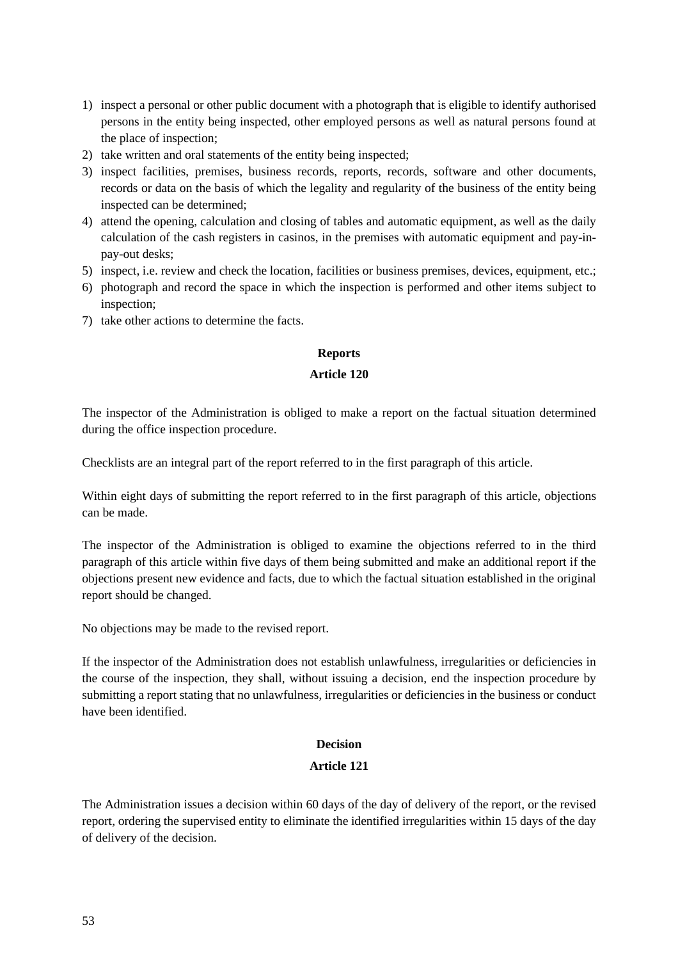- 1) inspect a personal or other public document with a photograph that is eligible to identify authorised persons in the entity being inspected, other employed persons as well as natural persons found at the place of inspection;
- 2) take written and oral statements of the entity being inspected;
- 3) inspect facilities, premises, business records, reports, records, software and other documents, records or data on the basis of which the legality and regularity of the business of the entity being inspected can be determined;
- 4) attend the opening, calculation and closing of tables and automatic equipment, as well as the daily calculation of the cash registers in casinos, in the premises with automatic equipment and pay-inpay-out desks;
- 5) inspect, i.e. review and check the location, facilities or business premises, devices, equipment, etc.;
- 6) photograph and record the space in which the inspection is performed and other items subject to inspection;
- 7) take other actions to determine the facts.

#### **Reports**

#### **Article 120**

The inspector of the Administration is obliged to make a report on the factual situation determined during the office inspection procedure.

Checklists are an integral part of the report referred to in the first paragraph of this article.

Within eight days of submitting the report referred to in the first paragraph of this article, objections can be made.

The inspector of the Administration is obliged to examine the objections referred to in the third paragraph of this article within five days of them being submitted and make an additional report if the objections present new evidence and facts, due to which the factual situation established in the original report should be changed.

No objections may be made to the revised report.

If the inspector of the Administration does not establish unlawfulness, irregularities or deficiencies in the course of the inspection, they shall, without issuing a decision, end the inspection procedure by submitting a report stating that no unlawfulness, irregularities or deficiencies in the business or conduct have been identified.

#### **Decision**

#### **Article 121**

The Administration issues a decision within 60 days of the day of delivery of the report, or the revised report, ordering the supervised entity to eliminate the identified irregularities within 15 days of the day of delivery of the decision.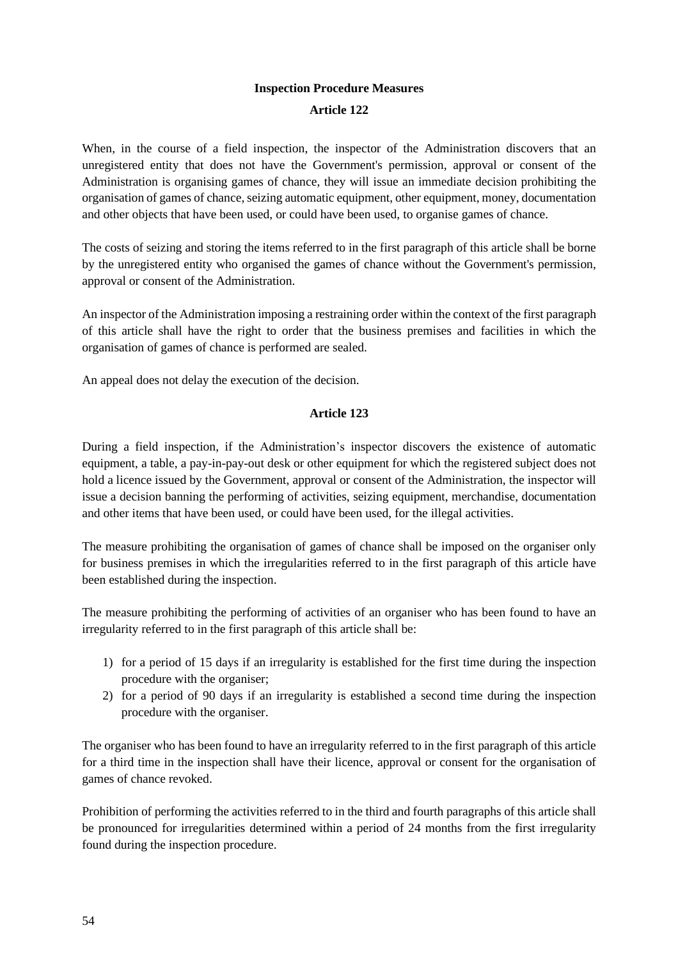# **Inspection Procedure Measures Article 122**

When, in the course of a field inspection, the inspector of the Administration discovers that an unregistered entity that does not have the Government's permission, approval or consent of the Administration is organising games of chance, they will issue an immediate decision prohibiting the organisation of games of chance, seizing automatic equipment, other equipment, money, documentation and other objects that have been used, or could have been used, to organise games of chance.

The costs of seizing and storing the items referred to in the first paragraph of this article shall be borne by the unregistered entity who organised the games of chance without the Government's permission, approval or consent of the Administration.

An inspector of the Administration imposing a restraining order within the context of the first paragraph of this article shall have the right to order that the business premises and facilities in which the organisation of games of chance is performed are sealed.

An appeal does not delay the execution of the decision.

## **Article 123**

During a field inspection, if the Administration's inspector discovers the existence of automatic equipment, a table, a pay-in-pay-out desk or other equipment for which the registered subject does not hold a licence issued by the Government, approval or consent of the Administration, the inspector will issue a decision banning the performing of activities, seizing equipment, merchandise, documentation and other items that have been used, or could have been used, for the illegal activities.

The measure prohibiting the organisation of games of chance shall be imposed on the organiser only for business premises in which the irregularities referred to in the first paragraph of this article have been established during the inspection.

The measure prohibiting the performing of activities of an organiser who has been found to have an irregularity referred to in the first paragraph of this article shall be:

- 1) for a period of 15 days if an irregularity is established for the first time during the inspection procedure with the organiser;
- 2) for a period of 90 days if an irregularity is established a second time during the inspection procedure with the organiser.

The organiser who has been found to have an irregularity referred to in the first paragraph of this article for a third time in the inspection shall have their licence, approval or consent for the organisation of games of chance revoked.

Prohibition of performing the activities referred to in the third and fourth paragraphs of this article shall be pronounced for irregularities determined within a period of 24 months from the first irregularity found during the inspection procedure.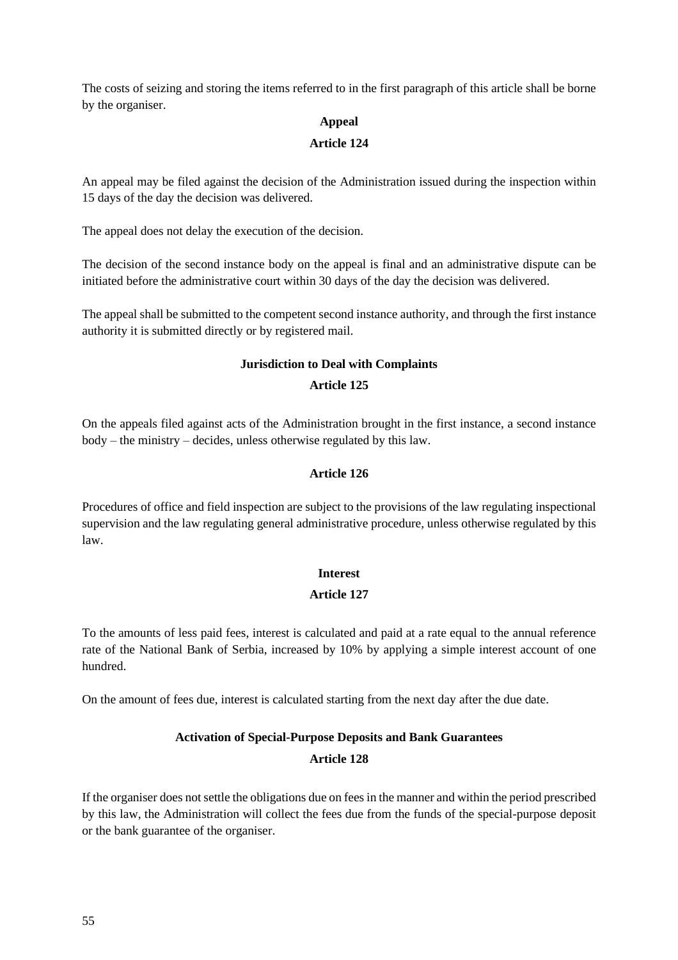The costs of seizing and storing the items referred to in the first paragraph of this article shall be borne by the organiser.

#### **Appeal**

#### **Article 124**

An appeal may be filed against the decision of the Administration issued during the inspection within 15 days of the day the decision was delivered.

The appeal does not delay the execution of the decision.

The decision of the second instance body on the appeal is final and an administrative dispute can be initiated before the administrative court within 30 days of the day the decision was delivered.

The appeal shall be submitted to the competent second instance authority, and through the first instance authority it is submitted directly or by registered mail.

# **Jurisdiction to Deal with Complaints Article 125**

On the appeals filed against acts of the Administration brought in the first instance, a second instance body – the ministry – decides, unless otherwise regulated by this law.

#### **Article 126**

Procedures of office and field inspection are subject to the provisions of the law regulating inspectional supervision and the law regulating general administrative procedure, unless otherwise regulated by this law.

#### **Interest**

## **Article 127**

To the amounts of less paid fees, interest is calculated and paid at a rate equal to the annual reference rate of the National Bank of Serbia, increased by 10% by applying a simple interest account of one hundred.

On the amount of fees due, interest is calculated starting from the next day after the due date.

# **Activation of Special-Purpose Deposits and Bank Guarantees Article 128**

If the organiser does not settle the obligations due on fees in the manner and within the period prescribed by this law, the Administration will collect the fees due from the funds of the special-purpose deposit or the bank guarantee of the organiser.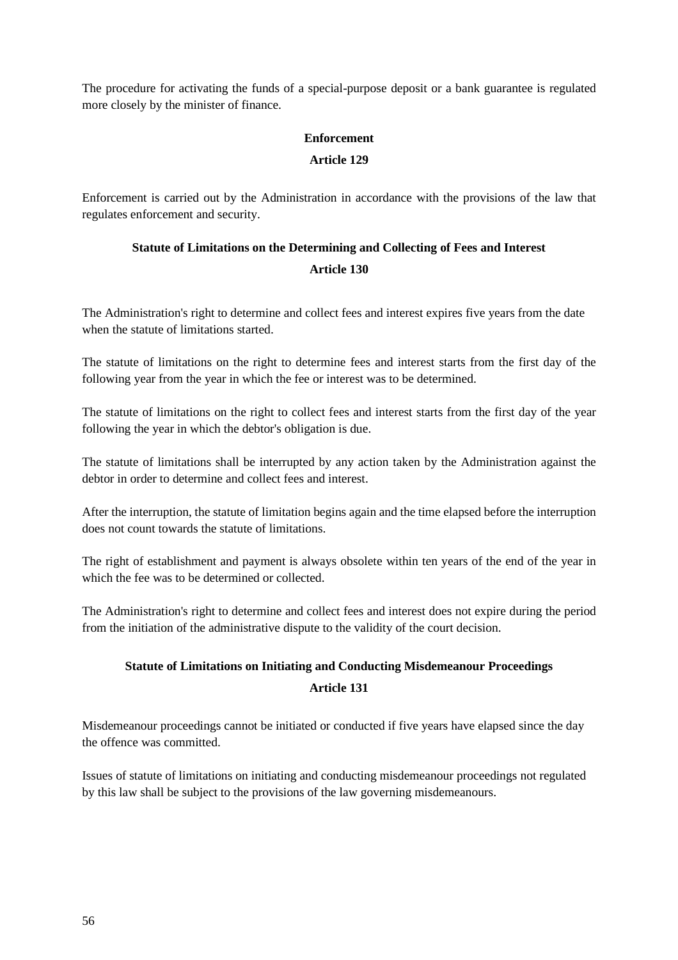The procedure for activating the funds of a special-purpose deposit or a bank guarantee is regulated more closely by the minister of finance.

# **Enforcement Article 129**

Enforcement is carried out by the Administration in accordance with the provisions of the law that regulates enforcement and security.

# **Statute of Limitations on the Determining and Collecting of Fees and Interest Article 130**

The Administration's right to determine and collect fees and interest expires five years from the date when the statute of limitations started.

The statute of limitations on the right to determine fees and interest starts from the first day of the following year from the year in which the fee or interest was to be determined.

The statute of limitations on the right to collect fees and interest starts from the first day of the year following the year in which the debtor's obligation is due.

The statute of limitations shall be interrupted by any action taken by the Administration against the debtor in order to determine and collect fees and interest.

After the interruption, the statute of limitation begins again and the time elapsed before the interruption does not count towards the statute of limitations.

The right of establishment and payment is always obsolete within ten years of the end of the year in which the fee was to be determined or collected.

The Administration's right to determine and collect fees and interest does not expire during the period from the initiation of the administrative dispute to the validity of the court decision.

# **Statute of Limitations on Initiating and Conducting Misdemeanour Proceedings Article 131**

Misdemeanour proceedings cannot be initiated or conducted if five years have elapsed since the day the offence was committed.

Issues of statute of limitations on initiating and conducting misdemeanour proceedings not regulated by this law shall be subject to the provisions of the law governing misdemeanours.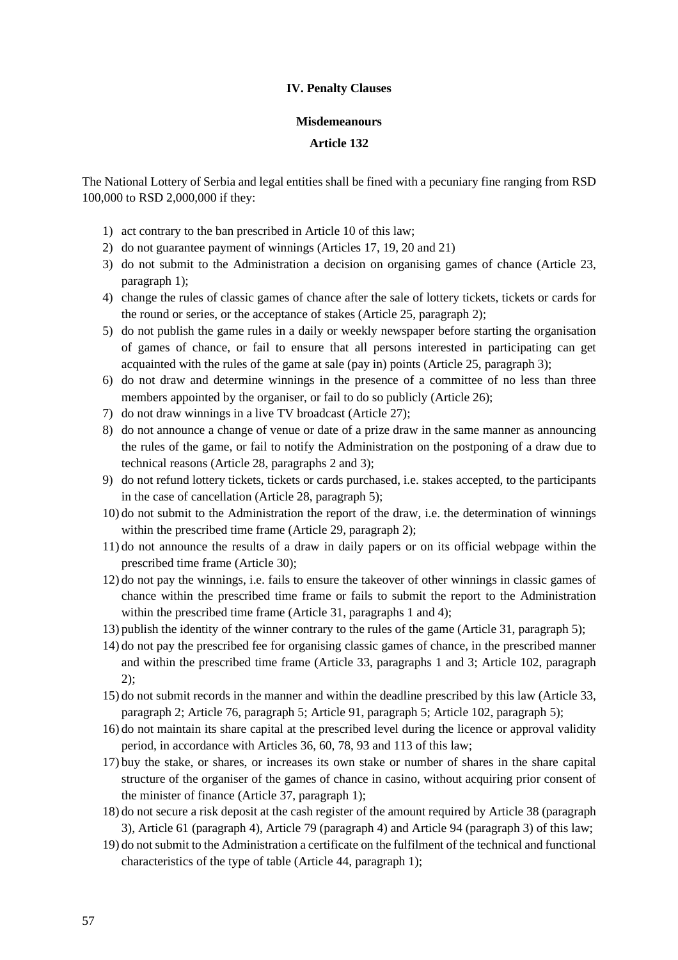#### **IV. Penalty Clauses**

#### **Misdemeanours**

#### **Article 132**

The National Lottery of Serbia and legal entities shall be fined with a pecuniary fine ranging from RSD 100,000 to RSD 2,000,000 if they:

- 1) act contrary to the ban prescribed in Article 10 of this law;
- 2) do not guarantee payment of winnings (Articles 17, 19, 20 and 21)
- 3) do not submit to the Administration a decision on organising games of chance (Article 23, paragraph 1);
- 4) change the rules of classic games of chance after the sale of lottery tickets, tickets or cards for the round or series, or the acceptance of stakes (Article 25, paragraph 2);
- 5) do not publish the game rules in a daily or weekly newspaper before starting the organisation of games of chance, or fail to ensure that all persons interested in participating can get acquainted with the rules of the game at sale (pay in) points (Article 25, paragraph 3);
- 6) do not draw and determine winnings in the presence of a committee of no less than three members appointed by the organiser, or fail to do so publicly (Article 26);
- 7) do not draw winnings in a live TV broadcast (Article 27);
- 8) do not announce a change of venue or date of a prize draw in the same manner as announcing the rules of the game, or fail to notify the Administration on the postponing of a draw due to technical reasons (Article 28, paragraphs 2 and 3);
- 9) do not refund lottery tickets, tickets or cards purchased, i.e. stakes accepted, to the participants in the case of cancellation (Article 28, paragraph 5);
- 10) do not submit to the Administration the report of the draw, i.e. the determination of winnings within the prescribed time frame (Article 29, paragraph 2);
- 11) do not announce the results of a draw in daily papers or on its official webpage within the prescribed time frame (Article 30);
- 12) do not pay the winnings, i.e. fails to ensure the takeover of other winnings in classic games of chance within the prescribed time frame or fails to submit the report to the Administration within the prescribed time frame (Article 31, paragraphs 1 and 4);
- 13) publish the identity of the winner contrary to the rules of the game (Article 31, paragraph 5);
- 14) do not pay the prescribed fee for organising classic games of chance, in the prescribed manner and within the prescribed time frame (Article 33, paragraphs 1 and 3; Article 102, paragraph 2);
- 15) do not submit records in the manner and within the deadline prescribed by this law (Article 33, paragraph 2; Article 76, paragraph 5; Article 91, paragraph 5; Article 102, paragraph 5);
- 16) do not maintain its share capital at the prescribed level during the licence or approval validity period, in accordance with Articles 36, 60, 78, 93 and 113 of this law;
- 17) buy the stake, or shares, or increases its own stake or number of shares in the share capital structure of the organiser of the games of chance in casino, without acquiring prior consent of the minister of finance (Article 37, paragraph 1);
- 18) do not secure a risk deposit at the cash register of the amount required by Article 38 (paragraph 3), Article 61 (paragraph 4), Article 79 (paragraph 4) and Article 94 (paragraph 3) of this law;
- 19) do not submit to the Administration a certificate on the fulfilment of the technical and functional characteristics of the type of table (Article 44, paragraph 1);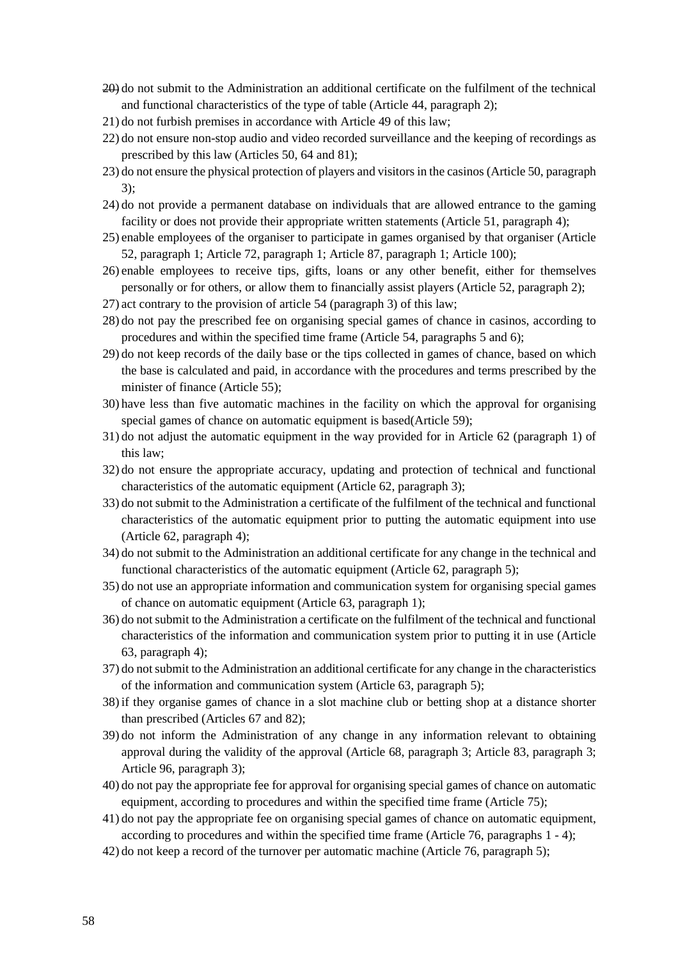- 20) do not submit to the Administration an additional certificate on the fulfilment of the technical and functional characteristics of the type of table (Article 44, paragraph 2);
- 21) do not furbish premises in accordance with Article 49 of this law;
- 22) do not ensure non-stop audio and video recorded surveillance and the keeping of recordings as prescribed by this law (Articles 50, 64 and 81);
- 23) do not ensure the physical protection of players and visitorsin the casinos (Article 50, paragraph 3);
- 24) do not provide a permanent database on individuals that are allowed entrance to the gaming facility or does not provide their appropriate written statements (Article 51, paragraph 4);
- 25) enable employees of the organiser to participate in games organised by that organiser (Article 52, paragraph 1; Article 72, paragraph 1; Article 87, paragraph 1; Article 100);
- 26) enable employees to receive tips, gifts, loans or any other benefit, either for themselves personally or for others, or allow them to financially assist players (Article 52, paragraph 2);
- 27) act contrary to the provision of article 54 (paragraph 3) of this law;
- 28) do not pay the prescribed fee on organising special games of chance in casinos, according to procedures and within the specified time frame (Article 54, paragraphs 5 and 6);
- 29) do not keep records of the daily base or the tips collected in games of chance, based on which the base is calculated and paid, in accordance with the procedures and terms prescribed by the minister of finance (Article 55);
- 30) have less than five automatic machines in the facility on which the approval for organising special games of chance on automatic equipment is based(Article 59);
- 31) do not adjust the automatic equipment in the way provided for in Article 62 (paragraph 1) of this law;
- 32) do not ensure the appropriate accuracy, updating and protection of technical and functional characteristics of the automatic equipment (Article 62, paragraph 3);
- 33) do not submit to the Administration a certificate of the fulfilment of the technical and functional characteristics of the automatic equipment prior to putting the automatic equipment into use (Article 62, paragraph 4);
- 34) do not submit to the Administration an additional certificate for any change in the technical and functional characteristics of the automatic equipment (Article 62, paragraph 5);
- 35) do not use an appropriate information and communication system for organising special games of chance on automatic equipment (Article 63, paragraph 1);
- 36) do not submit to the Administration a certificate on the fulfilment of the technical and functional characteristics of the information and communication system prior to putting it in use (Article 63, paragraph 4);
- 37) do notsubmit to the Administration an additional certificate for any change in the characteristics of the information and communication system (Article 63, paragraph 5);
- 38) if they organise games of chance in a slot machine club or betting shop at a distance shorter than prescribed (Articles 67 and 82);
- 39) do not inform the Administration of any change in any information relevant to obtaining approval during the validity of the approval (Article 68, paragraph 3; Article 83, paragraph 3; Article 96, paragraph 3);
- 40) do not pay the appropriate fee for approval for organising special games of chance on automatic equipment, according to procedures and within the specified time frame (Article 75);
- 41) do not pay the appropriate fee on organising special games of chance on automatic equipment, according to procedures and within the specified time frame (Article 76, paragraphs 1 - 4);
- 42) do not keep a record of the turnover per automatic machine (Article 76, paragraph 5);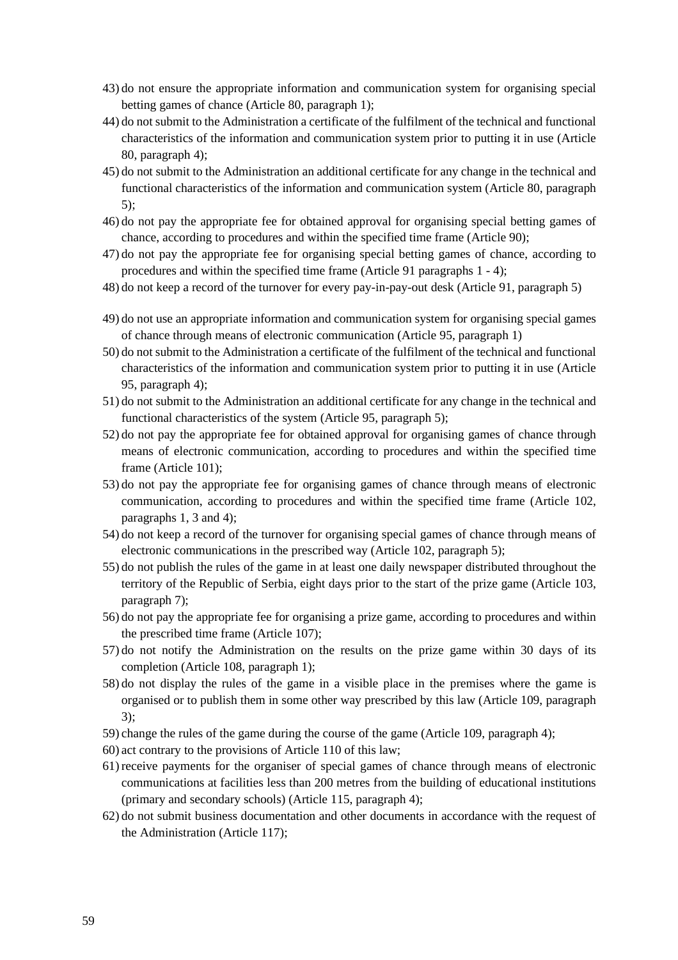- 43) do not ensure the appropriate information and communication system for organising special betting games of chance (Article 80, paragraph 1);
- 44) do not submit to the Administration a certificate of the fulfilment of the technical and functional characteristics of the information and communication system prior to putting it in use (Article 80, paragraph 4);
- 45) do not submit to the Administration an additional certificate for any change in the technical and functional characteristics of the information and communication system (Article 80, paragraph 5);
- 46) do not pay the appropriate fee for obtained approval for organising special betting games of chance, according to procedures and within the specified time frame (Article 90);
- 47) do not pay the appropriate fee for organising special betting games of chance, according to procedures and within the specified time frame (Article 91 paragraphs 1 - 4);
- 48) do not keep a record of the turnover for every pay-in-pay-out desk (Article 91, paragraph 5)
- 49) do not use an appropriate information and communication system for organising special games of chance through means of electronic communication (Article 95, paragraph 1)
- 50) do not submit to the Administration a certificate of the fulfilment of the technical and functional characteristics of the information and communication system prior to putting it in use (Article 95, paragraph 4);
- 51) do not submit to the Administration an additional certificate for any change in the technical and functional characteristics of the system (Article 95, paragraph 5);
- 52) do not pay the appropriate fee for obtained approval for organising games of chance through means of electronic communication, according to procedures and within the specified time frame (Article 101);
- 53) do not pay the appropriate fee for organising games of chance through means of electronic communication, according to procedures and within the specified time frame (Article 102, paragraphs 1, 3 and 4);
- 54) do not keep a record of the turnover for organising special games of chance through means of electronic communications in the prescribed way (Article 102, paragraph 5);
- 55) do not publish the rules of the game in at least one daily newspaper distributed throughout the territory of the Republic of Serbia, eight days prior to the start of the prize game (Article 103, paragraph 7);
- 56) do not pay the appropriate fee for organising a prize game, according to procedures and within the prescribed time frame (Article 107);
- 57) do not notify the Administration on the results on the prize game within 30 days of its completion (Article 108, paragraph 1);
- 58) do not display the rules of the game in a visible place in the premises where the game is organised or to publish them in some other way prescribed by this law (Article 109, paragraph 3);
- 59) change the rules of the game during the course of the game (Article 109, paragraph 4);
- 60) act contrary to the provisions of Article 110 of this law;
- 61) receive payments for the organiser of special games of chance through means of electronic communications at facilities less than 200 metres from the building of educational institutions (primary and secondary schools) (Article 115, paragraph 4);
- 62) do not submit business documentation and other documents in accordance with the request of the Administration (Article 117);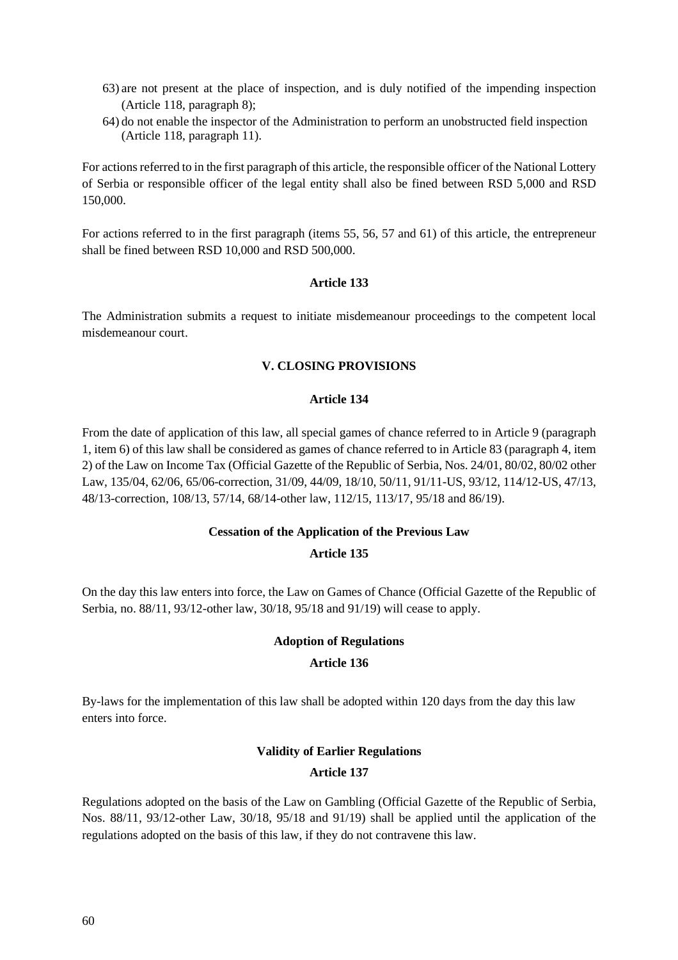- 63) are not present at the place of inspection, and is duly notified of the impending inspection (Article 118, paragraph 8);
- 64) do not enable the inspector of the Administration to perform an unobstructed field inspection (Article 118, paragraph 11).

For actions referred to in the first paragraph of this article, the responsible officer of the National Lottery of Serbia or responsible officer of the legal entity shall also be fined between RSD 5,000 and RSD 150,000.

For actions referred to in the first paragraph (items 55, 56, 57 and 61) of this article, the entrepreneur shall be fined between RSD 10,000 and RSD 500,000.

#### **Article 133**

The Administration submits a request to initiate misdemeanour proceedings to the competent local misdemeanour court.

#### **V. CLOSING PROVISIONS**

#### **Article 134**

From the date of application of this law, all special games of chance referred to in Article 9 (paragraph 1, item 6) of this law shall be considered as games of chance referred to in Article 83 (paragraph 4, item 2) of the Law on Income Tax (Official Gazette of the Republic of Serbia, Nos. 24/01, 80/02, 80/02 other Law, 135/04, 62/06, 65/06-correction, 31/09, 44/09, 18/10, 50/11, 91/11-US, 93/12, 114/12-US, 47/13, 48/13-correction, 108/13, 57/14, 68/14-other law, 112/15, 113/17, 95/18 and 86/19).

#### **Cessation of the Application of the Previous Law**

#### **Article 135**

On the day this law enters into force, the Law on Games of Chance (Official Gazette of the Republic of Serbia, no. 88/11, 93/12-other law, 30/18, 95/18 and 91/19) will cease to apply.

#### **Adoption of Regulations**

#### **Article 136**

By-laws for the implementation of this law shall be adopted within 120 days from the day this law enters into force.

#### **Validity of Earlier Regulations**

#### **Article 137**

Regulations adopted on the basis of the Law on Gambling (Official Gazette of the Republic of Serbia, Nos. 88/11, 93/12-other Law, 30/18, 95/18 and 91/19) shall be applied until the application of the regulations adopted on the basis of this law, if they do not contravene this law.